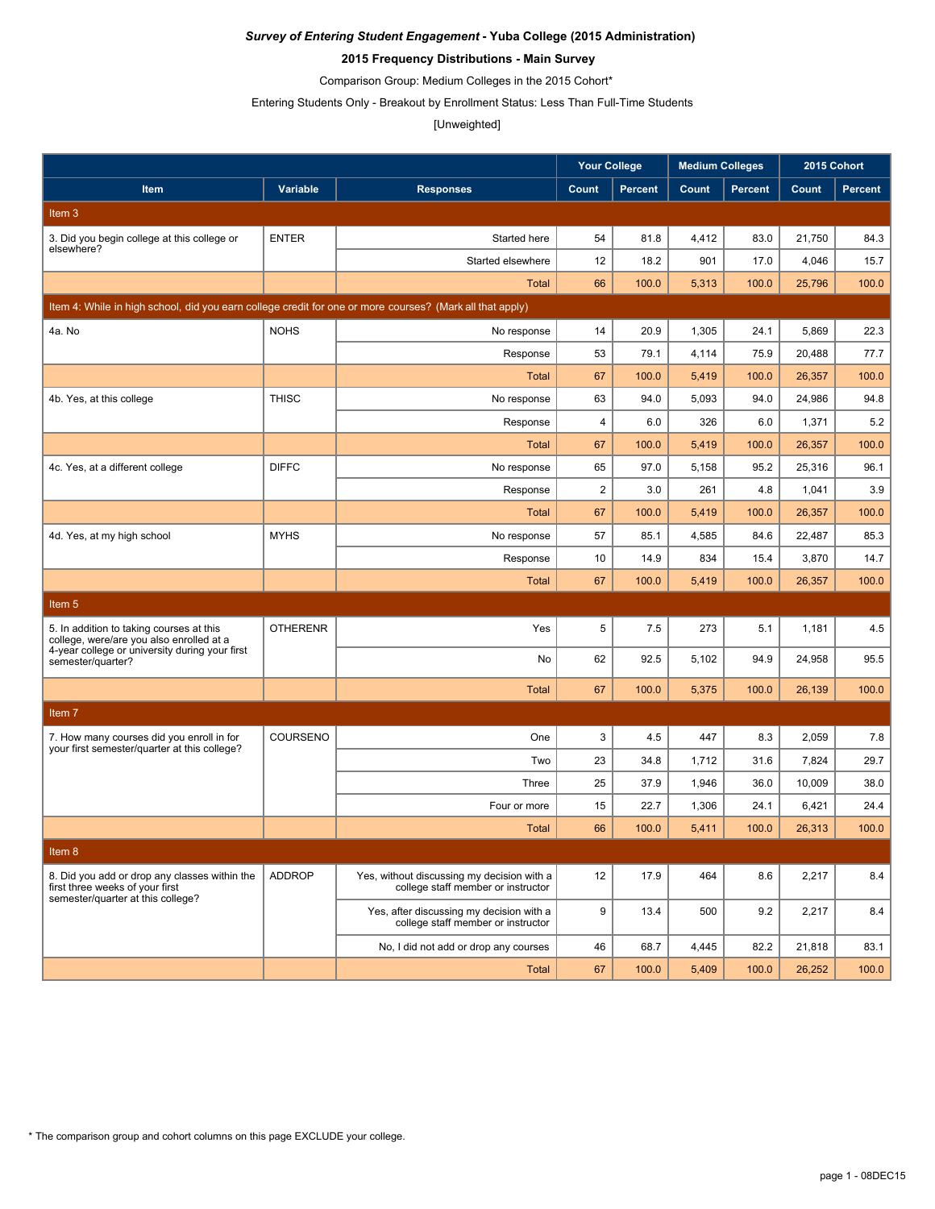### **2015 Frequency Distributions - Main Survey**

Comparison Group: Medium Colleges in the 2015 Cohort\*

Entering Students Only - Breakout by Enrollment Status: Less Than Full-Time Students

# [Unweighted]

|                                                                                                                       |                 |                                                                                  | <b>Your College</b> |                | <b>Medium Colleges</b> |                | 2015 Cohort |                |
|-----------------------------------------------------------------------------------------------------------------------|-----------------|----------------------------------------------------------------------------------|---------------------|----------------|------------------------|----------------|-------------|----------------|
| Item                                                                                                                  | Variable        | <b>Responses</b>                                                                 | Count               | <b>Percent</b> | Count                  | <b>Percent</b> | Count       | <b>Percent</b> |
| Item 3                                                                                                                |                 |                                                                                  |                     |                |                        |                |             |                |
| 3. Did you begin college at this college or                                                                           | <b>ENTER</b>    | Started here                                                                     | 54                  | 81.8           | 4,412                  | 83.0           | 21,750      | 84.3           |
| elsewhere?                                                                                                            |                 | Started elsewhere                                                                | 12                  | 18.2           | 901                    | 17.0           | 4,046       | 15.7           |
|                                                                                                                       |                 | Total                                                                            | 66                  | 100.0          | 5,313                  | 100.0          | 25,796      | 100.0          |
| Item 4: While in high school, did you earn college credit for one or more courses? (Mark all that apply)              |                 |                                                                                  |                     |                |                        |                |             |                |
| 4a. No                                                                                                                | <b>NOHS</b>     | No response                                                                      | 14                  | 20.9           | 1,305                  | 24.1           | 5,869       | 22.3           |
|                                                                                                                       |                 | Response                                                                         | 53                  | 79.1           | 4,114                  | 75.9           | 20,488      | 77.7           |
|                                                                                                                       |                 | <b>Total</b>                                                                     | 67                  | 100.0          | 5,419                  | 100.0          | 26,357      | 100.0          |
| 4b. Yes, at this college                                                                                              | <b>THISC</b>    | No response                                                                      | 63                  | 94.0           | 5,093                  | 94.0           | 24,986      | 94.8           |
|                                                                                                                       |                 | Response                                                                         | 4                   | 6.0            | 326                    | 6.0            | 1,371       | 5.2            |
|                                                                                                                       |                 | Total                                                                            | 67                  | 100.0          | 5,419                  | 100.0          | 26,357      | 100.0          |
| 4c. Yes, at a different college                                                                                       | <b>DIFFC</b>    | No response                                                                      | 65                  | 97.0           | 5,158                  | 95.2           | 25,316      | 96.1           |
|                                                                                                                       |                 | Response                                                                         | $\overline{2}$      | 3.0            | 261                    | 4.8            | 1,041       | 3.9            |
|                                                                                                                       |                 | Total                                                                            | 67                  | 100.0          | 5,419                  | 100.0          | 26,357      | 100.0          |
| 4d. Yes, at my high school                                                                                            | <b>MYHS</b>     | No response                                                                      | 57                  | 85.1           | 4,585                  | 84.6           | 22,487      | 85.3           |
|                                                                                                                       |                 | Response                                                                         | 10                  | 14.9           | 834                    | 15.4           | 3,870       | 14.7           |
|                                                                                                                       |                 | <b>Total</b>                                                                     | 67                  | 100.0          | 5,419                  | 100.0          | 26,357      | 100.0          |
| Item 5                                                                                                                |                 |                                                                                  |                     |                |                        |                |             |                |
| 5. In addition to taking courses at this<br>college, were/are you also enrolled at a                                  | <b>OTHERENR</b> | Yes                                                                              | 5                   | 7.5            | 273                    | 5.1            | 1,181       | 4.5            |
| 4-year college or university during your first<br>semester/quarter?                                                   |                 | No                                                                               | 62                  | 92.5           | 5,102                  | 94.9           | 24,958      | 95.5           |
|                                                                                                                       |                 | <b>Total</b>                                                                     | 67                  | 100.0          | 5,375                  | 100.0          | 26,139      | 100.0          |
| Item 7                                                                                                                |                 |                                                                                  |                     |                |                        |                |             |                |
| 7. How many courses did you enroll in for                                                                             | COURSENO        | One                                                                              | 3                   | 4.5            | 447                    | 8.3            | 2,059       | 7.8            |
| your first semester/quarter at this college?                                                                          |                 | Two                                                                              | 23                  | 34.8           | 1,712                  | 31.6           | 7,824       | 29.7           |
|                                                                                                                       |                 | Three                                                                            | 25                  | 37.9           | 1,946                  | 36.0           | 10,009      | 38.0           |
|                                                                                                                       |                 | Four or more                                                                     | 15                  | 22.7           | 1,306                  | 24.1           | 6,421       | 24.4           |
|                                                                                                                       |                 | Total                                                                            | 66                  | 100.0          | 5,411                  | 100.0          | 26,313      | 100.0          |
| Item 8                                                                                                                |                 |                                                                                  |                     |                |                        |                |             |                |
| 8. Did you add or drop any classes within the<br>first three weeks of your first<br>semester/quarter at this college? | <b>ADDROP</b>   | Yes, without discussing my decision with a<br>college staff member or instructor | 12                  | 17.9           | 464                    | 8.6            | 2,217       | 8.4            |
|                                                                                                                       |                 | Yes, after discussing my decision with a<br>college staff member or instructor   | 9                   | 13.4           | 500                    | 9.2            | 2,217       | 8.4            |
|                                                                                                                       |                 | No, I did not add or drop any courses                                            | 46                  | 68.7           | 4,445                  | 82.2           | 21,818      | 83.1           |
|                                                                                                                       |                 | <b>Total</b>                                                                     | 67                  | 100.0          | 5,409                  | 100.0          | 26,252      | 100.0          |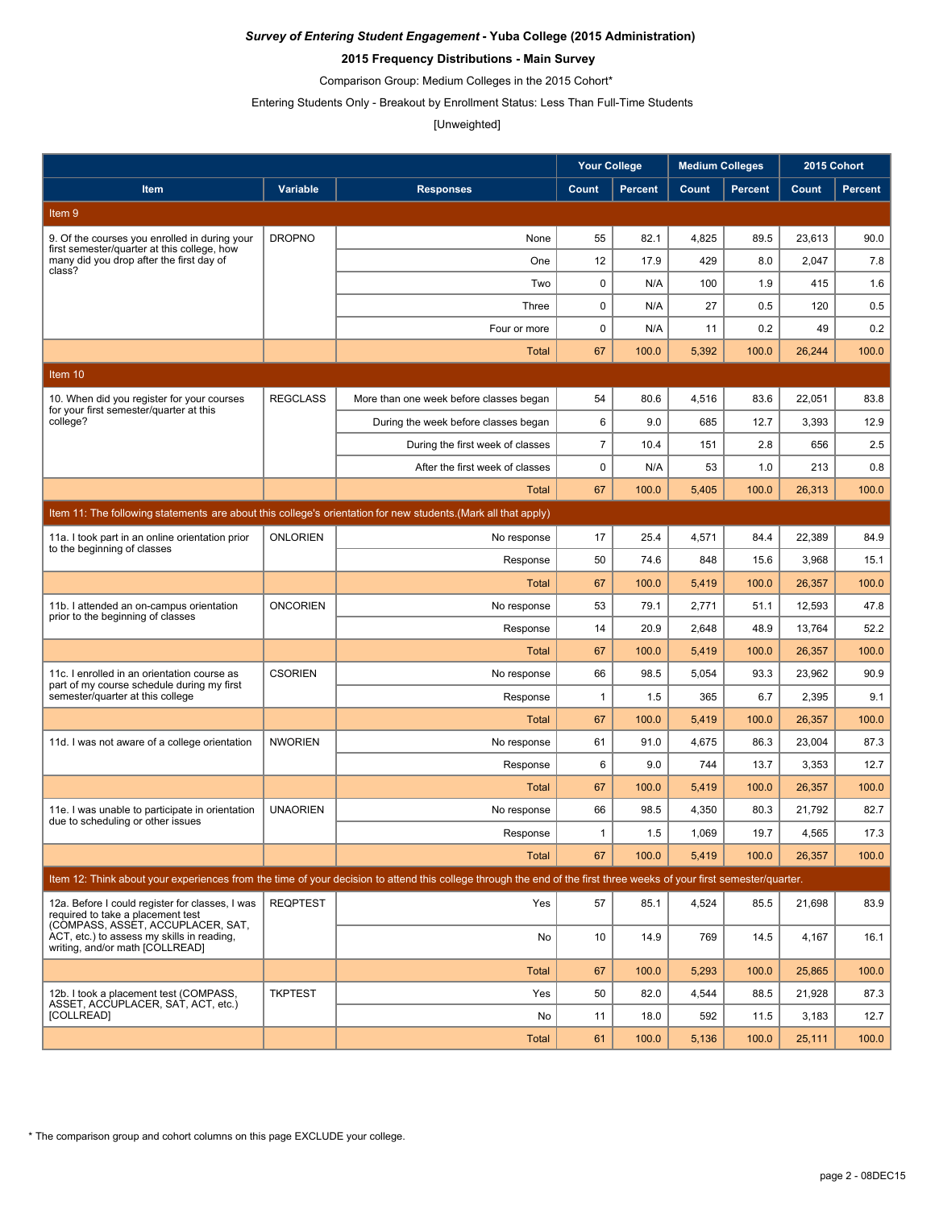### **2015 Frequency Distributions - Main Survey**

Comparison Group: Medium Colleges in the 2015 Cohort\*

Entering Students Only - Breakout by Enrollment Status: Less Than Full-Time Students

### [Unweighted]

|                                                                                                                           |                 |                                                                                                                                                                      | <b>Your College</b> |                | <b>Medium Colleges</b> |                | 2015 Cohort |                |
|---------------------------------------------------------------------------------------------------------------------------|-----------------|----------------------------------------------------------------------------------------------------------------------------------------------------------------------|---------------------|----------------|------------------------|----------------|-------------|----------------|
| Item                                                                                                                      | Variable        | <b>Responses</b>                                                                                                                                                     | Count               | <b>Percent</b> | Count                  | <b>Percent</b> | Count       | <b>Percent</b> |
| Item 9                                                                                                                    |                 |                                                                                                                                                                      |                     |                |                        |                |             |                |
| 9. Of the courses you enrolled in during your                                                                             | <b>DROPNO</b>   | None                                                                                                                                                                 | 55                  | 82.1           | 4,825                  | 89.5           | 23,613      | 90.0           |
| first semester/quarter at this college, how<br>many did you drop after the first day of                                   |                 | One                                                                                                                                                                  | 12                  | 17.9           | 429                    | 8.0            | 2,047       | 7.8            |
| class?                                                                                                                    |                 | Two                                                                                                                                                                  | 0                   | N/A            | 100                    | 1.9            | 415         | 1.6            |
|                                                                                                                           |                 | Three                                                                                                                                                                | $\mathbf 0$         | N/A            | 27                     | 0.5            | 120         | 0.5            |
|                                                                                                                           |                 | Four or more                                                                                                                                                         | 0                   | N/A            | 11                     | 0.2            | 49          | 0.2            |
|                                                                                                                           |                 | <b>Total</b>                                                                                                                                                         | 67                  | 100.0          | 5,392                  | 100.0          | 26,244      | 100.0          |
| Item 10                                                                                                                   |                 |                                                                                                                                                                      |                     |                |                        |                |             |                |
| 10. When did you register for your courses                                                                                | <b>REGCLASS</b> | More than one week before classes began                                                                                                                              | 54                  | 80.6           | 4,516                  | 83.6           | 22,051      | 83.8           |
| for your first semester/quarter at this<br>college?                                                                       |                 | During the week before classes began                                                                                                                                 | 6                   | 9.0            | 685                    | 12.7           | 3,393       | 12.9           |
|                                                                                                                           |                 | During the first week of classes                                                                                                                                     | $\overline{7}$      | 10.4           | 151                    | 2.8            | 656         | 2.5            |
|                                                                                                                           |                 | After the first week of classes                                                                                                                                      | $\mathbf 0$         | N/A            | 53                     | 1.0            | 213         | 0.8            |
|                                                                                                                           |                 | Total                                                                                                                                                                | 67                  | 100.0          | 5,405                  | 100.0          | 26,313      | 100.0          |
|                                                                                                                           |                 | Item 11: The following statements are about this college's orientation for new students. (Mark all that apply)                                                       |                     |                |                        |                |             |                |
| 11a. I took part in an online orientation prior<br>to the beginning of classes                                            | <b>ONLORIEN</b> | No response                                                                                                                                                          | 17                  | 25.4           | 4,571                  | 84.4           | 22,389      | 84.9           |
|                                                                                                                           |                 | Response                                                                                                                                                             | 50                  | 74.6           | 848                    | 15.6           | 3,968       | 15.1           |
|                                                                                                                           |                 | Total                                                                                                                                                                | 67                  | 100.0          | 5,419                  | 100.0          | 26,357      | 100.0          |
| 11b. I attended an on-campus orientation<br>prior to the beginning of classes                                             | <b>ONCORIEN</b> | No response                                                                                                                                                          | 53                  | 79.1           | 2,771                  | 51.1           | 12,593      | 47.8           |
|                                                                                                                           |                 | Response                                                                                                                                                             | 14                  | 20.9           | 2,648                  | 48.9           | 13,764      | 52.2           |
|                                                                                                                           |                 | <b>Total</b>                                                                                                                                                         | 67                  | 100.0          | 5,419                  | 100.0          | 26,357      | 100.0          |
| 11c. I enrolled in an orientation course as<br>part of my course schedule during my first                                 | <b>CSORIEN</b>  | No response                                                                                                                                                          | 66                  | 98.5           | 5,054                  | 93.3           | 23,962      | 90.9           |
| semester/quarter at this college                                                                                          |                 | Response                                                                                                                                                             | $\mathbf{1}$        | 1.5            | 365                    | 6.7            | 2,395       | 9.1            |
|                                                                                                                           |                 | Total                                                                                                                                                                | 67                  | 100.0          | 5,419                  | 100.0          | 26,357      | 100.0          |
| 11d. I was not aware of a college orientation                                                                             | <b>NWORIEN</b>  | No response                                                                                                                                                          | 61                  | 91.0           | 4,675                  | 86.3           | 23.004      | 87.3           |
|                                                                                                                           |                 | Response                                                                                                                                                             | 6                   | 9.0            | 744                    | 13.7           | 3,353       | 12.7           |
|                                                                                                                           |                 | Total                                                                                                                                                                | 67                  | 100.0          | 5,419                  | 100.0          | 26,357      | 100.0          |
| 11e. I was unable to participate in orientation<br>due to scheduling or other issues                                      | <b>UNAORIEN</b> | No response                                                                                                                                                          | 66                  | 98.5           | 4,350                  | 80.3           | 21,792      | 82.7           |
|                                                                                                                           |                 | Response                                                                                                                                                             | $\mathbf{1}$        | 1.5            | 1,069                  | 19.7           | 4,565       | 17.3           |
|                                                                                                                           |                 | <b>Total</b>                                                                                                                                                         | 67                  | 100.0          | 5,419                  | 100.0          | 26,357      | 100.0          |
|                                                                                                                           |                 | Item 12: Think about your experiences from the time of your decision to attend this college through the end of the first three weeks of your first semester/quarter. |                     |                |                        |                |             |                |
| 12a. Before I could register for classes, I was<br>required to take a placement test<br>(COMPASS, ASSET, ACCUPLACER, SAT, | <b>REQPTEST</b> | Yes                                                                                                                                                                  | 57                  | 85.1           | 4,524                  | 85.5           | 21,698      | 83.9           |
| ACT, etc.) to assess my skills in reading,<br>writing, and/or math [COLLREAD]                                             |                 | No                                                                                                                                                                   | 10                  | 14.9           | 769                    | 14.5           | 4,167       | 16.1           |
|                                                                                                                           |                 | <b>Total</b>                                                                                                                                                         | 67                  | 100.0          | 5,293                  | 100.0          | 25,865      | 100.0          |
| 12b. I took a placement test (COMPASS,<br>ASSET, ACCUPLACER, SAT, ACT, etc.)                                              | <b>TKPTEST</b>  | Yes                                                                                                                                                                  | 50                  | 82.0           | 4,544                  | 88.5           | 21,928      | 87.3           |
| [COLLREAD]                                                                                                                |                 | No                                                                                                                                                                   | 11                  | 18.0           | 592                    | 11.5           | 3,183       | 12.7           |
|                                                                                                                           |                 | <b>Total</b>                                                                                                                                                         | 61                  | 100.0          | 5,136                  | 100.0          | 25,111      | 100.0          |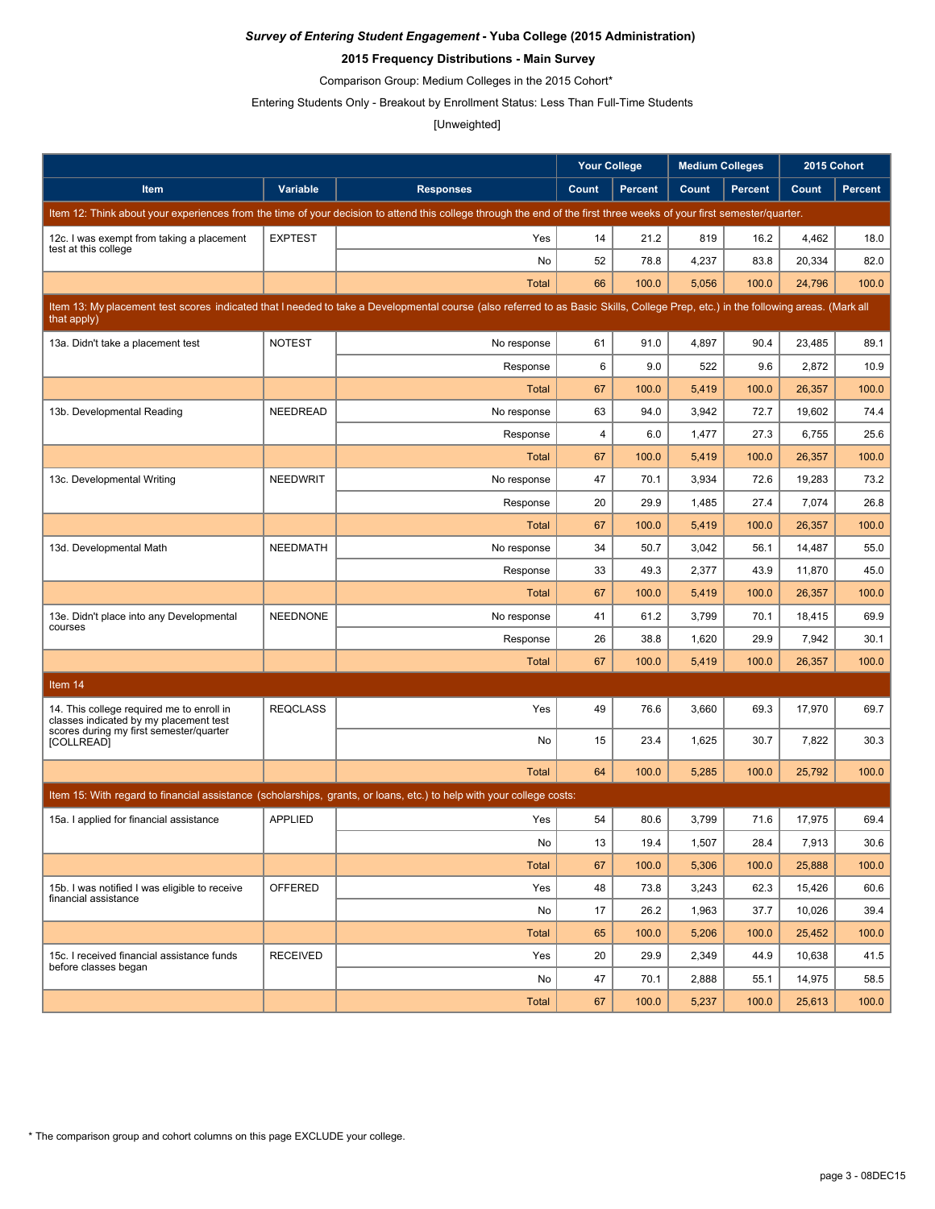### **2015 Frequency Distributions - Main Survey**

Comparison Group: Medium Colleges in the 2015 Cohort\*

Entering Students Only - Breakout by Enrollment Status: Less Than Full-Time Students

## [Unweighted]

|                                                                                                                                |                 |                                                                                                                                                                                   | <b>Your College</b> |                | <b>Medium Colleges</b> |                | 2015 Cohort |                |
|--------------------------------------------------------------------------------------------------------------------------------|-----------------|-----------------------------------------------------------------------------------------------------------------------------------------------------------------------------------|---------------------|----------------|------------------------|----------------|-------------|----------------|
| Item                                                                                                                           | Variable        | <b>Responses</b>                                                                                                                                                                  | Count               | <b>Percent</b> | Count                  | <b>Percent</b> | Count       | <b>Percent</b> |
|                                                                                                                                |                 | Item 12: Think about your experiences from the time of your decision to attend this college through the end of the first three weeks of your first semester/quarter.              |                     |                |                        |                |             |                |
| 12c. I was exempt from taking a placement                                                                                      | <b>EXPTEST</b>  | Yes                                                                                                                                                                               | 14                  | 21.2           | 819                    | 16.2           | 4,462       | 18.0           |
| test at this college                                                                                                           |                 | No                                                                                                                                                                                | 52                  | 78.8           | 4,237                  | 83.8           | 20,334      | 82.0           |
|                                                                                                                                |                 | <b>Total</b>                                                                                                                                                                      | 66                  | 100.0          | 5,056                  | 100.0          | 24,796      | 100.0          |
| that apply)                                                                                                                    |                 | Item 13: My placement test scores indicated that I needed to take a Developmental course (also referred to as Basic Skills, College Prep, etc.) in the following areas. (Mark all |                     |                |                        |                |             |                |
| 13a. Didn't take a placement test                                                                                              | <b>NOTEST</b>   | No response                                                                                                                                                                       | 61                  | 91.0           | 4,897                  | 90.4           | 23,485      | 89.1           |
|                                                                                                                                |                 | Response                                                                                                                                                                          | 6                   | 9.0            | 522                    | 9.6            | 2,872       | 10.9           |
|                                                                                                                                |                 | <b>Total</b>                                                                                                                                                                      | 67                  | 100.0          | 5,419                  | 100.0          | 26,357      | 100.0          |
| 13b. Developmental Reading                                                                                                     | NEEDREAD        | No response                                                                                                                                                                       | 63                  | 94.0           | 3,942                  | 72.7           | 19,602      | 74.4           |
|                                                                                                                                |                 | Response                                                                                                                                                                          | $\overline{4}$      | 6.0            | 1,477                  | 27.3           | 6,755       | 25.6           |
|                                                                                                                                |                 | <b>Total</b>                                                                                                                                                                      | 67                  | 100.0          | 5,419                  | 100.0          | 26,357      | 100.0          |
| 13c. Developmental Writing                                                                                                     | <b>NEEDWRIT</b> | No response                                                                                                                                                                       | 47                  | 70.1           | 3,934                  | 72.6           | 19,283      | 73.2           |
|                                                                                                                                |                 | Response                                                                                                                                                                          | 20                  | 29.9           | 1,485                  | 27.4           | 7,074       | 26.8           |
|                                                                                                                                |                 | <b>Total</b>                                                                                                                                                                      | 67                  | 100.0          | 5,419                  | 100.0          | 26,357      | 100.0          |
| 13d. Developmental Math                                                                                                        | <b>NEEDMATH</b> | No response                                                                                                                                                                       | 34                  | 50.7           | 3,042                  | 56.1           | 14,487      | 55.0           |
|                                                                                                                                |                 | Response                                                                                                                                                                          | 33                  | 49.3           | 2,377                  | 43.9           | 11,870      | 45.0           |
|                                                                                                                                |                 | <b>Total</b>                                                                                                                                                                      | 67                  | 100.0          | 5,419                  | 100.0          | 26,357      | 100.0          |
| 13e. Didn't place into any Developmental<br>courses                                                                            | <b>NEEDNONE</b> | No response                                                                                                                                                                       | 41                  | 61.2           | 3,799                  | 70.1           | 18,415      | 69.9           |
|                                                                                                                                |                 | Response                                                                                                                                                                          | 26                  | 38.8           | 1,620                  | 29.9           | 7,942       | 30.1           |
|                                                                                                                                |                 | <b>Total</b>                                                                                                                                                                      | 67                  | 100.0          | 5,419                  | 100.0          | 26,357      | 100.0          |
| Item 14                                                                                                                        |                 |                                                                                                                                                                                   |                     |                |                        |                |             |                |
| 14. This college required me to enroll in<br>classes indicated by my placement test<br>scores during my first semester/quarter | <b>REQCLASS</b> | Yes                                                                                                                                                                               | 49                  | 76.6           | 3,660                  | 69.3           | 17,970      | 69.7           |
| [COLLREAD]                                                                                                                     |                 | No                                                                                                                                                                                | 15                  | 23.4           | 1,625                  | 30.7           | 7,822       | 30.3           |
|                                                                                                                                |                 | <b>Total</b>                                                                                                                                                                      | 64                  | 100.0          | 5,285                  | 100.0          | 25,792      | 100.0          |
|                                                                                                                                |                 | Item 15: With regard to financial assistance (scholarships, grants, or loans, etc.) to help with your college costs:                                                              |                     |                |                        |                |             |                |
| 15a. I applied for financial assistance                                                                                        | <b>APPLIED</b>  | Yes                                                                                                                                                                               | 54                  | 80.6           | 3,799                  | 71.6           | 17,975      | 69.4           |
|                                                                                                                                |                 | No                                                                                                                                                                                | 13                  | 19.4           | 1,507                  | 28.4           | 7,913       | 30.6           |
|                                                                                                                                |                 | <b>Total</b>                                                                                                                                                                      | 67                  | 100.0          | 5,306                  | 100.0          | 25,888      | 100.0          |
| 15b. I was notified I was eligible to receive<br>financial assistance                                                          | OFFERED         | Yes                                                                                                                                                                               | 48                  | 73.8           | 3,243                  | 62.3           | 15,426      | 60.6           |
|                                                                                                                                |                 | No                                                                                                                                                                                | 17                  | 26.2           | 1,963                  | 37.7           | 10,026      | 39.4           |
|                                                                                                                                |                 | <b>Total</b>                                                                                                                                                                      | 65                  | 100.0          | 5,206                  | 100.0          | 25,452      | 100.0          |
| 15c. I received financial assistance funds<br>before classes began                                                             | <b>RECEIVED</b> | Yes                                                                                                                                                                               | 20                  | 29.9           | 2,349                  | 44.9           | 10,638      | 41.5           |
|                                                                                                                                |                 | No                                                                                                                                                                                | 47                  | 70.1           | 2,888                  | 55.1           | 14,975      | 58.5           |
|                                                                                                                                |                 | <b>Total</b>                                                                                                                                                                      | 67                  | 100.0          | 5,237                  | 100.0          | 25,613      | 100.0          |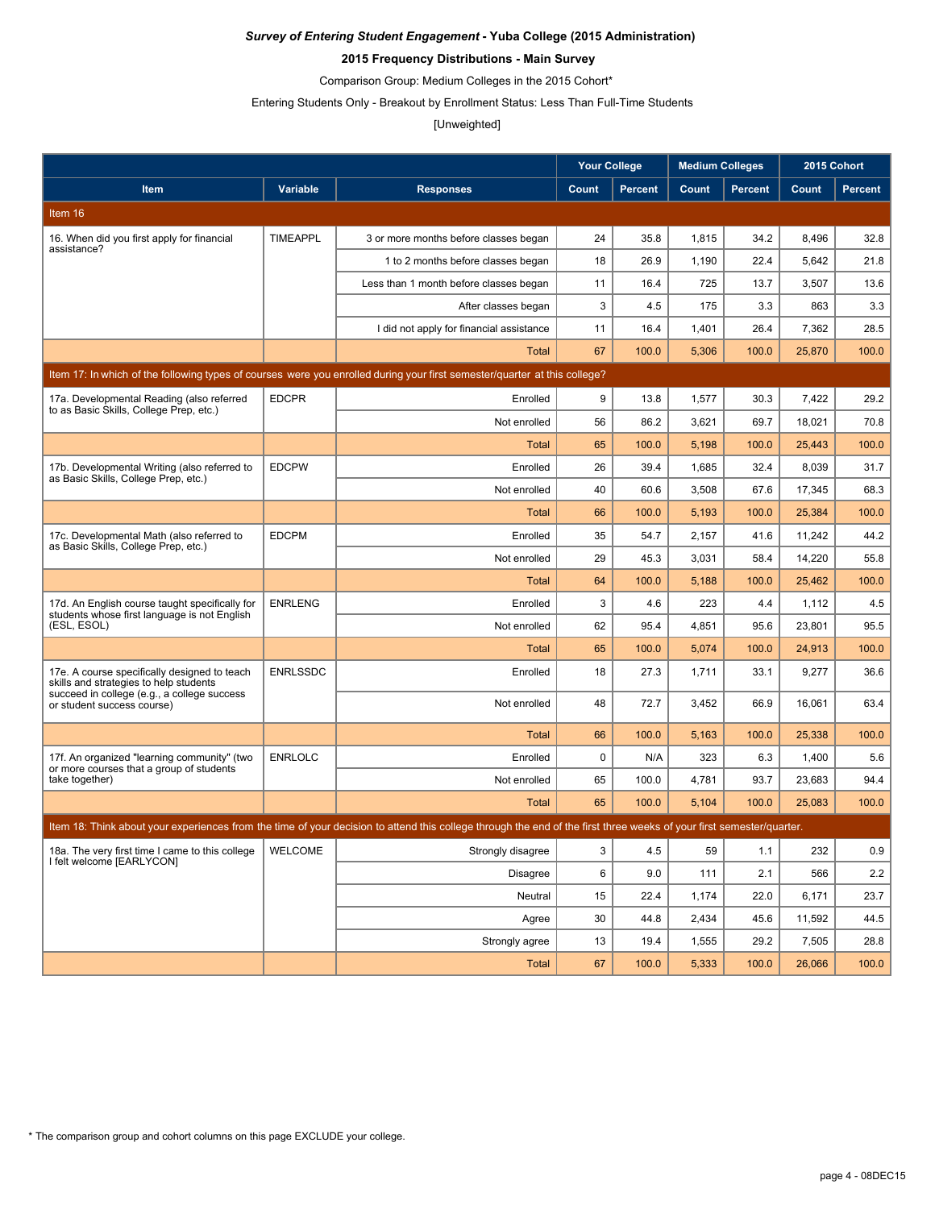### **2015 Frequency Distributions - Main Survey**

Comparison Group: Medium Colleges in the 2015 Cohort\*

Entering Students Only - Breakout by Enrollment Status: Less Than Full-Time Students

#### [Unweighted]

|                                                                                                |                 |                                                                                                                                                                      | <b>Your College</b> |                | <b>Medium Colleges</b> |                | 2015 Cohort |                |
|------------------------------------------------------------------------------------------------|-----------------|----------------------------------------------------------------------------------------------------------------------------------------------------------------------|---------------------|----------------|------------------------|----------------|-------------|----------------|
| <b>Item</b>                                                                                    | <b>Variable</b> | <b>Responses</b>                                                                                                                                                     | Count               | <b>Percent</b> | Count                  | <b>Percent</b> | Count       | <b>Percent</b> |
| Item 16                                                                                        |                 |                                                                                                                                                                      |                     |                |                        |                |             |                |
| 16. When did you first apply for financial<br>assistance?                                      | <b>TIMEAPPL</b> | 3 or more months before classes began                                                                                                                                | 24                  | 35.8           | 1,815                  | 34.2           | 8,496       | 32.8           |
|                                                                                                |                 | 1 to 2 months before classes began                                                                                                                                   | 18                  | 26.9           | 1,190                  | 22.4           | 5,642       | 21.8           |
|                                                                                                |                 | Less than 1 month before classes began                                                                                                                               | 11                  | 16.4           | 725                    | 13.7           | 3,507       | 13.6           |
|                                                                                                |                 | After classes began                                                                                                                                                  | 3                   | 4.5            | 175                    | 3.3            | 863         | 3.3            |
|                                                                                                |                 | I did not apply for financial assistance                                                                                                                             | 11                  | 16.4           | 1,401                  | 26.4           | 7,362       | 28.5           |
|                                                                                                |                 | Total                                                                                                                                                                | 67                  | 100.0          | 5,306                  | 100.0          | 25,870      | 100.0          |
|                                                                                                |                 | Item 17: In which of the following types of courses were you enrolled during your first semester/quarter at this college?                                            |                     |                |                        |                |             |                |
| 17a. Developmental Reading (also referred<br>to as Basic Skills, College Prep, etc.)           | <b>EDCPR</b>    | Enrolled                                                                                                                                                             | 9                   | 13.8           | 1,577                  | 30.3           | 7,422       | 29.2           |
|                                                                                                |                 | Not enrolled                                                                                                                                                         | 56                  | 86.2           | 3,621                  | 69.7           | 18,021      | 70.8           |
|                                                                                                |                 | Total                                                                                                                                                                | 65                  | 100.0          | 5,198                  | 100.0          | 25,443      | 100.0          |
| 17b. Developmental Writing (also referred to<br>as Basic Skills, College Prep, etc.)           | <b>EDCPW</b>    | Enrolled                                                                                                                                                             | 26                  | 39.4           | 1,685                  | 32.4           | 8,039       | 31.7           |
|                                                                                                |                 | Not enrolled                                                                                                                                                         | 40                  | 60.6           | 3,508                  | 67.6           | 17,345      | 68.3           |
|                                                                                                |                 | Total                                                                                                                                                                | 66                  | 100.0          | 5,193                  | 100.0          | 25,384      | 100.0          |
| 17c. Developmental Math (also referred to<br>as Basic Skills, College Prep, etc.)              | <b>EDCPM</b>    | Enrolled                                                                                                                                                             | 35                  | 54.7           | 2,157                  | 41.6           | 11.242      | 44.2           |
|                                                                                                |                 | Not enrolled                                                                                                                                                         | 29                  | 45.3           | 3,031                  | 58.4           | 14,220      | 55.8           |
|                                                                                                |                 | Total                                                                                                                                                                | 64                  | 100.0          | 5,188                  | 100.0          | 25,462      | 100.0          |
| 17d. An English course taught specifically for<br>students whose first language is not English | <b>ENRLENG</b>  | Enrolled                                                                                                                                                             | 3                   | 4.6            | 223                    | 4.4            | 1,112       | 4.5            |
| (ESL, ESOL)                                                                                    |                 | Not enrolled                                                                                                                                                         | 62                  | 95.4           | 4,851                  | 95.6           | 23,801      | 95.5           |
|                                                                                                |                 | Total                                                                                                                                                                | 65                  | 100.0          | 5,074                  | 100.0          | 24,913      | 100.0          |
| 17e. A course specifically designed to teach<br>skills and strategies to help students         | <b>ENRLSSDC</b> | Enrolled                                                                                                                                                             | 18                  | 27.3           | 1,711                  | 33.1           | 9,277       | 36.6           |
| succeed in college (e.g., a college success<br>or student success course)                      |                 | Not enrolled                                                                                                                                                         | 48                  | 72.7           | 3,452                  | 66.9           | 16,061      | 63.4           |
|                                                                                                |                 | <b>Total</b>                                                                                                                                                         | 66                  | 100.0          | 5,163                  | 100.0          | 25,338      | 100.0          |
| 17f. An organized "learning community" (two<br>or more courses that a group of students        | <b>ENRLOLC</b>  | Enrolled                                                                                                                                                             | 0                   | N/A            | 323                    | 6.3            | 1,400       | 5.6            |
| take together)                                                                                 |                 | Not enrolled                                                                                                                                                         | 65                  | 100.0          | 4,781                  | 93.7           | 23,683      | 94.4           |
|                                                                                                |                 | Total                                                                                                                                                                | 65                  | 100.0          | 5,104                  | 100.0          | 25,083      | 100.0          |
|                                                                                                |                 | Item 18: Think about your experiences from the time of your decision to attend this college through the end of the first three weeks of your first semester/quarter. |                     |                |                        |                |             |                |
| 18a. The very first time I came to this college<br>I felt welcome [EARLYCON]                   | WELCOME         | Strongly disagree                                                                                                                                                    | 3                   | 4.5            | 59                     | 1.1            | 232         | 0.9            |
|                                                                                                |                 | <b>Disagree</b>                                                                                                                                                      | 6                   | 9.0            | 111                    | 2.1            | 566         | 2.2            |
|                                                                                                |                 | Neutral                                                                                                                                                              | 15                  | 22.4           | 1,174                  | 22.0           | 6,171       | 23.7           |
|                                                                                                |                 | Agree                                                                                                                                                                | 30                  | 44.8           | 2,434                  | 45.6           | 11,592      | 44.5           |
|                                                                                                |                 | Strongly agree                                                                                                                                                       | 13                  | 19.4           | 1,555                  | 29.2           | 7,505       | 28.8           |
|                                                                                                |                 | Total                                                                                                                                                                | 67                  | 100.0          | 5,333                  | 100.0          | 26,066      | 100.0          |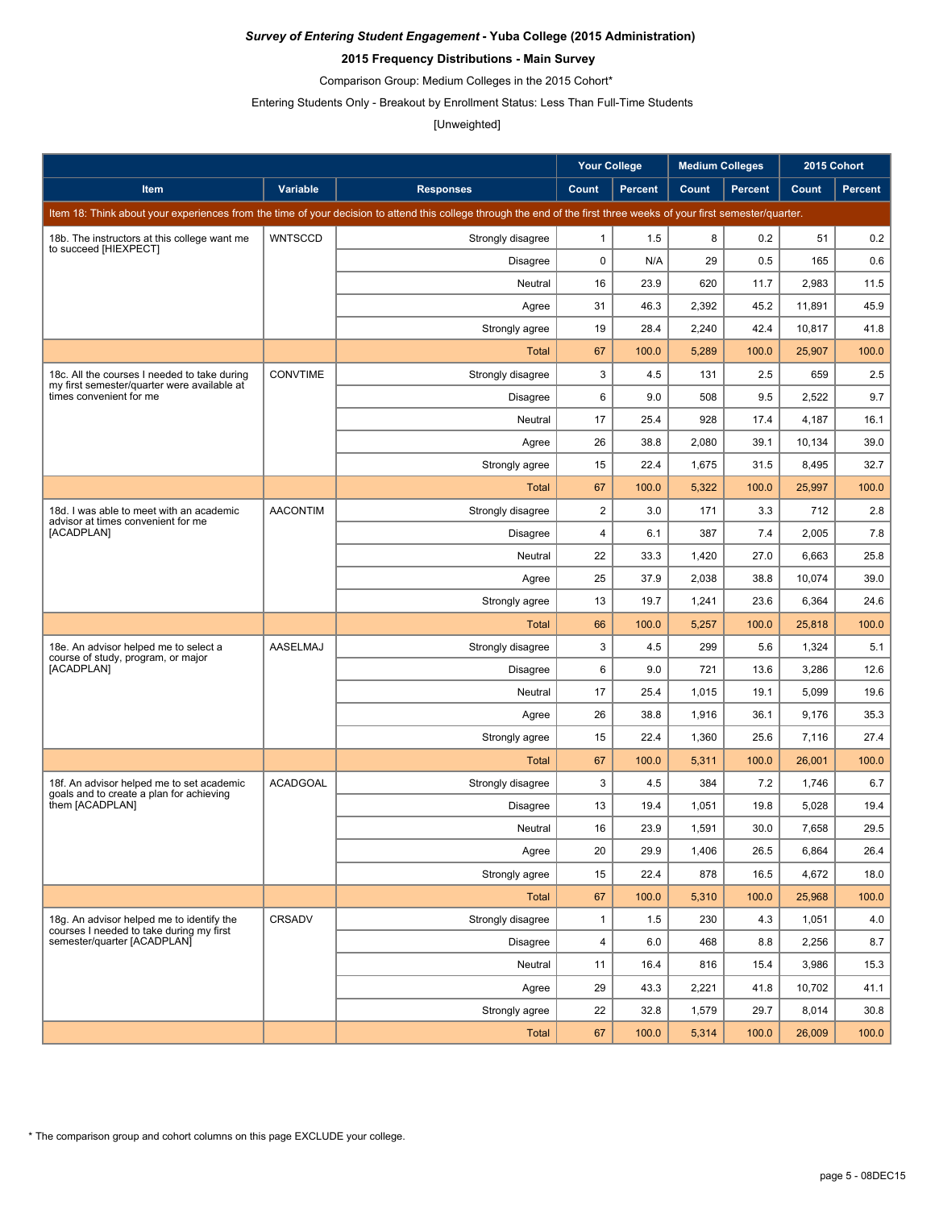### **2015 Frequency Distributions - Main Survey**

Comparison Group: Medium Colleges in the 2015 Cohort\*

Entering Students Only - Breakout by Enrollment Status: Less Than Full-Time Students

# [Unweighted]

|                                                                                             |                 |                                                                                                                                                                      | <b>Your College</b>     |                | <b>Medium Colleges</b> |                | 2015 Cohort |                |
|---------------------------------------------------------------------------------------------|-----------------|----------------------------------------------------------------------------------------------------------------------------------------------------------------------|-------------------------|----------------|------------------------|----------------|-------------|----------------|
| <b>Item</b>                                                                                 | Variable        | <b>Responses</b>                                                                                                                                                     | Count                   | <b>Percent</b> | Count                  | <b>Percent</b> | Count       | <b>Percent</b> |
|                                                                                             |                 | Item 18: Think about your experiences from the time of your decision to attend this college through the end of the first three weeks of your first semester/quarter. |                         |                |                        |                |             |                |
| 18b. The instructors at this college want me                                                | <b>WNTSCCD</b>  | Strongly disagree                                                                                                                                                    | 1                       | 1.5            | 8                      | 0.2            | 51          | 0.2            |
| to succeed [HIEXPECT]                                                                       |                 | <b>Disagree</b>                                                                                                                                                      | $\mathbf 0$             | N/A            | 29                     | 0.5            | 165         | 0.6            |
|                                                                                             |                 | Neutral                                                                                                                                                              | 16                      | 23.9           | 620                    | 11.7           | 2,983       | 11.5           |
|                                                                                             |                 | Agree                                                                                                                                                                | 31                      | 46.3           | 2,392                  | 45.2           | 11,891      | 45.9           |
|                                                                                             |                 | Strongly agree                                                                                                                                                       | 19                      | 28.4           | 2,240                  | 42.4           | 10,817      | 41.8           |
|                                                                                             |                 | Total                                                                                                                                                                | 67                      | 100.0          | 5,289                  | 100.0          | 25,907      | 100.0          |
| 18c. All the courses I needed to take during<br>my first semester/quarter were available at | <b>CONVTIME</b> | Strongly disagree                                                                                                                                                    | 3                       | 4.5            | 131                    | 2.5            | 659         | 2.5            |
| times convenient for me                                                                     |                 | Disagree                                                                                                                                                             | 6                       | 9.0            | 508                    | 9.5            | 2,522       | 9.7            |
|                                                                                             |                 | Neutral                                                                                                                                                              | 17                      | 25.4           | 928                    | 17.4           | 4,187       | 16.1           |
|                                                                                             |                 | Agree                                                                                                                                                                | 26                      | 38.8           | 2,080                  | 39.1           | 10,134      | 39.0           |
|                                                                                             |                 | Strongly agree                                                                                                                                                       | 15                      | 22.4           | 1,675                  | 31.5           | 8,495       | 32.7           |
|                                                                                             |                 | Total                                                                                                                                                                | 67                      | 100.0          | 5,322                  | 100.0          | 25,997      | 100.0          |
| 18d. I was able to meet with an academic<br>advisor at times convenient for me              | <b>AACONTIM</b> | Strongly disagree                                                                                                                                                    | $\overline{\mathbf{c}}$ | 3.0            | 171                    | 3.3            | 712         | 2.8            |
| [ACADPLAN]                                                                                  |                 | <b>Disagree</b>                                                                                                                                                      | 4                       | 6.1            | 387                    | 7.4            | 2,005       | 7.8            |
|                                                                                             |                 | Neutral                                                                                                                                                              | 22                      | 33.3           | 1,420                  | 27.0           | 6,663       | 25.8           |
|                                                                                             |                 | Agree                                                                                                                                                                | 25                      | 37.9           | 2,038                  | 38.8           | 10,074      | 39.0           |
|                                                                                             |                 | Strongly agree                                                                                                                                                       | 13                      | 19.7           | 1,241                  | 23.6           | 6,364       | 24.6           |
|                                                                                             |                 | Total                                                                                                                                                                | 66                      | 100.0          | 5,257                  | 100.0          | 25,818      | 100.0          |
| 18e. An advisor helped me to select a<br>course of study, program, or major                 | AASELMAJ        | Strongly disagree                                                                                                                                                    | 3                       | 4.5            | 299                    | 5.6            | 1,324       | 5.1            |
| [ACADPLAN]                                                                                  |                 | Disagree                                                                                                                                                             | 6                       | 9.0            | 721                    | 13.6           | 3,286       | 12.6           |
|                                                                                             |                 | Neutral                                                                                                                                                              | 17                      | 25.4           | 1,015                  | 19.1           | 5,099       | 19.6           |
|                                                                                             |                 | Agree                                                                                                                                                                | 26                      | 38.8           | 1,916                  | 36.1           | 9,176       | 35.3           |
|                                                                                             |                 | Strongly agree                                                                                                                                                       | 15                      | 22.4           | 1,360                  | 25.6           | 7,116       | 27.4           |
|                                                                                             |                 | Total                                                                                                                                                                | 67                      | 100.0          | 5,311                  | 100.0          | 26,001      | 100.0          |
| 18f. An advisor helped me to set academic<br>goals and to create a plan for achieving       | <b>ACADGOAL</b> | Strongly disagree                                                                                                                                                    | 3                       | 4.5            | 384                    | 7.2            | 1,746       | 6.7            |
| them [ACADPLAN]                                                                             |                 | <b>Disagree</b>                                                                                                                                                      | 13                      | 19.4           | 1,051                  | 19.8           | 5,028       | 19.4           |
|                                                                                             |                 | Neutral                                                                                                                                                              | 16                      | 23.9           | 1,591                  | 30.0           | 7,658       | 29.5           |
|                                                                                             |                 | Agree                                                                                                                                                                | 20                      | 29.9           | 1,406                  | 26.5           | 6,864       | 26.4           |
|                                                                                             |                 | Strongly agree                                                                                                                                                       | 15                      | 22.4           | 878                    | 16.5           | 4,672       | 18.0           |
|                                                                                             |                 | <b>Total</b>                                                                                                                                                         | 67                      | 100.0          | 5,310                  | 100.0          | 25,968      | 100.0          |
| 18g. An advisor helped me to identify the<br>courses I needed to take during my first       | <b>CRSADV</b>   | Strongly disagree                                                                                                                                                    | $\mathbf{1}$            | 1.5            | 230                    | 4.3            | 1,051       | 4.0            |
| semester/quarter [ACADPLAN]                                                                 |                 | <b>Disagree</b>                                                                                                                                                      | $\overline{\mathbf{4}}$ | 6.0            | 468                    | 8.8            | 2,256       | 8.7            |
|                                                                                             |                 | Neutral                                                                                                                                                              | 11                      | 16.4           | 816                    | 15.4           | 3,986       | 15.3           |
|                                                                                             |                 | Agree                                                                                                                                                                | 29                      | 43.3           | 2,221                  | 41.8           | 10.702      | 41.1           |
|                                                                                             |                 | Strongly agree                                                                                                                                                       | 22                      | 32.8           | 1,579                  | 29.7           | 8,014       | 30.8           |
|                                                                                             |                 | <b>Total</b>                                                                                                                                                         | 67                      | 100.0          | 5,314                  | 100.0          | 26,009      | 100.0          |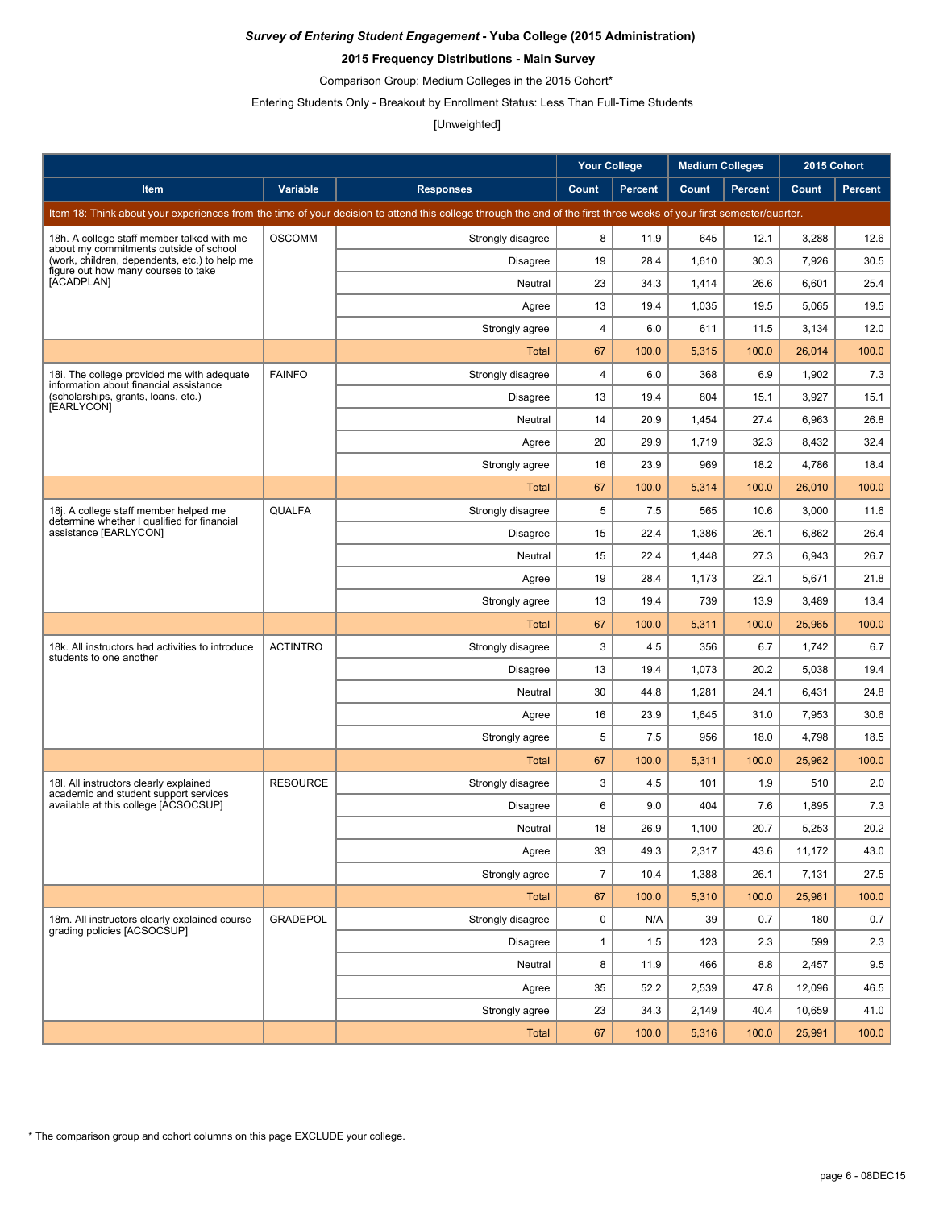### **2015 Frequency Distributions - Main Survey**

Comparison Group: Medium Colleges in the 2015 Cohort\*

Entering Students Only - Breakout by Enrollment Status: Less Than Full-Time Students

## [Unweighted]

|                                                                                         |                 |                                                                                                                                                                      | <b>Your College</b> |                | <b>Medium Colleges</b> |                | 2015 Cohort |         |
|-----------------------------------------------------------------------------------------|-----------------|----------------------------------------------------------------------------------------------------------------------------------------------------------------------|---------------------|----------------|------------------------|----------------|-------------|---------|
| Item                                                                                    | Variable        | <b>Responses</b>                                                                                                                                                     | Count               | <b>Percent</b> | Count                  | <b>Percent</b> | Count       | Percent |
|                                                                                         |                 | Item 18: Think about your experiences from the time of your decision to attend this college through the end of the first three weeks of your first semester/quarter. |                     |                |                        |                |             |         |
| 18h. A college staff member talked with me                                              | <b>OSCOMM</b>   | Strongly disagree                                                                                                                                                    | 8                   | 11.9           | 645                    | 12.1           | 3,288       | 12.6    |
| about my commitments outside of school<br>(work, children, dependents, etc.) to help me |                 | <b>Disagree</b>                                                                                                                                                      | 19                  | 28.4           | 1,610                  | 30.3           | 7,926       | 30.5    |
| figure out how many courses to take<br>[ACADPLAN]                                       |                 | Neutral                                                                                                                                                              | 23                  | 34.3           | 1,414                  | 26.6           | 6,601       | 25.4    |
|                                                                                         |                 | Agree                                                                                                                                                                | 13                  | 19.4           | 1,035                  | 19.5           | 5,065       | 19.5    |
|                                                                                         |                 | Strongly agree                                                                                                                                                       | 4                   | 6.0            | 611                    | 11.5           | 3,134       | 12.0    |
|                                                                                         |                 | Total                                                                                                                                                                | 67                  | 100.0          | 5,315                  | 100.0          | 26,014      | 100.0   |
| 18i. The college provided me with adequate<br>information about financial assistance    | <b>FAINFO</b>   | Strongly disagree                                                                                                                                                    | 4                   | 6.0            | 368                    | 6.9            | 1,902       | 7.3     |
| (scholarships, grants, loans, etc.)<br>[EARLYCON]                                       |                 | <b>Disagree</b>                                                                                                                                                      | 13                  | 19.4           | 804                    | 15.1           | 3,927       | 15.1    |
|                                                                                         |                 | Neutral                                                                                                                                                              | 14                  | 20.9           | 1,454                  | 27.4           | 6,963       | 26.8    |
|                                                                                         |                 | Agree                                                                                                                                                                | 20                  | 29.9           | 1,719                  | 32.3           | 8,432       | 32.4    |
|                                                                                         |                 | Strongly agree                                                                                                                                                       | 16                  | 23.9           | 969                    | 18.2           | 4,786       | 18.4    |
|                                                                                         |                 | Total                                                                                                                                                                | 67                  | 100.0          | 5,314                  | 100.0          | 26,010      | 100.0   |
| 18j. A college staff member helped me<br>determine whether I qualified for financial    | QUALFA          | Strongly disagree                                                                                                                                                    | 5                   | 7.5            | 565                    | 10.6           | 3,000       | 11.6    |
| assistance [EARLYCON]                                                                   |                 | <b>Disagree</b>                                                                                                                                                      | 15                  | 22.4           | 1,386                  | 26.1           | 6,862       | 26.4    |
|                                                                                         |                 | Neutral                                                                                                                                                              | 15                  | 22.4           | 1,448                  | 27.3           | 6,943       | 26.7    |
|                                                                                         |                 | Agree                                                                                                                                                                | 19                  | 28.4           | 1,173                  | 22.1           | 5,671       | 21.8    |
|                                                                                         |                 | Strongly agree                                                                                                                                                       | 13                  | 19.4           | 739                    | 13.9           | 3,489       | 13.4    |
|                                                                                         |                 | <b>Total</b>                                                                                                                                                         | 67                  | 100.0          | 5,311                  | 100.0          | 25,965      | 100.0   |
| 18k. All instructors had activities to introduce<br>students to one another             | <b>ACTINTRO</b> | Strongly disagree                                                                                                                                                    | 3                   | 4.5            | 356                    | 6.7            | 1,742       | 6.7     |
|                                                                                         |                 | <b>Disagree</b>                                                                                                                                                      | 13                  | 19.4           | 1,073                  | 20.2           | 5,038       | 19.4    |
|                                                                                         |                 | Neutral                                                                                                                                                              | 30                  | 44.8           | 1,281                  | 24.1           | 6,431       | 24.8    |
|                                                                                         |                 | Agree                                                                                                                                                                | 16                  | 23.9           | 1,645                  | 31.0           | 7,953       | 30.6    |
|                                                                                         |                 | Strongly agree                                                                                                                                                       | 5                   | 7.5            | 956                    | 18.0           | 4,798       | 18.5    |
|                                                                                         |                 | Total                                                                                                                                                                | 67                  | 100.0          | 5,311                  | 100.0          | 25,962      | 100.0   |
| 18I. All instructors clearly explained<br>academic and student support services         | <b>RESOURCE</b> | Strongly disagree                                                                                                                                                    | 3                   | 4.5            | 101                    | 1.9            | 510         | 2.0     |
| available at this college [ACSOCSUP]                                                    |                 | <b>Disagree</b>                                                                                                                                                      | 6                   | 9.0            | 404                    | 7.6            | 1,895       | 7.3     |
|                                                                                         |                 | Neutral                                                                                                                                                              | 18                  | 26.9           | 1,100                  | 20.7           | 5,253       | 20.2    |
|                                                                                         |                 | Agree                                                                                                                                                                | 33                  | 49.3           | 2,317                  | 43.6           | 11,172      | 43.0    |
|                                                                                         |                 | Strongly agree                                                                                                                                                       | $\overline{7}$      | 10.4           | 1,388                  | 26.1           | 7,131       | 27.5    |
|                                                                                         |                 | <b>Total</b>                                                                                                                                                         | 67                  | 100.0          | 5,310                  | 100.0          | 25,961      | 100.0   |
| 18m. All instructors clearly explained course<br>grading policies [ACSOCSUP]            | <b>GRADEPOL</b> | Strongly disagree                                                                                                                                                    | 0                   | N/A            | 39                     | 0.7            | 180         | 0.7     |
|                                                                                         |                 | <b>Disagree</b>                                                                                                                                                      | $\mathbf{1}$        | 1.5            | 123                    | 2.3            | 599         | 2.3     |
|                                                                                         |                 | Neutral                                                                                                                                                              | 8                   | 11.9           | 466                    | 8.8            | 2,457       | 9.5     |
|                                                                                         |                 | Agree                                                                                                                                                                | 35                  | 52.2           | 2,539                  | 47.8           | 12,096      | 46.5    |
|                                                                                         |                 | Strongly agree                                                                                                                                                       | 23                  | 34.3           | 2,149                  | 40.4           | 10,659      | 41.0    |
|                                                                                         |                 | <b>Total</b>                                                                                                                                                         | 67                  | 100.0          | 5,316                  | 100.0          | 25,991      | 100.0   |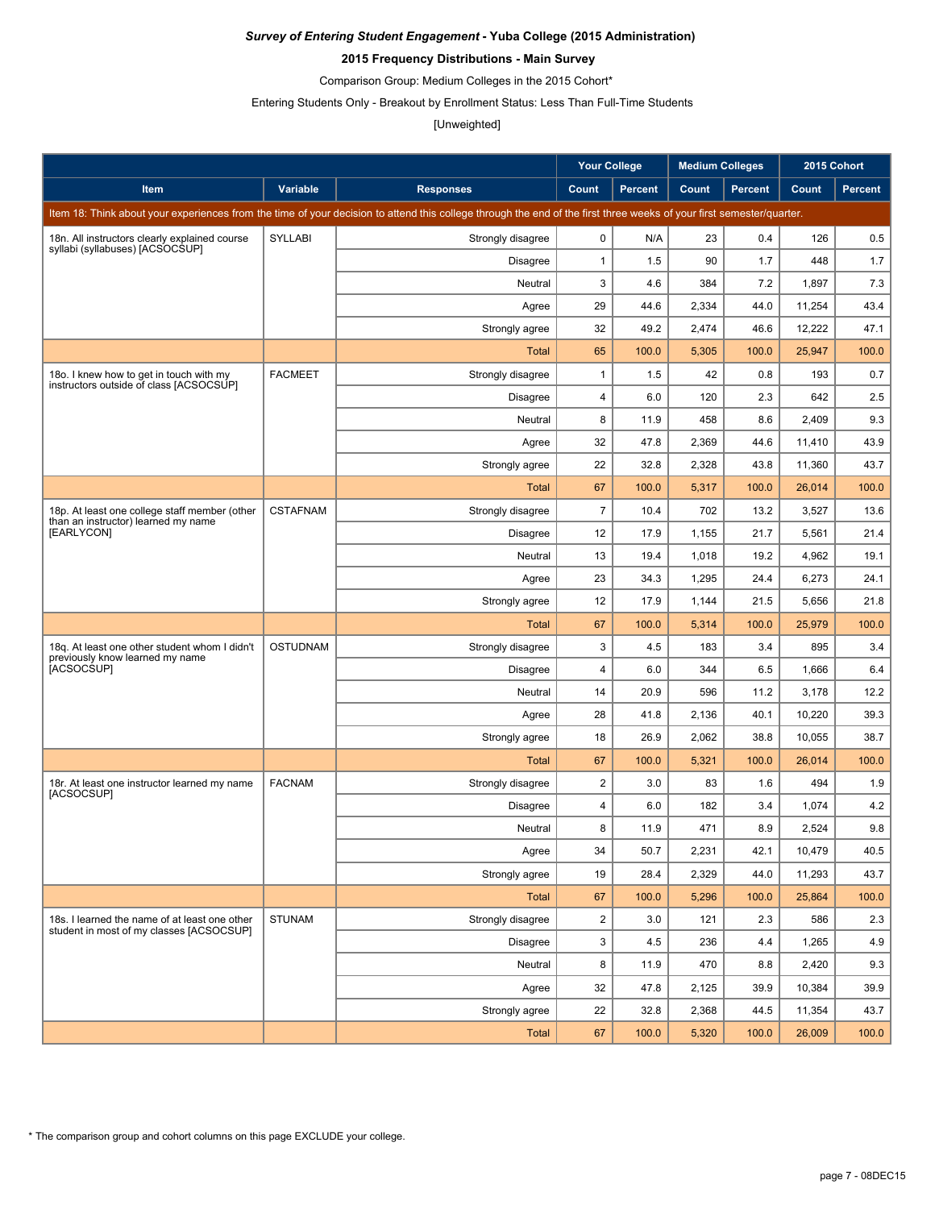### **2015 Frequency Distributions - Main Survey**

Comparison Group: Medium Colleges in the 2015 Cohort\*

Entering Students Only - Breakout by Enrollment Status: Less Than Full-Time Students

## [Unweighted]

|                                                                                           |                 |                                                                                                                                                                      | <b>Your College</b>     |                | <b>Medium Colleges</b> |                | 2015 Cohort |                |
|-------------------------------------------------------------------------------------------|-----------------|----------------------------------------------------------------------------------------------------------------------------------------------------------------------|-------------------------|----------------|------------------------|----------------|-------------|----------------|
| <b>Item</b>                                                                               | <b>Variable</b> | <b>Responses</b>                                                                                                                                                     | Count                   | <b>Percent</b> | Count                  | <b>Percent</b> | Count       | <b>Percent</b> |
|                                                                                           |                 | Item 18: Think about your experiences from the time of your decision to attend this college through the end of the first three weeks of your first semester/quarter. |                         |                |                        |                |             |                |
| 18n. All instructors clearly explained course                                             | <b>SYLLABI</b>  | Strongly disagree                                                                                                                                                    | 0                       | N/A            | 23                     | 0.4            | 126         | 0.5            |
| syllabi (syllabuses) [ACSOCSUP]                                                           |                 | <b>Disagree</b>                                                                                                                                                      | $\mathbf{1}$            | 1.5            | 90                     | 1.7            | 448         | 1.7            |
|                                                                                           |                 | Neutral                                                                                                                                                              | 3                       | 4.6            | 384                    | 7.2            | 1,897       | 7.3            |
|                                                                                           |                 | Agree                                                                                                                                                                | 29                      | 44.6           | 2,334                  | 44.0           | 11,254      | 43.4           |
|                                                                                           |                 | Strongly agree                                                                                                                                                       | 32                      | 49.2           | 2,474                  | 46.6           | 12,222      | 47.1           |
|                                                                                           |                 | Total                                                                                                                                                                | 65                      | 100.0          | 5,305                  | 100.0          | 25,947      | 100.0          |
| 180. I knew how to get in touch with my                                                   | <b>FACMEET</b>  | Strongly disagree                                                                                                                                                    | $\mathbf{1}$            | 1.5            | 42                     | 0.8            | 193         | 0.7            |
| instructors outside of class [ACSOCSUP]                                                   |                 | <b>Disagree</b>                                                                                                                                                      | 4                       | 6.0            | 120                    | 2.3            | 642         | 2.5            |
|                                                                                           |                 | Neutral                                                                                                                                                              | 8                       | 11.9           | 458                    | 8.6            | 2,409       | 9.3            |
|                                                                                           |                 | Agree                                                                                                                                                                | 32                      | 47.8           | 2,369                  | 44.6           | 11,410      | 43.9           |
|                                                                                           |                 | Strongly agree                                                                                                                                                       | 22                      | 32.8           | 2,328                  | 43.8           | 11,360      | 43.7           |
|                                                                                           |                 | Total                                                                                                                                                                | 67                      | 100.0          | 5,317                  | 100.0          | 26,014      | 100.0          |
| 18p. At least one college staff member (other<br>than an instructor) learned my name      | <b>CSTAFNAM</b> | Strongly disagree                                                                                                                                                    | $\overline{7}$          | 10.4           | 702                    | 13.2           | 3,527       | 13.6           |
| [EARLYCON]                                                                                |                 | <b>Disagree</b>                                                                                                                                                      | 12                      | 17.9           | 1,155                  | 21.7           | 5,561       | 21.4           |
|                                                                                           |                 | Neutral                                                                                                                                                              | 13                      | 19.4           | 1,018                  | 19.2           | 4,962       | 19.1           |
|                                                                                           |                 | Agree                                                                                                                                                                | 23                      | 34.3           | 1,295                  | 24.4           | 6,273       | 24.1           |
|                                                                                           |                 | Strongly agree                                                                                                                                                       | 12                      | 17.9           | 1,144                  | 21.5           | 5,656       | 21.8           |
|                                                                                           |                 | <b>Total</b>                                                                                                                                                         | 67                      | 100.0          | 5,314                  | 100.0          | 25,979      | 100.0          |
| 18q. At least one other student whom I didn't<br>previously know learned my name          | <b>OSTUDNAM</b> | Strongly disagree                                                                                                                                                    | 3                       | 4.5            | 183                    | 3.4            | 895         | 3.4            |
| [ACSOCSUP]                                                                                |                 | <b>Disagree</b>                                                                                                                                                      | 4                       | 6.0            | 344                    | 6.5            | 1,666       | 6.4            |
|                                                                                           |                 | Neutral                                                                                                                                                              | 14                      | 20.9           | 596                    | 11.2           | 3,178       | 12.2           |
|                                                                                           |                 | Agree                                                                                                                                                                | 28                      | 41.8           | 2,136                  | 40.1           | 10,220      | 39.3           |
|                                                                                           |                 | Strongly agree                                                                                                                                                       | 18                      | 26.9           | 2,062                  | 38.8           | 10,055      | 38.7           |
|                                                                                           |                 | Total                                                                                                                                                                | 67                      | 100.0          | 5,321                  | 100.0          | 26,014      | 100.0          |
| 18r. At least one instructor learned my name<br>[ACSOCSUP]                                | <b>FACNAM</b>   | Strongly disagree                                                                                                                                                    | $\overline{\mathbf{c}}$ | 3.0            | 83                     | 1.6            | 494         | 1.9            |
|                                                                                           |                 | <b>Disagree</b>                                                                                                                                                      | 4                       | 6.0            | 182                    | 3.4            | 1,074       | 4.2            |
|                                                                                           |                 | Neutral                                                                                                                                                              | 8                       | 11.9           | 471                    | 8.9            | 2,524       | 9.8            |
|                                                                                           |                 | Agree                                                                                                                                                                | 34                      | 50.7           | 2,231                  | 42.1           | 10,479      | 40.5           |
|                                                                                           |                 | Strongly agree                                                                                                                                                       | 19                      | 28.4           | 2,329                  | 44.0           | 11,293      | 43.7           |
|                                                                                           |                 | Total                                                                                                                                                                | 67                      | 100.0          | 5,296                  | 100.0          | 25,864      | 100.0          |
| 18s. I learned the name of at least one other<br>student in most of my classes [ACSOCSUP] | <b>STUNAM</b>   | Strongly disagree                                                                                                                                                    | $\overline{\mathbf{c}}$ | 3.0            | 121                    | 2.3            | 586         | 2.3            |
|                                                                                           |                 | <b>Disagree</b>                                                                                                                                                      | 3                       | 4.5            | 236                    | 4.4            | 1,265       | 4.9            |
|                                                                                           |                 | Neutral                                                                                                                                                              | 8                       | 11.9           | 470                    | 8.8            | 2,420       | 9.3            |
|                                                                                           |                 | Agree                                                                                                                                                                | 32                      | 47.8           | 2,125                  | 39.9           | 10,384      | 39.9           |
|                                                                                           |                 | Strongly agree                                                                                                                                                       | 22                      | 32.8           | 2,368                  | 44.5           | 11,354      | 43.7           |
|                                                                                           |                 | Total                                                                                                                                                                | 67                      | 100.0          | 5,320                  | 100.0          | 26,009      | 100.0          |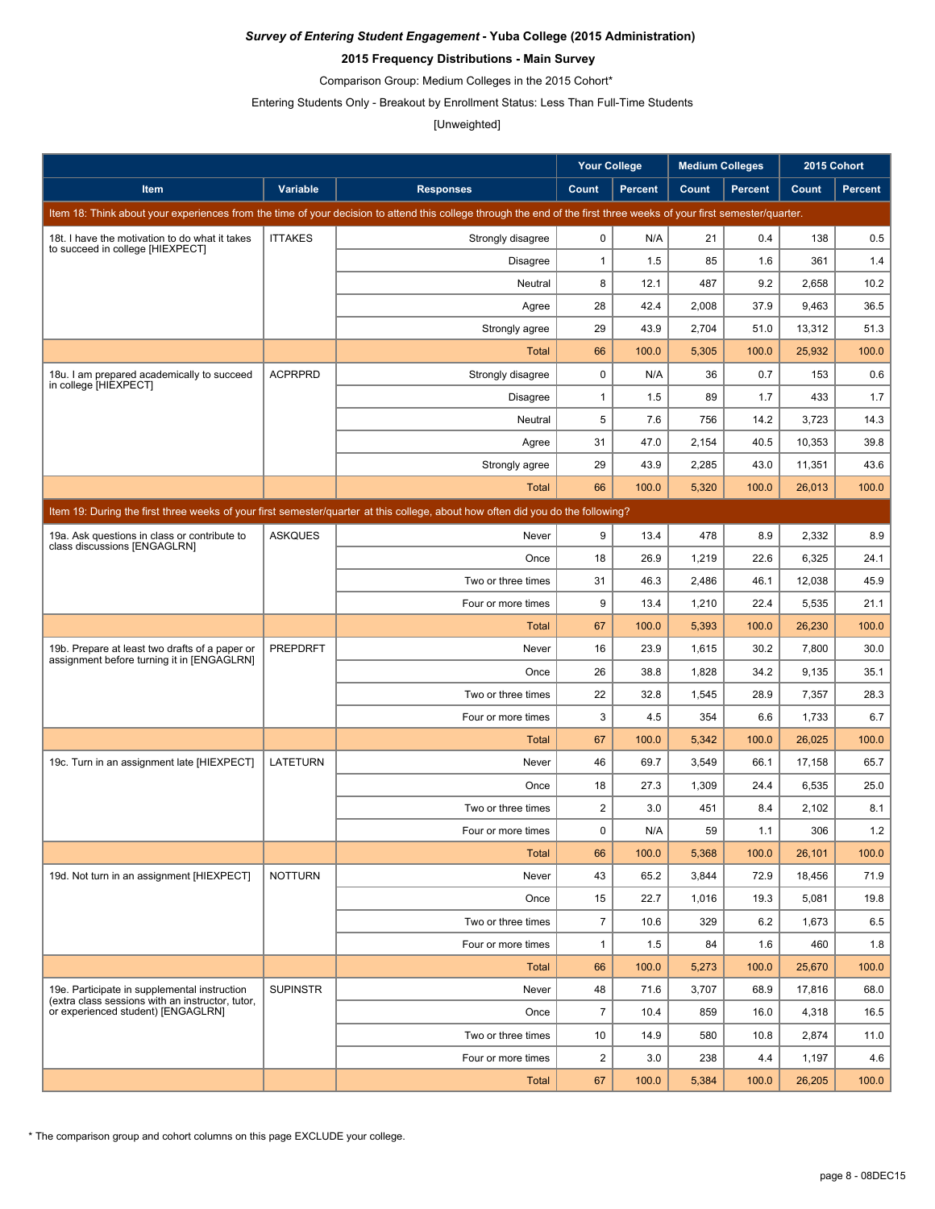### **2015 Frequency Distributions - Main Survey**

Comparison Group: Medium Colleges in the 2015 Cohort\*

Entering Students Only - Breakout by Enrollment Status: Less Than Full-Time Students

### [Unweighted]

|                                                                                                                                 |                 |                                                                                                                                                                      | <b>Your College</b> |                | <b>Medium Colleges</b> |                | 2015 Cohort |                |  |  |
|---------------------------------------------------------------------------------------------------------------------------------|-----------------|----------------------------------------------------------------------------------------------------------------------------------------------------------------------|---------------------|----------------|------------------------|----------------|-------------|----------------|--|--|
| Item                                                                                                                            | Variable        | <b>Responses</b>                                                                                                                                                     | Count               | <b>Percent</b> | Count                  | <b>Percent</b> | Count       | <b>Percent</b> |  |  |
|                                                                                                                                 |                 | Item 18: Think about your experiences from the time of your decision to attend this college through the end of the first three weeks of your first semester/quarter. |                     |                |                        |                |             |                |  |  |
| 18t. I have the motivation to do what it takes                                                                                  | <b>ITTAKES</b>  | Strongly disagree                                                                                                                                                    | $\mathbf 0$         | N/A            | 21                     | 0.4            | 138         | 0.5            |  |  |
| to succeed in college [HIEXPECT]                                                                                                |                 | <b>Disagree</b>                                                                                                                                                      | $\mathbf{1}$        | 1.5            | 85                     | 1.6            | 361         | 1.4            |  |  |
|                                                                                                                                 |                 | Neutral                                                                                                                                                              | 8                   | 12.1           | 487                    | 9.2            | 2,658       | 10.2           |  |  |
|                                                                                                                                 |                 | Agree                                                                                                                                                                | 28                  | 42.4           | 2,008                  | 37.9           | 9,463       | 36.5           |  |  |
|                                                                                                                                 |                 | Strongly agree                                                                                                                                                       | 29                  | 43.9           | 2,704                  | 51.0           | 13,312      | 51.3           |  |  |
|                                                                                                                                 |                 | Total                                                                                                                                                                | 66                  | 100.0          | 5,305                  | 100.0          | 25,932      | 100.0          |  |  |
| 18u. I am prepared academically to succeed                                                                                      | <b>ACPRPRD</b>  | Strongly disagree                                                                                                                                                    | $\mathbf 0$         | N/A            | 36                     | 0.7            | 153         | 0.6            |  |  |
| in college [HIEXPECT]                                                                                                           |                 | Disagree                                                                                                                                                             | $\mathbf{1}$        | 1.5            | 89                     | 1.7            | 433         | 1.7            |  |  |
|                                                                                                                                 |                 | Neutral                                                                                                                                                              | 5                   | 7.6            | 756                    | 14.2           | 3,723       | 14.3           |  |  |
|                                                                                                                                 |                 | Agree                                                                                                                                                                | 31                  | 47.0           | 2,154                  | 40.5           | 10,353      | 39.8           |  |  |
|                                                                                                                                 |                 | Strongly agree                                                                                                                                                       | 29                  | 43.9           | 2,285                  | 43.0           | 11,351      | 43.6           |  |  |
|                                                                                                                                 |                 | Total                                                                                                                                                                | 66                  | 100.0          | 5,320                  | 100.0          | 26.013      | 100.0          |  |  |
| Item 19: During the first three weeks of your first semester/quarter at this college, about how often did you do the following? |                 |                                                                                                                                                                      |                     |                |                        |                |             |                |  |  |
| 19a. Ask questions in class or contribute to                                                                                    | <b>ASKQUES</b>  | Never                                                                                                                                                                | 9                   | 13.4           | 478                    | 8.9            | 2,332       | 8.9            |  |  |
| class discussions [ENGAGLRN]                                                                                                    |                 | Once                                                                                                                                                                 | 18                  | 26.9           | 1,219                  | 22.6           | 6,325       | 24.1           |  |  |
|                                                                                                                                 |                 | Two or three times                                                                                                                                                   | 31                  | 46.3           | 2,486                  | 46.1           | 12,038      | 45.9           |  |  |
|                                                                                                                                 |                 | Four or more times                                                                                                                                                   | 9                   | 13.4           | 1,210                  | 22.4           | 5,535       | 21.1           |  |  |
|                                                                                                                                 |                 | <b>Total</b>                                                                                                                                                         | 67                  | 100.0          | 5,393                  | 100.0          | 26,230      | 100.0          |  |  |
| 19b. Prepare at least two drafts of a paper or                                                                                  | <b>PREPDRFT</b> | Never                                                                                                                                                                | 16                  | 23.9           | 1,615                  | 30.2           | 7,800       | 30.0           |  |  |
| assignment before turning it in [ENGAGLRN]                                                                                      |                 | Once                                                                                                                                                                 | 26                  | 38.8           | 1,828                  | 34.2           | 9,135       | 35.1           |  |  |
|                                                                                                                                 |                 | Two or three times                                                                                                                                                   | 22                  | 32.8           | 1,545                  | 28.9           | 7,357       | 28.3           |  |  |
|                                                                                                                                 |                 | Four or more times                                                                                                                                                   | 3                   | 4.5            | 354                    | 6.6            | 1,733       | 6.7            |  |  |
|                                                                                                                                 |                 | Total                                                                                                                                                                | 67                  | 100.0          | 5,342                  | 100.0          | 26,025      | 100.0          |  |  |
| 19c. Turn in an assignment late [HIEXPECT]                                                                                      | <b>LATETURN</b> | Never                                                                                                                                                                | 46                  | 69.7           | 3,549                  | 66.1           | 17,158      | 65.7           |  |  |
|                                                                                                                                 |                 | Once                                                                                                                                                                 | 18                  | 27.3           | 1,309                  | 24.4           | 6,535       | 25.0           |  |  |
|                                                                                                                                 |                 | Two or three times                                                                                                                                                   | $\overline{2}$      | 3.0            | 451                    | 8.4            | 2,102       | 8.1            |  |  |
|                                                                                                                                 |                 | Four or more times                                                                                                                                                   | 0                   | N/A            | 59                     | 1.1            | 306         | 1.2            |  |  |
|                                                                                                                                 |                 | <b>Total</b>                                                                                                                                                         | 66                  | 100.0          | 5,368                  | 100.0          | 26,101      | 100.0          |  |  |
| 19d. Not turn in an assignment [HIEXPECT]                                                                                       | <b>NOTTURN</b>  | Never                                                                                                                                                                | 43                  | 65.2           | 3,844                  | 72.9           | 18,456      | 71.9           |  |  |
|                                                                                                                                 |                 | Once                                                                                                                                                                 | 15                  | 22.7           | 1,016                  | 19.3           | 5,081       | 19.8           |  |  |
|                                                                                                                                 |                 | Two or three times                                                                                                                                                   | $\overline{7}$      | 10.6           | 329                    | 6.2            | 1,673       | 6.5            |  |  |
|                                                                                                                                 |                 | Four or more times                                                                                                                                                   | $\mathbf{1}$        | 1.5            | 84                     | 1.6            | 460         | 1.8            |  |  |
|                                                                                                                                 |                 | <b>Total</b>                                                                                                                                                         | 66                  | 100.0          | 5,273                  | 100.0          | 25.670      | 100.0          |  |  |
| 19e. Participate in supplemental instruction<br>(extra class sessions with an instructor, tutor,                                | <b>SUPINSTR</b> | Never                                                                                                                                                                | 48                  | 71.6           | 3,707                  | 68.9           | 17,816      | 68.0           |  |  |
| or experienced student) [ENGAGLRN]                                                                                              |                 | Once                                                                                                                                                                 | $\overline{7}$      | 10.4           | 859                    | 16.0           | 4,318       | 16.5           |  |  |
|                                                                                                                                 |                 | Two or three times                                                                                                                                                   | 10                  | 14.9           | 580                    | 10.8           | 2,874       | 11.0           |  |  |
|                                                                                                                                 |                 | Four or more times                                                                                                                                                   | $\overline{2}$      | 3.0            | 238                    | 4.4            | 1,197       | 4.6            |  |  |
|                                                                                                                                 |                 | <b>Total</b>                                                                                                                                                         | 67                  | 100.0          | 5,384                  | 100.0          | 26,205      | 100.0          |  |  |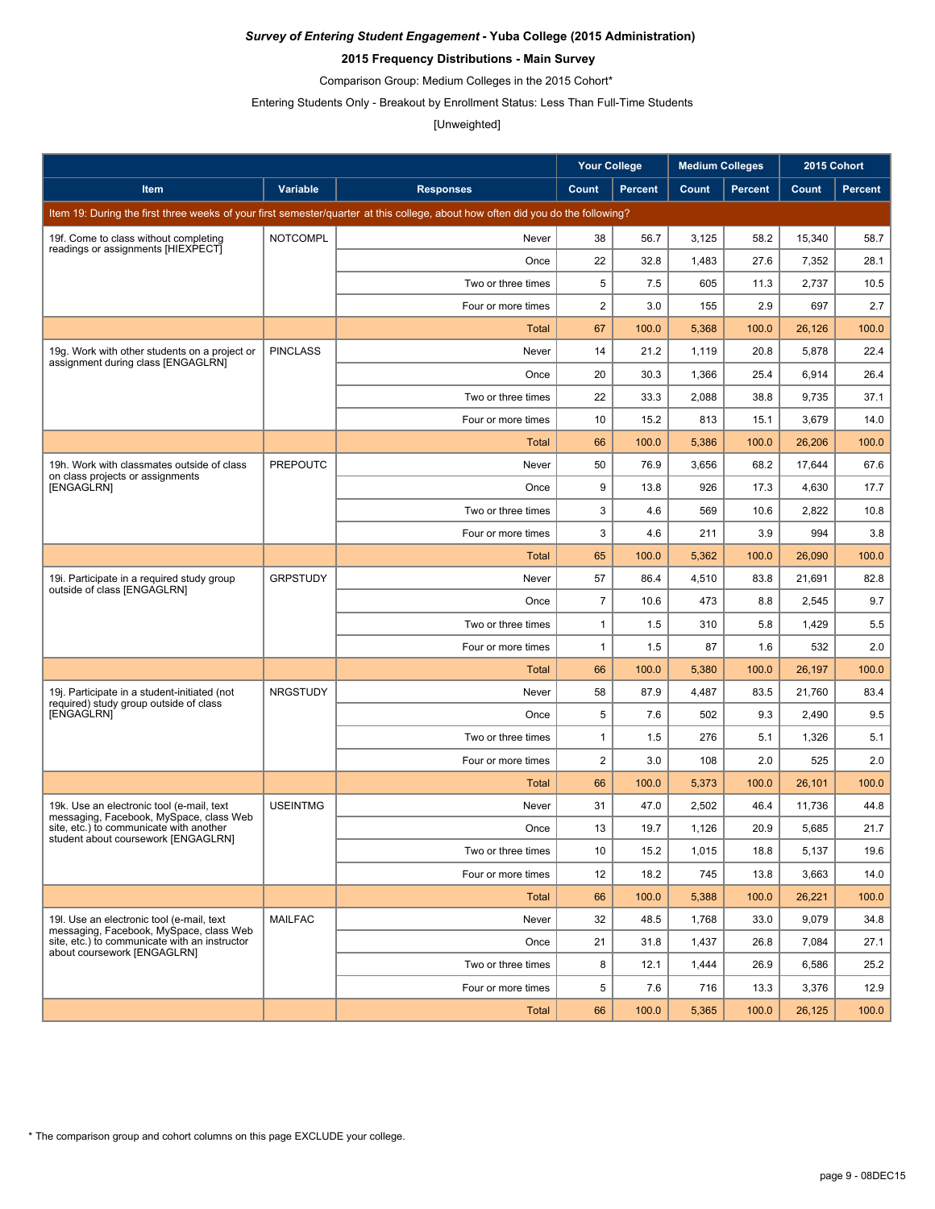### **2015 Frequency Distributions - Main Survey**

Comparison Group: Medium Colleges in the 2015 Cohort\*

Entering Students Only - Breakout by Enrollment Status: Less Than Full-Time Students

#### [Unweighted]

|                                                                                        |                 |                                                                                                                                 | <b>Your College</b> |                | <b>Medium Colleges</b> |                | 2015 Cohort |                |
|----------------------------------------------------------------------------------------|-----------------|---------------------------------------------------------------------------------------------------------------------------------|---------------------|----------------|------------------------|----------------|-------------|----------------|
| Item                                                                                   | Variable        | <b>Responses</b>                                                                                                                | Count               | <b>Percent</b> | Count                  | <b>Percent</b> | Count       | <b>Percent</b> |
|                                                                                        |                 | Item 19: During the first three weeks of your first semester/quarter at this college, about how often did you do the following? |                     |                |                        |                |             |                |
| 19f. Come to class without completing                                                  | <b>NOTCOMPL</b> | Never                                                                                                                           | 38                  | 56.7           | 3,125                  | 58.2           | 15,340      | 58.7           |
| readings or assignments [HIEXPECT]                                                     |                 | Once                                                                                                                            | 22                  | 32.8           | 1,483                  | 27.6           | 7,352       | 28.1           |
|                                                                                        |                 | Two or three times                                                                                                              | 5                   | 7.5            | 605                    | 11.3           | 2,737       | 10.5           |
|                                                                                        |                 | Four or more times                                                                                                              | $\overline{2}$      | 3.0            | 155                    | 2.9            | 697         | 2.7            |
|                                                                                        |                 | Total                                                                                                                           | 67                  | 100.0          | 5,368                  | 100.0          | 26.126      | 100.0          |
| 19g. Work with other students on a project or<br>assignment during class [ENGAGLRN]    | <b>PINCLASS</b> | Never                                                                                                                           | 14                  | 21.2           | 1,119                  | 20.8           | 5,878       | 22.4           |
|                                                                                        |                 | Once                                                                                                                            | 20                  | 30.3           | 1,366                  | 25.4           | 6,914       | 26.4           |
|                                                                                        |                 | Two or three times                                                                                                              | 22                  | 33.3           | 2,088                  | 38.8           | 9,735       | 37.1           |
|                                                                                        |                 | Four or more times                                                                                                              | 10                  | 15.2           | 813                    | 15.1           | 3,679       | 14.0           |
|                                                                                        |                 | Total                                                                                                                           | 66                  | 100.0          | 5,386                  | 100.0          | 26,206      | 100.0          |
| 19h. Work with classmates outside of class<br>on class projects or assignments         | <b>PREPOUTC</b> | Never                                                                                                                           | 50                  | 76.9           | 3,656                  | 68.2           | 17,644      | 67.6           |
| [ENGAGLRN]                                                                             |                 | Once                                                                                                                            | 9                   | 13.8           | 926                    | 17.3           | 4,630       | 17.7           |
|                                                                                        |                 | Two or three times                                                                                                              | 3                   | 4.6            | 569                    | 10.6           | 2,822       | 10.8           |
|                                                                                        |                 | Four or more times                                                                                                              | 3                   | 4.6            | 211                    | 3.9            | 994         | 3.8            |
|                                                                                        |                 | <b>Total</b>                                                                                                                    | 65                  | 100.0          | 5,362                  | 100.0          | 26,090      | 100.0          |
| 19. Participate in a required study group<br>outside of class [ENGAGLRN]               | <b>GRPSTUDY</b> | Never                                                                                                                           | 57                  | 86.4           | 4,510                  | 83.8           | 21,691      | 82.8           |
|                                                                                        |                 | Once                                                                                                                            | $\overline{7}$      | 10.6           | 473                    | 8.8            | 2,545       | 9.7            |
|                                                                                        |                 | Two or three times                                                                                                              | $\mathbf{1}$        | 1.5            | 310                    | 5.8            | 1,429       | 5.5            |
|                                                                                        |                 | Four or more times                                                                                                              | $\mathbf{1}$        | 1.5            | 87                     | 1.6            | 532         | 2.0            |
|                                                                                        |                 | <b>Total</b>                                                                                                                    | 66                  | 100.0          | 5,380                  | 100.0          | 26,197      | 100.0          |
| 19j. Participate in a student-initiated (not<br>required) study group outside of class | <b>NRGSTUDY</b> | Never                                                                                                                           | 58                  | 87.9           | 4,487                  | 83.5           | 21,760      | 83.4           |
| [ENGAGLRN]                                                                             |                 | Once                                                                                                                            | 5                   | 7.6            | 502                    | 9.3            | 2,490       | 9.5            |
|                                                                                        |                 | Two or three times                                                                                                              | $\mathbf{1}$        | 1.5            | 276                    | 5.1            | 1,326       | 5.1            |
|                                                                                        |                 | Four or more times                                                                                                              | $\overline{2}$      | 3.0            | 108                    | 2.0            | 525         | 2.0            |
|                                                                                        |                 | Total                                                                                                                           | 66                  | 100.0          | 5,373                  | 100.0          | 26,101      | 100.0          |
| 19k. Use an electronic tool (e-mail, text<br>messaging, Facebook, MySpace, class Web   | <b>USEINTMG</b> | Never                                                                                                                           | 31                  | 47.0           | 2,502                  | 46.4           | 11,736      | 44.8           |
| site, etc.) to communicate with another<br>student about coursework [ENGAGLRN]         |                 | Once                                                                                                                            | 13                  | 19.7           | 1,126                  | 20.9           | 5,685       | 21.7           |
|                                                                                        |                 | Two or three times                                                                                                              | 10                  | 15.2           | 1,015                  | 18.8           | 5,137       | 19.6           |
|                                                                                        |                 | Four or more times                                                                                                              | 12                  | 18.2           | 745                    | 13.8           | 3,663       | 14.0           |
|                                                                                        |                 | <b>Total</b>                                                                                                                    | 66                  | 100.0          | 5,388                  | 100.0          | 26,221      | 100.0          |
| 19I. Use an electronic tool (e-mail, text<br>messaging, Facebook, MySpace, class Web   | <b>MAILFAC</b>  | Never                                                                                                                           | 32                  | 48.5           | 1,768                  | 33.0           | 9,079       | 34.8           |
| site, etc.) to communicate with an instructor<br>about coursework [ENGAGLRN]           |                 | Once                                                                                                                            | 21                  | 31.8           | 1,437                  | 26.8           | 7,084       | 27.1           |
|                                                                                        |                 | Two or three times                                                                                                              | 8                   | 12.1           | 1,444                  | 26.9           | 6,586       | 25.2           |
|                                                                                        |                 | Four or more times                                                                                                              | 5                   | 7.6            | 716                    | 13.3           | 3,376       | 12.9           |
|                                                                                        |                 | <b>Total</b>                                                                                                                    | 66                  | 100.0          | 5,365                  | 100.0          | 26,125      | 100.0          |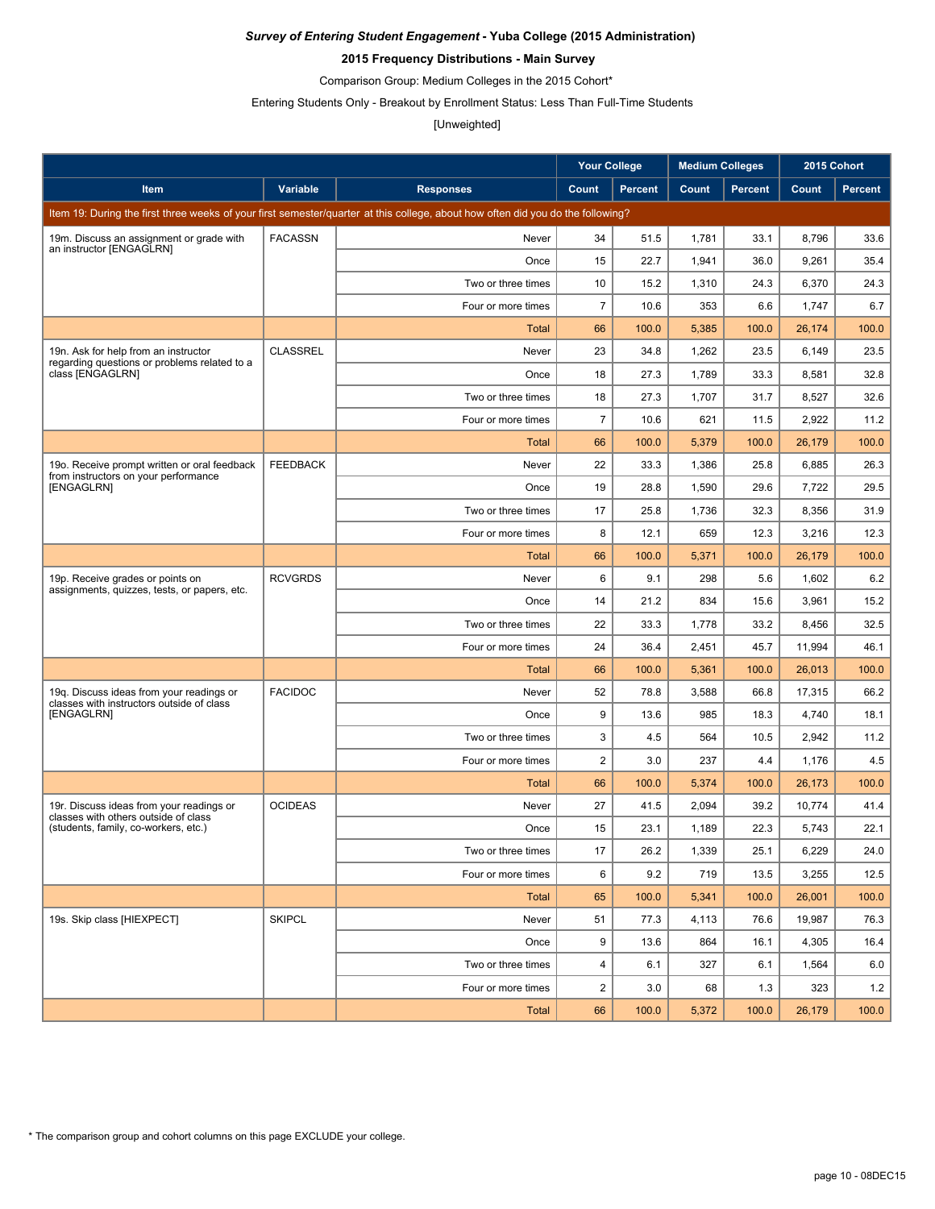### **2015 Frequency Distributions - Main Survey**

Comparison Group: Medium Colleges in the 2015 Cohort\*

Entering Students Only - Breakout by Enrollment Status: Less Than Full-Time Students

#### [Unweighted]

|                                                                                       |                 |                                                                                                                                 | <b>Your College</b> |                | <b>Medium Colleges</b> |                |        | 2015 Cohort    |
|---------------------------------------------------------------------------------------|-----------------|---------------------------------------------------------------------------------------------------------------------------------|---------------------|----------------|------------------------|----------------|--------|----------------|
| Item                                                                                  | Variable        | <b>Responses</b>                                                                                                                | Count               | <b>Percent</b> | Count                  | <b>Percent</b> | Count  | <b>Percent</b> |
|                                                                                       |                 | Item 19: During the first three weeks of your first semester/quarter at this college, about how often did you do the following? |                     |                |                        |                |        |                |
| 19m. Discuss an assignment or grade with                                              | <b>FACASSN</b>  | Never                                                                                                                           | 34                  | 51.5           | 1,781                  | 33.1           | 8,796  | 33.6           |
| an instructor [ENGAGLRN]                                                              |                 | Once                                                                                                                            | 15                  | 22.7           | 1,941                  | 36.0           | 9,261  | 35.4           |
|                                                                                       |                 | Two or three times                                                                                                              | 10                  | 15.2           | 1,310                  | 24.3           | 6,370  | 24.3           |
|                                                                                       |                 | Four or more times                                                                                                              | $\overline{7}$      | 10.6           | 353                    | 6.6            | 1,747  | 6.7            |
|                                                                                       |                 | Total                                                                                                                           | 66                  | 100.0          | 5,385                  | 100.0          | 26,174 | 100.0          |
| 19n. Ask for help from an instructor                                                  | <b>CLASSREL</b> | Never                                                                                                                           | 23                  | 34.8           | 1,262                  | 23.5           | 6,149  | 23.5           |
| regarding questions or problems related to a<br>class [ENGAGLRN]                      |                 | Once                                                                                                                            | 18                  | 27.3           | 1,789                  | 33.3           | 8,581  | 32.8           |
|                                                                                       |                 | Two or three times                                                                                                              | 18                  | 27.3           | 1,707                  | 31.7           | 8,527  | 32.6           |
|                                                                                       |                 | Four or more times                                                                                                              | $\overline{7}$      | 10.6           | 621                    | 11.5           | 2,922  | 11.2           |
|                                                                                       |                 | Total                                                                                                                           | 66                  | 100.0          | 5,379                  | 100.0          | 26,179 | 100.0          |
| 190. Receive prompt written or oral feedback<br>from instructors on your performance  | <b>FEEDBACK</b> | Never                                                                                                                           | 22                  | 33.3           | 1,386                  | 25.8           | 6,885  | 26.3           |
| [ENGAGLRN]                                                                            |                 | Once                                                                                                                            | 19                  | 28.8           | 1,590                  | 29.6           | 7,722  | 29.5           |
|                                                                                       |                 | Two or three times                                                                                                              | 17                  | 25.8           | 1,736                  | 32.3           | 8,356  | 31.9           |
|                                                                                       |                 | Four or more times                                                                                                              | 8                   | 12.1           | 659                    | 12.3           | 3,216  | 12.3           |
|                                                                                       |                 | <b>Total</b>                                                                                                                    | 66                  | 100.0          | 5,371                  | 100.0          | 26,179 | 100.0          |
| 19p. Receive grades or points on<br>assignments, quizzes, tests, or papers, etc.      | <b>RCVGRDS</b>  | Never                                                                                                                           | 6                   | 9.1            | 298                    | 5.6            | 1,602  | 6.2            |
|                                                                                       |                 | Once                                                                                                                            | 14                  | 21.2           | 834                    | 15.6           | 3,961  | 15.2           |
|                                                                                       |                 | Two or three times                                                                                                              | 22                  | 33.3           | 1,778                  | 33.2           | 8,456  | 32.5           |
|                                                                                       |                 | Four or more times                                                                                                              | 24                  | 36.4           | 2,451                  | 45.7           | 11,994 | 46.1           |
|                                                                                       |                 | <b>Total</b>                                                                                                                    | 66                  | 100.0          | 5,361                  | 100.0          | 26,013 | 100.0          |
| 19q. Discuss ideas from your readings or<br>classes with instructors outside of class | <b>FACIDOC</b>  | Never                                                                                                                           | 52                  | 78.8           | 3,588                  | 66.8           | 17,315 | 66.2           |
| [ENGAGLRN]                                                                            |                 | Once                                                                                                                            | 9                   | 13.6           | 985                    | 18.3           | 4,740  | 18.1           |
|                                                                                       |                 | Two or three times                                                                                                              | 3                   | 4.5            | 564                    | 10.5           | 2,942  | 11.2           |
|                                                                                       |                 | Four or more times                                                                                                              | $\overline{2}$      | 3.0            | 237                    | 4.4            | 1,176  | 4.5            |
|                                                                                       |                 | Total                                                                                                                           | 66                  | 100.0          | 5,374                  | 100.0          | 26,173 | 100.0          |
| 19r. Discuss ideas from your readings or<br>classes with others outside of class      | <b>OCIDEAS</b>  | Never                                                                                                                           | 27                  | 41.5           | 2,094                  | 39.2           | 10,774 | 41.4           |
| (students, family, co-workers, etc.)                                                  |                 | Once                                                                                                                            | 15                  | 23.1           | 1,189                  | 22.3           | 5,743  | 22.1           |
|                                                                                       |                 | Two or three times                                                                                                              | 17                  | 26.2           | 1,339                  | 25.1           | 6,229  | 24.0           |
|                                                                                       |                 | Four or more times                                                                                                              | 6                   | 9.2            | 719                    | 13.5           | 3,255  | 12.5           |
|                                                                                       |                 | <b>Total</b>                                                                                                                    | 65                  | 100.0          | 5,341                  | 100.0          | 26,001 | 100.0          |
| 19s. Skip class [HIEXPECT]                                                            | <b>SKIPCL</b>   | Never                                                                                                                           | 51                  | 77.3           | 4,113                  | 76.6           | 19,987 | 76.3           |
|                                                                                       |                 | Once                                                                                                                            | 9                   | 13.6           | 864                    | 16.1           | 4,305  | 16.4           |
|                                                                                       |                 | Two or three times                                                                                                              | 4                   | 6.1            | 327                    | 6.1            | 1,564  | 6.0            |
|                                                                                       |                 | Four or more times                                                                                                              | $\overline{c}$      | 3.0            | 68                     | 1.3            | 323    | 1.2            |
|                                                                                       |                 | Total                                                                                                                           | 66                  | 100.0          | 5,372                  | 100.0          | 26,179 | 100.0          |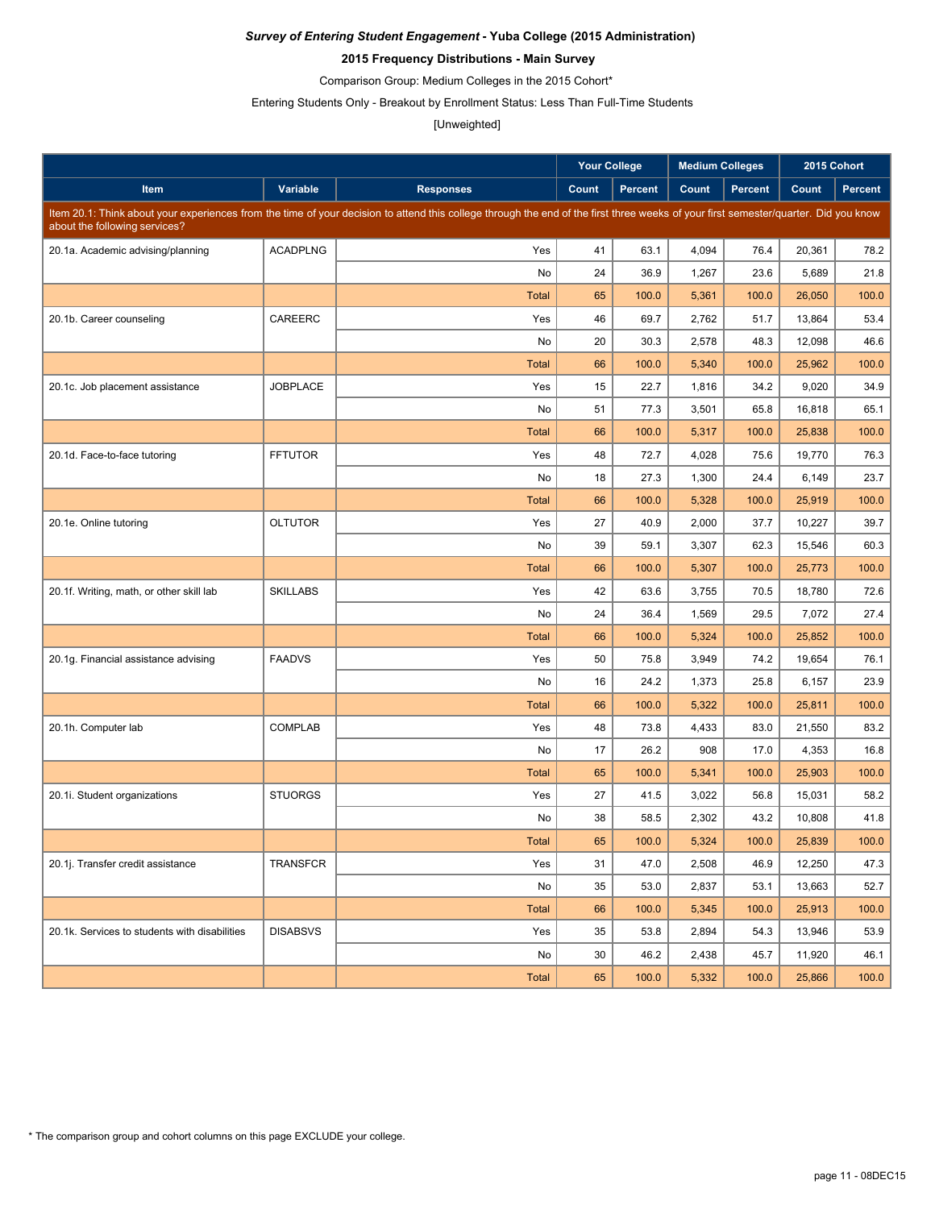### **2015 Frequency Distributions - Main Survey**

Comparison Group: Medium Colleges in the 2015 Cohort\*

Entering Students Only - Breakout by Enrollment Status: Less Than Full-Time Students

#### [Unweighted]

|                                               |                 |                                                                                                                                                                                     | <b>Your College</b> |                | <b>Medium Colleges</b> |                | 2015 Cohort |         |
|-----------------------------------------------|-----------------|-------------------------------------------------------------------------------------------------------------------------------------------------------------------------------------|---------------------|----------------|------------------------|----------------|-------------|---------|
| Item                                          | Variable        | <b>Responses</b>                                                                                                                                                                    | Count               | <b>Percent</b> | Count                  | <b>Percent</b> | Count       | Percent |
| about the following services?                 |                 | Item 20.1: Think about your experiences from the time of your decision to attend this college through the end of the first three weeks of your first semester/quarter. Did you know |                     |                |                        |                |             |         |
| 20.1a. Academic advising/planning             | <b>ACADPLNG</b> | Yes                                                                                                                                                                                 | 41                  | 63.1           | 4,094                  | 76.4           | 20,361      | 78.2    |
|                                               |                 | No                                                                                                                                                                                  | 24                  | 36.9           | 1,267                  | 23.6           | 5,689       | 21.8    |
|                                               |                 | <b>Total</b>                                                                                                                                                                        | 65                  | 100.0          | 5,361                  | 100.0          | 26,050      | 100.0   |
| 20.1b. Career counseling                      | CAREERC         | Yes                                                                                                                                                                                 | 46                  | 69.7           | 2,762                  | 51.7           | 13,864      | 53.4    |
|                                               |                 | No                                                                                                                                                                                  | 20                  | 30.3           | 2,578                  | 48.3           | 12,098      | 46.6    |
|                                               |                 | <b>Total</b>                                                                                                                                                                        | 66                  | 100.0          | 5,340                  | 100.0          | 25,962      | 100.0   |
| 20.1c. Job placement assistance               | <b>JOBPLACE</b> | Yes                                                                                                                                                                                 | 15                  | 22.7           | 1,816                  | 34.2           | 9,020       | 34.9    |
|                                               |                 | No                                                                                                                                                                                  | 51                  | 77.3           | 3,501                  | 65.8           | 16,818      | 65.1    |
|                                               |                 | <b>Total</b>                                                                                                                                                                        | 66                  | 100.0          | 5,317                  | 100.0          | 25,838      | 100.0   |
| 20.1d. Face-to-face tutoring                  | <b>FFTUTOR</b>  | Yes                                                                                                                                                                                 | 48                  | 72.7           | 4,028                  | 75.6           | 19,770      | 76.3    |
|                                               |                 | No                                                                                                                                                                                  | 18                  | 27.3           | 1,300                  | 24.4           | 6,149       | 23.7    |
|                                               |                 | <b>Total</b>                                                                                                                                                                        | 66                  | 100.0          | 5,328                  | 100.0          | 25,919      | 100.0   |
| 20.1e. Online tutoring                        | <b>OLTUTOR</b>  | Yes                                                                                                                                                                                 | 27                  | 40.9           | 2,000                  | 37.7           | 10,227      | 39.7    |
|                                               |                 | No                                                                                                                                                                                  | 39                  | 59.1           | 3,307                  | 62.3           | 15,546      | 60.3    |
|                                               |                 | <b>Total</b>                                                                                                                                                                        | 66                  | 100.0          | 5,307                  | 100.0          | 25,773      | 100.0   |
| 20.1f. Writing, math, or other skill lab      | <b>SKILLABS</b> | Yes                                                                                                                                                                                 | 42                  | 63.6           | 3,755                  | 70.5           | 18,780      | 72.6    |
|                                               |                 | No                                                                                                                                                                                  | 24                  | 36.4           | 1,569                  | 29.5           | 7,072       | 27.4    |
|                                               |                 | <b>Total</b>                                                                                                                                                                        | 66                  | 100.0          | 5,324                  | 100.0          | 25,852      | 100.0   |
| 20.1g. Financial assistance advising          | <b>FAADVS</b>   | Yes                                                                                                                                                                                 | 50                  | 75.8           | 3,949                  | 74.2           | 19,654      | 76.1    |
|                                               |                 | No                                                                                                                                                                                  | 16                  | 24.2           | 1,373                  | 25.8           | 6,157       | 23.9    |
|                                               |                 | <b>Total</b>                                                                                                                                                                        | 66                  | 100.0          | 5,322                  | 100.0          | 25,811      | 100.0   |
| 20.1h. Computer lab                           | <b>COMPLAB</b>  | Yes                                                                                                                                                                                 | 48                  | 73.8           | 4,433                  | 83.0           | 21,550      | 83.2    |
|                                               |                 | No                                                                                                                                                                                  | 17                  | 26.2           | 908                    | 17.0           | 4,353       | 16.8    |
|                                               |                 | <b>Total</b>                                                                                                                                                                        | 65                  | 100.0          | 5,341                  | 100.0          | 25,903      | 100.0   |
| 20.1i. Student organizations                  | <b>STUORGS</b>  | Yes                                                                                                                                                                                 | 27                  | 41.5           | 3,022                  | 56.8           | 15,031      | 58.2    |
|                                               |                 | No                                                                                                                                                                                  | 38                  | 58.5           | 2,302                  | 43.2           | 10,808      | 41.8    |
|                                               |                 | <b>Total</b>                                                                                                                                                                        | 65                  | 100.0          | 5,324                  | 100.0          | 25,839      | 100.0   |
| 20.1j. Transfer credit assistance             | <b>TRANSFCR</b> | Yes                                                                                                                                                                                 | 31                  | 47.0           | 2,508                  | 46.9           | 12,250      | 47.3    |
|                                               |                 | No                                                                                                                                                                                  | 35                  | 53.0           | 2,837                  | 53.1           | 13,663      | 52.7    |
|                                               |                 | <b>Total</b>                                                                                                                                                                        | 66                  | 100.0          | 5,345                  | 100.0          | 25,913      | 100.0   |
| 20.1k. Services to students with disabilities | <b>DISABSVS</b> | Yes                                                                                                                                                                                 | 35                  | 53.8           | 2,894                  | 54.3           | 13,946      | 53.9    |
|                                               |                 | No                                                                                                                                                                                  | 30                  | 46.2           | 2,438                  | 45.7           | 11,920      | 46.1    |
|                                               |                 | <b>Total</b>                                                                                                                                                                        | 65                  | 100.0          | 5,332                  | 100.0          | 25,866      | 100.0   |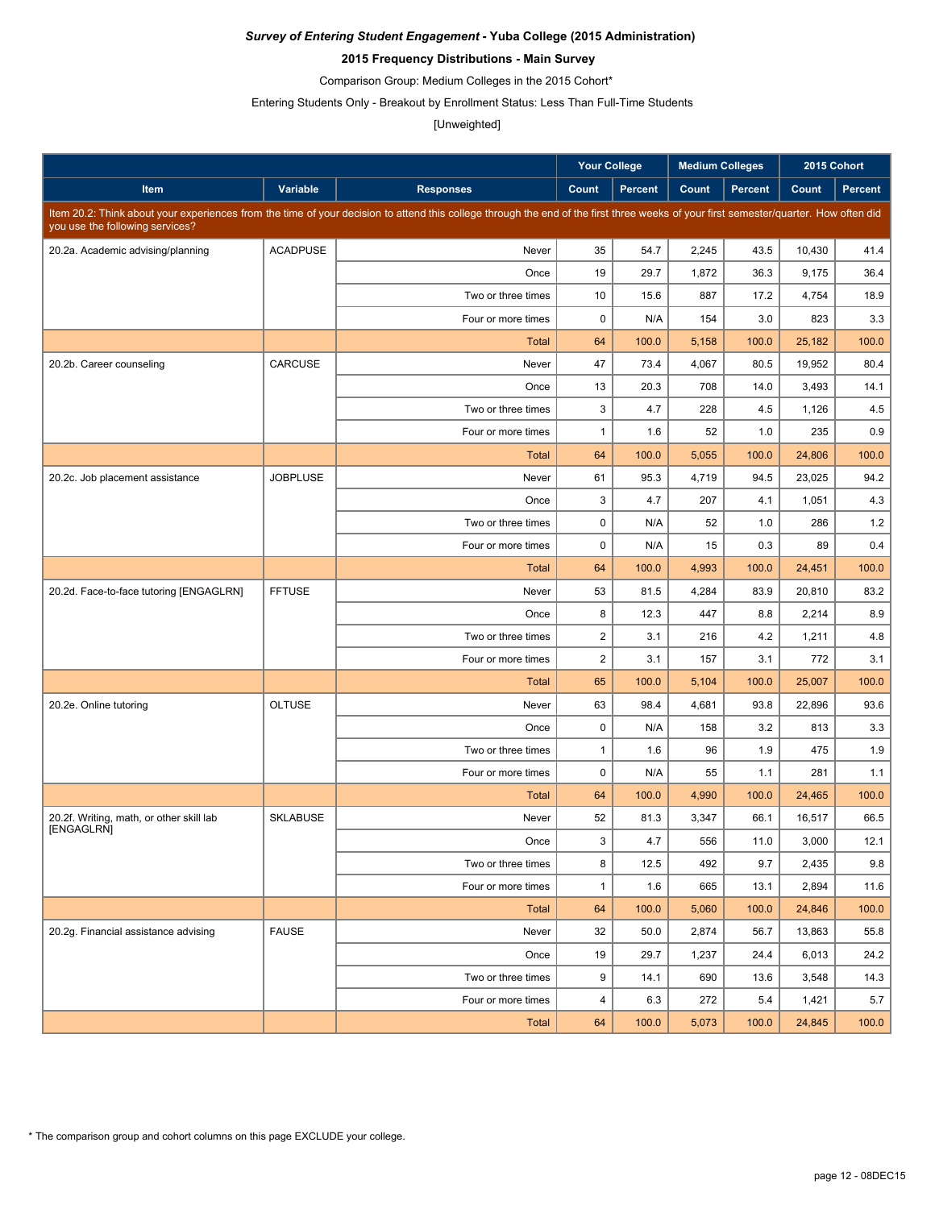### **2015 Frequency Distributions - Main Survey**

Comparison Group: Medium Colleges in the 2015 Cohort\*

Entering Students Only - Breakout by Enrollment Status: Less Than Full-Time Students

#### [Unweighted]

|                                                        |                 |                                                                                                                                                                                      | <b>Your College</b> |                | <b>Medium Colleges</b> |                | 2015 Cohort |                |
|--------------------------------------------------------|-----------------|--------------------------------------------------------------------------------------------------------------------------------------------------------------------------------------|---------------------|----------------|------------------------|----------------|-------------|----------------|
| Item                                                   | Variable        | <b>Responses</b>                                                                                                                                                                     | Count               | <b>Percent</b> | Count                  | <b>Percent</b> | Count       | <b>Percent</b> |
| you use the following services?                        |                 | Item 20.2: Think about your experiences from the time of your decision to attend this college through the end of the first three weeks of your first semester/quarter. How often did |                     |                |                        |                |             |                |
| 20.2a. Academic advising/planning                      | <b>ACADPUSE</b> | Never                                                                                                                                                                                | 35                  | 54.7           | 2,245                  | 43.5           | 10,430      | 41.4           |
|                                                        |                 | Once                                                                                                                                                                                 | 19                  | 29.7           | 1,872                  | 36.3           | 9,175       | 36.4           |
|                                                        |                 | Two or three times                                                                                                                                                                   | 10                  | 15.6           | 887                    | 17.2           | 4,754       | 18.9           |
|                                                        |                 | Four or more times                                                                                                                                                                   | $\mathbf 0$         | N/A            | 154                    | 3.0            | 823         | 3.3            |
|                                                        |                 | <b>Total</b>                                                                                                                                                                         | 64                  | 100.0          | 5,158                  | 100.0          | 25,182      | 100.0          |
| 20.2b. Career counseling                               | CARCUSE         | Never                                                                                                                                                                                | 47                  | 73.4           | 4,067                  | 80.5           | 19.952      | 80.4           |
|                                                        |                 | Once                                                                                                                                                                                 | 13                  | 20.3           | 708                    | 14.0           | 3,493       | 14.1           |
|                                                        |                 | Two or three times                                                                                                                                                                   | 3                   | 4.7            | 228                    | 4.5            | 1,126       | 4.5            |
|                                                        |                 | Four or more times                                                                                                                                                                   | $\mathbf{1}$        | 1.6            | 52                     | 1.0            | 235         | 0.9            |
|                                                        |                 | <b>Total</b>                                                                                                                                                                         | 64                  | 100.0          | 5,055                  | 100.0          | 24,806      | 100.0          |
| 20.2c. Job placement assistance                        | <b>JOBPLUSE</b> | Never                                                                                                                                                                                | 61                  | 95.3           | 4,719                  | 94.5           | 23,025      | 94.2           |
|                                                        |                 | Once                                                                                                                                                                                 | 3                   | 4.7            | 207                    | 4.1            | 1,051       | 4.3            |
|                                                        |                 | Two or three times                                                                                                                                                                   | $\mathbf 0$         | N/A            | 52                     | 1.0            | 286         | 1.2            |
|                                                        |                 | Four or more times                                                                                                                                                                   | $\mathbf 0$         | N/A            | 15                     | 0.3            | 89          | 0.4            |
|                                                        |                 | <b>Total</b>                                                                                                                                                                         | 64                  | 100.0          | 4,993                  | 100.0          | 24,451      | 100.0          |
| 20.2d. Face-to-face tutoring [ENGAGLRN]                | <b>FFTUSE</b>   | Never                                                                                                                                                                                | 53                  | 81.5           | 4,284                  | 83.9           | 20.810      | 83.2           |
|                                                        |                 | Once                                                                                                                                                                                 | 8                   | 12.3           | 447                    | 8.8            | 2,214       | 8.9            |
|                                                        |                 | Two or three times                                                                                                                                                                   | $\overline{c}$      | 3.1            | 216                    | 4.2            | 1,211       | 4.8            |
|                                                        |                 | Four or more times                                                                                                                                                                   | $\overline{2}$      | 3.1            | 157                    | 3.1            | 772         | 3.1            |
|                                                        |                 | <b>Total</b>                                                                                                                                                                         | 65                  | 100.0          | 5,104                  | 100.0          | 25,007      | 100.0          |
| 20.2e. Online tutoring                                 | <b>OLTUSE</b>   | Never                                                                                                                                                                                | 63                  | 98.4           | 4,681                  | 93.8           | 22,896      | 93.6           |
|                                                        |                 | Once                                                                                                                                                                                 | $\mathbf 0$         | N/A            | 158                    | 3.2            | 813         | 3.3            |
|                                                        |                 | Two or three times                                                                                                                                                                   | $\mathbf{1}$        | 1.6            | 96                     | 1.9            | 475         | 1.9            |
|                                                        |                 | Four or more times                                                                                                                                                                   | $\mathbf 0$         | N/A            | 55                     | 1.1            | 281         | 1.1            |
|                                                        |                 | <b>Total</b>                                                                                                                                                                         | 64                  | 100.0          | 4,990                  | 100.0          | 24,465      | 100.0          |
| 20.2f. Writing, math, or other skill lab<br>[ENGAGLRN] | <b>SKLABUSE</b> | Never                                                                                                                                                                                | 52                  | 81.3           | 3,347                  | 66.1           | 16,517      | 66.5           |
|                                                        |                 | Once                                                                                                                                                                                 | 3                   | 4.7            | 556                    | 11.0           | 3,000       | 12.1           |
|                                                        |                 | Two or three times                                                                                                                                                                   | 8                   | 12.5           | 492                    | 9.7            | 2,435       | 9.8            |
|                                                        |                 | Four or more times                                                                                                                                                                   | $\mathbf{1}$        | 1.6            | 665                    | 13.1           | 2,894       | 11.6           |
|                                                        |                 | <b>Total</b>                                                                                                                                                                         | 64                  | 100.0          | 5,060                  | 100.0          | 24,846      | 100.0          |
| 20.2g. Financial assistance advising                   | <b>FAUSE</b>    | Never                                                                                                                                                                                | 32                  | 50.0           | 2,874                  | 56.7           | 13,863      | 55.8           |
|                                                        |                 | Once                                                                                                                                                                                 | 19                  | 29.7           | 1,237                  | 24.4           | 6,013       | 24.2           |
|                                                        |                 | Two or three times                                                                                                                                                                   | 9                   | 14.1           | 690                    | 13.6           | 3,548       | 14.3           |
|                                                        |                 | Four or more times                                                                                                                                                                   | 4                   | 6.3            | 272                    | 5.4            | 1,421       | 5.7            |
|                                                        |                 | <b>Total</b>                                                                                                                                                                         | 64                  | 100.0          | 5,073                  | 100.0          | 24,845      | 100.0          |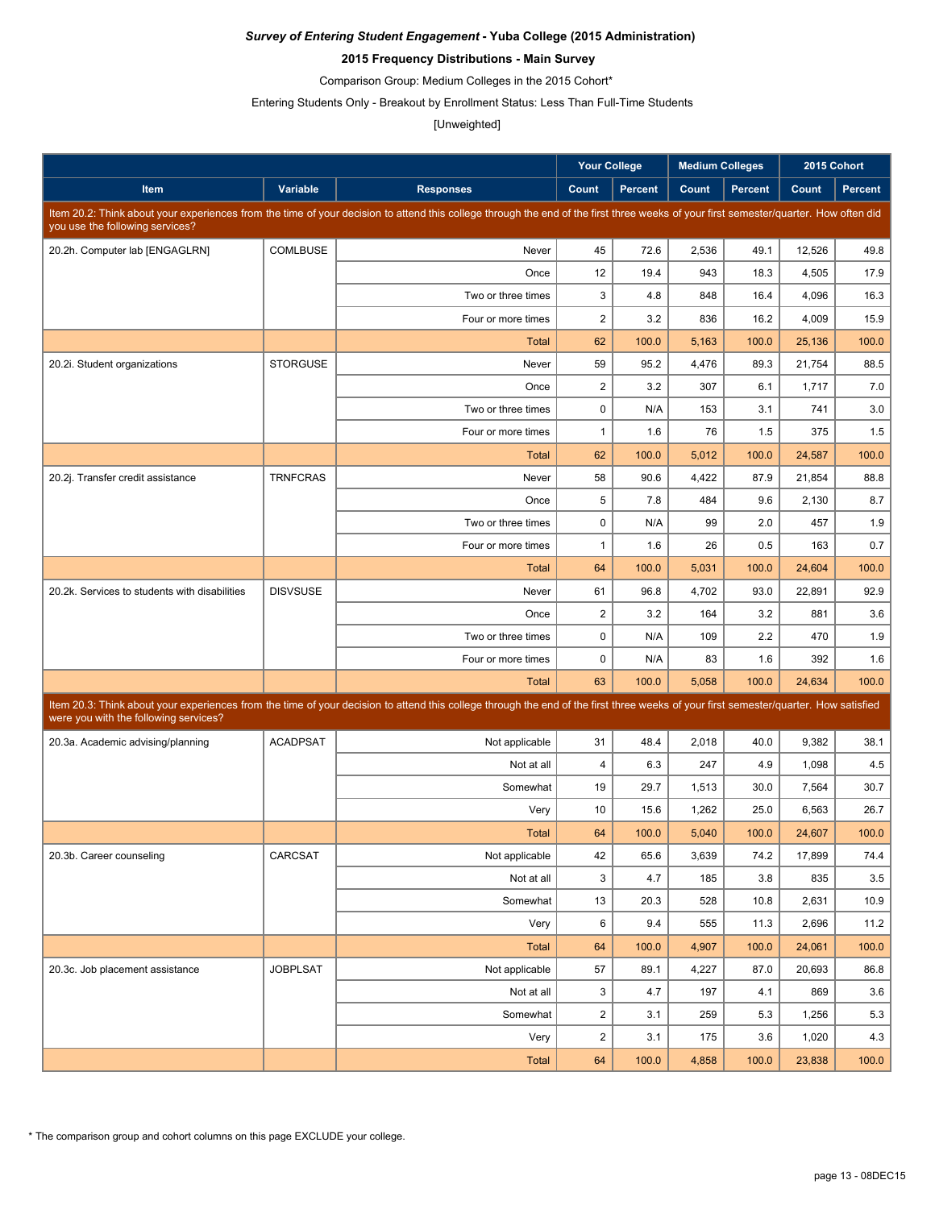### **2015 Frequency Distributions - Main Survey**

Comparison Group: Medium Colleges in the 2015 Cohort\*

Entering Students Only - Breakout by Enrollment Status: Less Than Full-Time Students

#### [Unweighted]

|                                               |                 |                                                                                                                                                                                      | <b>Your College</b> |                | <b>Medium Colleges</b> |                |        | 2015 Cohort    |
|-----------------------------------------------|-----------------|--------------------------------------------------------------------------------------------------------------------------------------------------------------------------------------|---------------------|----------------|------------------------|----------------|--------|----------------|
| Item                                          | Variable        | <b>Responses</b>                                                                                                                                                                     | Count               | <b>Percent</b> | Count                  | <b>Percent</b> | Count  | <b>Percent</b> |
| you use the following services?               |                 | Item 20.2: Think about your experiences from the time of your decision to attend this college through the end of the first three weeks of your first semester/quarter. How often did |                     |                |                        |                |        |                |
| 20.2h. Computer lab [ENGAGLRN]                | COMLBUSE        | Never                                                                                                                                                                                | 45                  | 72.6           | 2,536                  | 49.1           | 12,526 | 49.8           |
|                                               |                 | Once                                                                                                                                                                                 | 12                  | 19.4           | 943                    | 18.3           | 4,505  | 17.9           |
|                                               |                 | Two or three times                                                                                                                                                                   | 3                   | 4.8            | 848                    | 16.4           | 4,096  | 16.3           |
|                                               |                 | Four or more times                                                                                                                                                                   | $\overline{c}$      | 3.2            | 836                    | 16.2           | 4,009  | 15.9           |
|                                               |                 | <b>Total</b>                                                                                                                                                                         | 62                  | 100.0          | 5,163                  | 100.0          | 25,136 | 100.0          |
| 20.2i. Student organizations                  | <b>STORGUSE</b> | Never                                                                                                                                                                                | 59                  | 95.2           | 4,476                  | 89.3           | 21,754 | 88.5           |
|                                               |                 | Once                                                                                                                                                                                 | $\overline{2}$      | 3.2            | 307                    | 6.1            | 1,717  | 7.0            |
|                                               |                 | Two or three times                                                                                                                                                                   | $\mathbf 0$         | N/A            | 153                    | 3.1            | 741    | 3.0            |
|                                               |                 | Four or more times                                                                                                                                                                   | $\mathbf{1}$        | 1.6            | 76                     | 1.5            | 375    | 1.5            |
|                                               |                 | <b>Total</b>                                                                                                                                                                         | 62                  | 100.0          | 5,012                  | 100.0          | 24,587 | 100.0          |
| 20.2j. Transfer credit assistance             | <b>TRNFCRAS</b> | Never                                                                                                                                                                                | 58                  | 90.6           | 4,422                  | 87.9           | 21,854 | 88.8           |
|                                               |                 | Once                                                                                                                                                                                 | 5                   | 7.8            | 484                    | 9.6            | 2,130  | 8.7            |
|                                               |                 | Two or three times                                                                                                                                                                   | $\mathbf 0$         | N/A            | 99                     | 2.0            | 457    | 1.9            |
|                                               |                 | Four or more times                                                                                                                                                                   | $\mathbf{1}$        | 1.6            | 26                     | 0.5            | 163    | 0.7            |
|                                               |                 | <b>Total</b>                                                                                                                                                                         | 64                  | 100.0          | 5,031                  | 100.0          | 24,604 | 100.0          |
| 20.2k. Services to students with disabilities | <b>DISVSUSE</b> | Never                                                                                                                                                                                | 61                  | 96.8           | 4,702                  | 93.0           | 22,891 | 92.9           |
|                                               |                 | Once                                                                                                                                                                                 | $\overline{2}$      | 3.2            | 164                    | 3.2            | 881    | 3.6            |
|                                               |                 | Two or three times                                                                                                                                                                   | $\mathbf 0$         | N/A            | 109                    | 2.2            | 470    | 1.9            |
|                                               |                 | Four or more times                                                                                                                                                                   | $\mathbf 0$         | N/A            | 83                     | 1.6            | 392    | 1.6            |
|                                               |                 | <b>Total</b>                                                                                                                                                                         | 63                  | 100.0          | 5,058                  | 100.0          | 24,634 | 100.0          |
| were you with the following services?         |                 | Item 20.3: Think about your experiences from the time of your decision to attend this college through the end of the first three weeks of your first semester/quarter. How satisfied |                     |                |                        |                |        |                |
| 20.3a. Academic advising/planning             | <b>ACADPSAT</b> | Not applicable                                                                                                                                                                       | 31                  | 48.4           | 2,018                  | 40.0           | 9,382  | 38.1           |
|                                               |                 | Not at all                                                                                                                                                                           | $\overline{4}$      | 6.3            | 247                    | 4.9            | 1,098  | 4.5            |
|                                               |                 | Somewhat                                                                                                                                                                             | 19                  | 29.7           | 1,513                  | 30.0           | 7,564  | 30.7           |
|                                               |                 | Very                                                                                                                                                                                 | 10                  | 15.6           | 1,262                  | 25.0           | 6,563  | 26.7           |
|                                               |                 | Total                                                                                                                                                                                | 64                  | 100.0          | 5,040                  | 100.0          | 24,607 | 100.0          |
| 20.3b. Career counseling                      | CARCSAT         | Not applicable                                                                                                                                                                       | 42                  | 65.6           | 3,639                  | 74.2           | 17,899 | 74.4           |
|                                               |                 | Not at all                                                                                                                                                                           | 3                   | 4.7            | 185                    | 3.8            | 835    | 3.5            |
|                                               |                 | Somewhat                                                                                                                                                                             | 13                  | 20.3           | 528                    | 10.8           | 2,631  | 10.9           |
|                                               |                 | Very                                                                                                                                                                                 | 6                   | 9.4            | 555                    | 11.3           | 2,696  | 11.2           |
|                                               |                 | <b>Total</b>                                                                                                                                                                         | 64                  | 100.0          | 4,907                  | 100.0          | 24,061 | 100.0          |
| 20.3c. Job placement assistance               | <b>JOBPLSAT</b> | Not applicable                                                                                                                                                                       | 57                  | 89.1           | 4,227                  | 87.0           | 20,693 | 86.8           |
|                                               |                 | Not at all                                                                                                                                                                           | 3                   | 4.7            | 197                    | 4.1            | 869    | 3.6            |
|                                               |                 | Somewhat                                                                                                                                                                             | $\boldsymbol{2}$    | 3.1            | 259                    | 5.3            | 1,256  | 5.3            |
|                                               |                 | Very                                                                                                                                                                                 | $\boldsymbol{2}$    | 3.1            | 175                    | 3.6            | 1,020  | 4.3            |
|                                               |                 | <b>Total</b>                                                                                                                                                                         | 64                  | 100.0          | 4,858                  | 100.0          | 23,838 | 100.0          |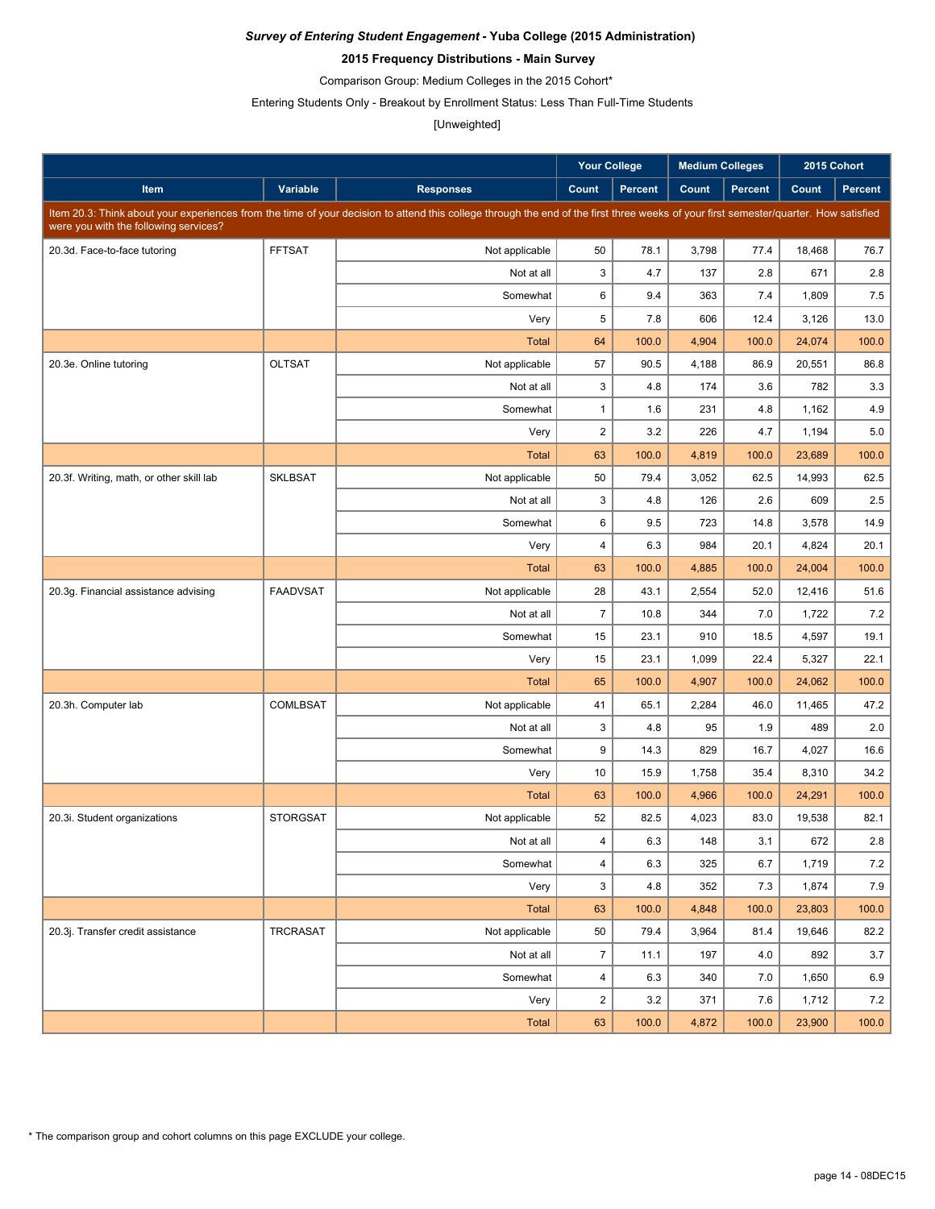### **2015 Frequency Distributions - Main Survey**

Comparison Group: Medium Colleges in the 2015 Cohort\*

Entering Students Only - Breakout by Enrollment Status: Less Than Full-Time Students

#### [Unweighted]

|                                          |                 |                                                                                                                                                                                      | <b>Your College</b>  |                | <b>Medium Colleges</b> |                | 2015 Cohort      |              |
|------------------------------------------|-----------------|--------------------------------------------------------------------------------------------------------------------------------------------------------------------------------------|----------------------|----------------|------------------------|----------------|------------------|--------------|
| Item                                     | Variable        | <b>Responses</b>                                                                                                                                                                     | Count                | <b>Percent</b> | Count                  | <b>Percent</b> | Count            | Percent      |
|                                          |                 | Item 20.3: Think about your experiences from the time of your decision to attend this college through the end of the first three weeks of your first semester/quarter. How satisfied |                      |                |                        |                |                  |              |
| were you with the following services?    |                 |                                                                                                                                                                                      |                      |                |                        |                |                  |              |
| 20.3d. Face-to-face tutoring             | <b>FFTSAT</b>   | Not applicable                                                                                                                                                                       | 50                   | 78.1           | 3,798                  | 77.4           | 18,468           | 76.7         |
|                                          |                 | Not at all                                                                                                                                                                           | 3                    | 4.7            | 137                    | 2.8            | 671              | 2.8          |
|                                          |                 | Somewhat                                                                                                                                                                             | 6                    | 9.4            | 363                    | 7.4            | 1,809            | 7.5          |
|                                          |                 | Very                                                                                                                                                                                 | $\sqrt{5}$           | 7.8            | 606                    | 12.4           | 3,126            | 13.0         |
|                                          |                 | <b>Total</b>                                                                                                                                                                         | 64                   | 100.0          | 4,904                  | 100.0          | 24,074           | 100.0        |
| 20.3e. Online tutoring                   | <b>OLTSAT</b>   | Not applicable                                                                                                                                                                       | 57<br>3              | 90.5<br>4.8    | 4,188                  | 86.9           | 20,551           | 86.8         |
|                                          |                 | Not at all                                                                                                                                                                           |                      |                | 174                    | 3.6            | 782              | 3.3          |
|                                          |                 | Somewhat                                                                                                                                                                             | $\mathbf{1}$         | 1.6            | 231<br>226             | 4.8            | 1,162            | 4.9          |
|                                          |                 | Very<br><b>Total</b>                                                                                                                                                                 | $\overline{2}$<br>63 | 3.2<br>100.0   | 4,819                  | 4.7<br>100.0   | 1,194            | 5.0<br>100.0 |
|                                          | <b>SKLBSAT</b>  | Not applicable                                                                                                                                                                       | 50                   | 79.4           | 3,052                  | 62.5           | 23,689<br>14,993 | 62.5         |
| 20.3f. Writing, math, or other skill lab |                 | Not at all                                                                                                                                                                           | 3                    | 4.8            | 126                    | 2.6            | 609              | 2.5          |
|                                          |                 | Somewhat                                                                                                                                                                             | 6                    | 9.5            | 723                    | 14.8           | 3,578            | 14.9         |
|                                          |                 | Very                                                                                                                                                                                 | 4                    | 6.3            | 984                    | 20.1           | 4,824            | 20.1         |
|                                          |                 | <b>Total</b>                                                                                                                                                                         | 63                   | 100.0          | 4,885                  | 100.0          | 24,004           | 100.0        |
| 20.3g. Financial assistance advising     | <b>FAADVSAT</b> | Not applicable                                                                                                                                                                       | 28                   | 43.1           | 2,554                  | 52.0           | 12.416           | 51.6         |
|                                          |                 | Not at all                                                                                                                                                                           | $\overline{7}$       | 10.8           | 344                    | 7.0            | 1,722            | 7.2          |
|                                          |                 | Somewhat                                                                                                                                                                             | 15                   | 23.1           | 910                    | 18.5           | 4,597            | 19.1         |
|                                          |                 | Very                                                                                                                                                                                 | 15                   | 23.1           | 1,099                  | 22.4           | 5,327            | 22.1         |
|                                          |                 | <b>Total</b>                                                                                                                                                                         | 65                   | 100.0          | 4,907                  | 100.0          | 24,062           | 100.0        |
| 20.3h. Computer lab                      | <b>COMLBSAT</b> | Not applicable                                                                                                                                                                       | 41                   | 65.1           | 2,284                  | 46.0           | 11,465           | 47.2         |
|                                          |                 | Not at all                                                                                                                                                                           | 3                    | 4.8            | 95                     | 1.9            | 489              | 2.0          |
|                                          |                 | Somewhat                                                                                                                                                                             | $9\,$                | 14.3           | 829                    | 16.7           | 4,027            | 16.6         |
|                                          |                 | Very                                                                                                                                                                                 | 10                   | 15.9           | 1,758                  | 35.4           | 8,310            | 34.2         |
|                                          |                 | <b>Total</b>                                                                                                                                                                         | 63                   | 100.0          | 4,966                  | 100.0          | 24,291           | 100.0        |
| 20.3i. Student organizations             | <b>STORGSAT</b> | Not applicable                                                                                                                                                                       | 52                   | 82.5           | 4,023                  | 83.0           | 19,538           | 82.1         |
|                                          |                 | Not at all                                                                                                                                                                           | 4                    | 6.3            | 148                    | 3.1            | 672              | 2.8          |
|                                          |                 | Somewhat                                                                                                                                                                             | 4                    | 6.3            | 325                    | 6.7            | 1,719            | 7.2          |
|                                          |                 | Very                                                                                                                                                                                 | 3                    | 4.8            | 352                    | 7.3            | 1,874            | 7.9          |
|                                          |                 | Total                                                                                                                                                                                | 63                   | 100.0          | 4,848                  | 100.0          | 23,803           | 100.0        |
| 20.3j. Transfer credit assistance        | <b>TRCRASAT</b> | Not applicable                                                                                                                                                                       | 50                   | 79.4           | 3,964                  | 81.4           | 19,646           | 82.2         |
|                                          |                 | Not at all                                                                                                                                                                           | $\overline{7}$       | 11.1           | 197                    | 4.0            | 892              | 3.7          |
|                                          |                 | Somewhat                                                                                                                                                                             | $\overline{4}$       | 6.3            | 340                    | 7.0            | 1,650            | 6.9          |
|                                          |                 | Very                                                                                                                                                                                 | $\overline{2}$       | 3.2            | 371                    | 7.6            | 1,712            | 7.2          |
|                                          |                 | Total                                                                                                                                                                                | 63                   | 100.0          | 4,872                  | 100.0          | 23,900           | 100.0        |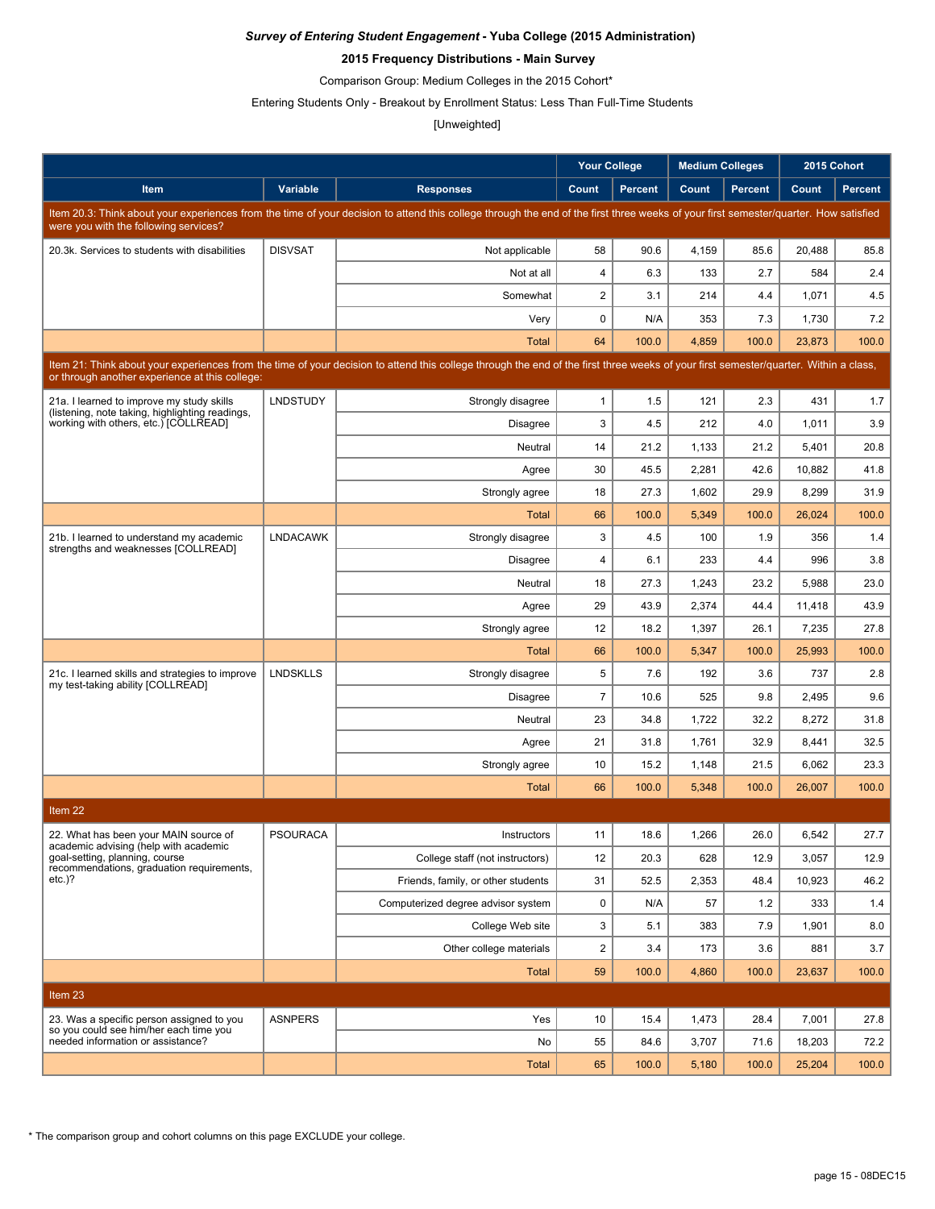### **2015 Frequency Distributions - Main Survey**

Comparison Group: Medium Colleges in the 2015 Cohort\*

Entering Students Only - Breakout by Enrollment Status: Less Than Full-Time Students

### [Unweighted]

|                                                                                              |                 |                                                                                                                                                                                      | <b>Your College</b>              |                | <b>Medium Colleges</b> |                | 2015 Cohort    |                |
|----------------------------------------------------------------------------------------------|-----------------|--------------------------------------------------------------------------------------------------------------------------------------------------------------------------------------|----------------------------------|----------------|------------------------|----------------|----------------|----------------|
| Item                                                                                         | Variable        | <b>Responses</b>                                                                                                                                                                     | Count                            | <b>Percent</b> | Count                  | <b>Percent</b> | Count          | <b>Percent</b> |
|                                                                                              |                 | Item 20.3: Think about your experiences from the time of your decision to attend this college through the end of the first three weeks of your first semester/quarter. How satisfied |                                  |                |                        |                |                |                |
| were you with the following services?                                                        |                 |                                                                                                                                                                                      |                                  |                |                        |                |                |                |
| 20.3k. Services to students with disabilities                                                | <b>DISVSAT</b>  | Not applicable                                                                                                                                                                       | 58                               | 90.6           | 4,159                  | 85.6           | 20,488         | 85.8           |
|                                                                                              |                 | Not at all                                                                                                                                                                           | $\overline{4}$<br>$\overline{2}$ | 6.3            | 133                    | 2.7            | 584            | 2.4            |
|                                                                                              |                 | Somewhat<br>Very                                                                                                                                                                     | $\mathbf 0$                      | 3.1<br>N/A     | 214<br>353             | 4.4<br>7.3     | 1,071<br>1,730 | $4.5\,$<br>7.2 |
|                                                                                              |                 | <b>Total</b>                                                                                                                                                                         | 64                               | 100.0          | 4,859                  | 100.0          | 23,873         | 100.0          |
|                                                                                              |                 | Item 21: Think about your experiences from the time of your decision to attend this college through the end of the first three weeks of your first semester/quarter. Within a class, |                                  |                |                        |                |                |                |
| or through another experience at this college:                                               |                 |                                                                                                                                                                                      |                                  |                |                        |                |                |                |
| 21a. I learned to improve my study skills<br>(listening, note taking, highlighting readings, | <b>LNDSTUDY</b> | Strongly disagree                                                                                                                                                                    | $\mathbf{1}$                     | 1.5            | 121                    | 2.3            | 431            | 1.7            |
| working with others, etc.) [COLLREAD]                                                        |                 | <b>Disagree</b>                                                                                                                                                                      | 3                                | 4.5            | 212                    | 4.0            | 1,011          | 3.9            |
|                                                                                              |                 | Neutral                                                                                                                                                                              | 14                               | 21.2           | 1,133                  | 21.2           | 5,401          | 20.8           |
|                                                                                              |                 | Agree                                                                                                                                                                                | 30                               | 45.5           | 2,281                  | 42.6           | 10,882         | 41.8           |
|                                                                                              |                 | Strongly agree                                                                                                                                                                       | 18                               | 27.3           | 1,602                  | 29.9           | 8,299          | 31.9           |
|                                                                                              |                 | Total                                                                                                                                                                                | 66                               | 100.0          | 5,349                  | 100.0          | 26,024         | 100.0          |
| 21b. I learned to understand my academic                                                     | <b>LNDACAWK</b> | Strongly disagree                                                                                                                                                                    | 3                                | 4.5            | 100                    | 1.9            | 356            | 1.4            |
| strengths and weaknesses [COLLREAD]                                                          |                 | <b>Disagree</b>                                                                                                                                                                      | $\overline{4}$                   | 6.1            | 233                    | 4.4            | 996            | 3.8            |
|                                                                                              |                 | Neutral                                                                                                                                                                              | 18                               | 27.3           | 1,243                  | 23.2           | 5,988          | 23.0           |
|                                                                                              |                 | Agree                                                                                                                                                                                | 29                               | 43.9           | 2,374                  | 44.4           | 11,418         | 43.9           |
|                                                                                              |                 | Strongly agree                                                                                                                                                                       | 12                               | 18.2           | 1,397                  | 26.1           | 7,235          | 27.8           |
|                                                                                              |                 | Total                                                                                                                                                                                | 66                               | 100.0          | 5,347                  | 100.0          | 25,993         | 100.0          |
| 21c. I learned skills and strategies to improve<br>my test-taking ability [COLLREAD]         | <b>LNDSKLLS</b> | Strongly disagree                                                                                                                                                                    | 5                                | 7.6            | 192                    | 3.6            | 737            | 2.8            |
|                                                                                              |                 | <b>Disagree</b>                                                                                                                                                                      | $\overline{7}$                   | 10.6           | 525                    | 9.8            | 2,495          | 9.6            |
|                                                                                              |                 | Neutral                                                                                                                                                                              | 23                               | 34.8           | 1,722                  | 32.2           | 8,272          | 31.8           |
|                                                                                              |                 | Agree                                                                                                                                                                                | 21                               | 31.8           | 1,761                  | 32.9           | 8,441          | 32.5           |
|                                                                                              |                 | Strongly agree                                                                                                                                                                       | 10                               | 15.2           | 1,148                  | 21.5           | 6,062          | 23.3           |
|                                                                                              |                 | <b>Total</b>                                                                                                                                                                         | 66                               | 100.0          | 5,348                  | 100.0          | 26,007         | 100.0          |
| Item 22                                                                                      |                 |                                                                                                                                                                                      |                                  |                |                        |                |                |                |
| 22. What has been your MAIN source of<br>academic advising (help with academic               | <b>PSOURACA</b> | <b>Instructors</b>                                                                                                                                                                   | 11                               | 18.6           | 1,266                  | 26.0           | 6,542          | 27.7           |
| goal-setting, planning, course<br>recommendations, graduation requirements,                  |                 | College staff (not instructors)                                                                                                                                                      | 12                               | 20.3           | 628                    | 12.9           | 3,057          | 12.9           |
| $etc.$ )?                                                                                    |                 | Friends, family, or other students                                                                                                                                                   | 31                               | 52.5           | 2,353                  | 48.4           | 10,923         | 46.2           |
|                                                                                              |                 | Computerized degree advisor system                                                                                                                                                   | $\mathbf 0$                      | N/A            | 57                     | 1.2            | 333            | 1.4            |
|                                                                                              |                 | College Web site                                                                                                                                                                     | 3                                | 5.1            | 383                    | 7.9            | 1,901          | 8.0            |
|                                                                                              |                 | Other college materials                                                                                                                                                              | $\boldsymbol{2}$                 | 3.4            | 173                    | 3.6            | 881            | 3.7            |
|                                                                                              |                 | <b>Total</b>                                                                                                                                                                         | 59                               | 100.0          | 4,860                  | 100.0          | 23,637         | 100.0          |
| Item 23                                                                                      |                 |                                                                                                                                                                                      |                                  |                |                        |                |                |                |
| 23. Was a specific person assigned to you<br>so you could see him/her each time you          | <b>ASNPERS</b>  | Yes                                                                                                                                                                                  | 10                               | 15.4           | 1,473                  | 28.4           | 7,001          | 27.8           |
| needed information or assistance?                                                            |                 | No                                                                                                                                                                                   | 55                               | 84.6           | 3,707                  | 71.6           | 18,203         | 72.2           |
|                                                                                              |                 | <b>Total</b>                                                                                                                                                                         | 65                               | 100.0          | 5,180                  | 100.0          | 25,204         | 100.0          |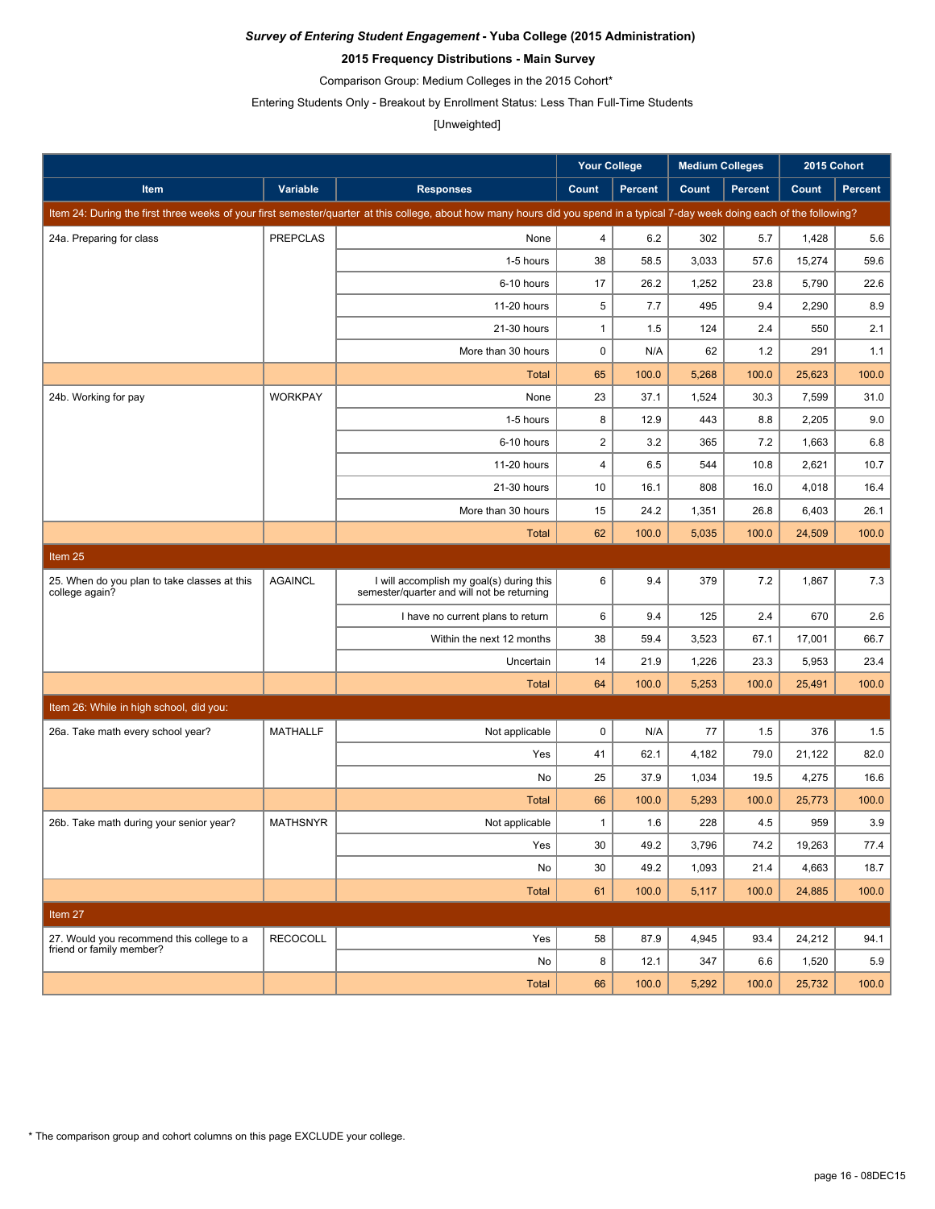### **2015 Frequency Distributions - Main Survey**

Comparison Group: Medium Colleges in the 2015 Cohort\*

Entering Students Only - Breakout by Enrollment Status: Less Than Full-Time Students

## [Unweighted]

|                                                                |                 |                                                                                                                                                                               | <b>Your College</b>     |                | <b>Medium Colleges</b> |                | 2015 Cohort |                |
|----------------------------------------------------------------|-----------------|-------------------------------------------------------------------------------------------------------------------------------------------------------------------------------|-------------------------|----------------|------------------------|----------------|-------------|----------------|
| Item                                                           | Variable        | <b>Responses</b>                                                                                                                                                              | Count                   | <b>Percent</b> | Count                  | <b>Percent</b> | Count       | <b>Percent</b> |
|                                                                |                 | Item 24: During the first three weeks of your first semester/quarter at this college, about how many hours did you spend in a typical 7-day week doing each of the following? |                         |                |                        |                |             |                |
| 24a. Preparing for class                                       | <b>PREPCLAS</b> | None                                                                                                                                                                          | 4                       | 6.2            | 302                    | 5.7            | 1,428       | 5.6            |
|                                                                |                 | 1-5 hours                                                                                                                                                                     | 38                      | 58.5           | 3,033                  | 57.6           | 15,274      | 59.6           |
|                                                                |                 | 6-10 hours                                                                                                                                                                    | 17                      | 26.2           | 1,252                  | 23.8           | 5,790       | 22.6           |
|                                                                |                 | 11-20 hours                                                                                                                                                                   | 5                       | 7.7            | 495                    | 9.4            | 2,290       | 8.9            |
|                                                                |                 | 21-30 hours                                                                                                                                                                   | $\mathbf{1}$            | 1.5            | 124                    | 2.4            | 550         | 2.1            |
|                                                                |                 | More than 30 hours                                                                                                                                                            | $\mathbf 0$             | N/A            | 62                     | 1.2            | 291         | 1.1            |
|                                                                |                 | <b>Total</b>                                                                                                                                                                  | 65                      | 100.0          | 5,268                  | 100.0          | 25,623      | 100.0          |
| 24b. Working for pay                                           | <b>WORKPAY</b>  | None                                                                                                                                                                          | 23                      | 37.1           | 1,524                  | 30.3           | 7,599       | 31.0           |
|                                                                |                 | 1-5 hours                                                                                                                                                                     | 8                       | 12.9           | 443                    | 8.8            | 2,205       | 9.0            |
|                                                                |                 | 6-10 hours                                                                                                                                                                    | $\overline{\mathbf{c}}$ | 3.2            | 365                    | 7.2            | 1,663       | 6.8            |
|                                                                |                 | 11-20 hours                                                                                                                                                                   | 4                       | 6.5            | 544                    | 10.8           | 2,621       | 10.7           |
|                                                                |                 | 21-30 hours                                                                                                                                                                   | 10                      | 16.1           | 808                    | 16.0           | 4,018       | 16.4           |
|                                                                |                 | More than 30 hours                                                                                                                                                            | 15                      | 24.2           | 1,351                  | 26.8           | 6,403       | 26.1           |
|                                                                |                 | <b>Total</b>                                                                                                                                                                  | 62                      | 100.0          | 5,035                  | 100.0          | 24,509      | 100.0          |
| Item <sub>25</sub>                                             |                 |                                                                                                                                                                               |                         |                |                        |                |             |                |
| 25. When do you plan to take classes at this<br>college again? | <b>AGAINCL</b>  | I will accomplish my goal(s) during this<br>semester/quarter and will not be returning                                                                                        | 6                       | 9.4            | 379                    | 7.2            | 1,867       | 7.3            |
|                                                                |                 | I have no current plans to return                                                                                                                                             | 6                       | 9.4            | 125                    | 2.4            | 670         | 2.6            |
|                                                                |                 | Within the next 12 months                                                                                                                                                     | 38                      | 59.4           | 3,523                  | 67.1           | 17,001      | 66.7           |
|                                                                |                 | Uncertain                                                                                                                                                                     | 14                      | 21.9           | 1,226                  | 23.3           | 5,953       | 23.4           |
|                                                                |                 | <b>Total</b>                                                                                                                                                                  | 64                      | 100.0          | 5,253                  | 100.0          | 25,491      | 100.0          |
| Item 26: While in high school, did you:                        |                 |                                                                                                                                                                               |                         |                |                        |                |             |                |
| 26a. Take math every school year?                              | <b>MATHALLF</b> | Not applicable                                                                                                                                                                | $\mathbf 0$             | N/A            | 77                     | 1.5            | 376         | 1.5            |
|                                                                |                 | Yes                                                                                                                                                                           | 41                      | 62.1           | 4,182                  | 79.0           | 21,122      | 82.0           |
|                                                                |                 | No                                                                                                                                                                            | 25                      | 37.9           | 1,034                  | 19.5           | 4,275       | 16.6           |
|                                                                |                 | <b>Total</b>                                                                                                                                                                  | 66                      | 100.0          | 5,293                  | 100.0          | 25,773      | 100.0          |
| 26b. Take math during your senior year?                        | <b>MATHSNYR</b> | Not applicable                                                                                                                                                                | $\mathbf{1}$            | 1.6            | 228                    | 4.5            | 959         | 3.9            |
|                                                                |                 | Yes                                                                                                                                                                           | 30                      | 49.2           | 3,796                  | 74.2           | 19,263      | 77.4           |
|                                                                |                 | No                                                                                                                                                                            | 30                      | 49.2           | 1,093                  | 21.4           | 4,663       | 18.7           |
|                                                                |                 | <b>Total</b>                                                                                                                                                                  | 61                      | 100.0          | 5,117                  | 100.0          | 24,885      | 100.0          |
| Item 27                                                        |                 |                                                                                                                                                                               |                         |                |                        |                |             |                |
| 27. Would you recommend this college to a                      | <b>RECOCOLL</b> | Yes                                                                                                                                                                           | 58                      | 87.9           | 4,945                  | 93.4           | 24,212      | 94.1           |
| friend or family member?                                       |                 | No                                                                                                                                                                            | 8                       | 12.1           | 347                    | 6.6            | 1,520       | 5.9            |
|                                                                |                 | Total                                                                                                                                                                         | 66                      | 100.0          | 5,292                  | 100.0          | 25,732      | 100.0          |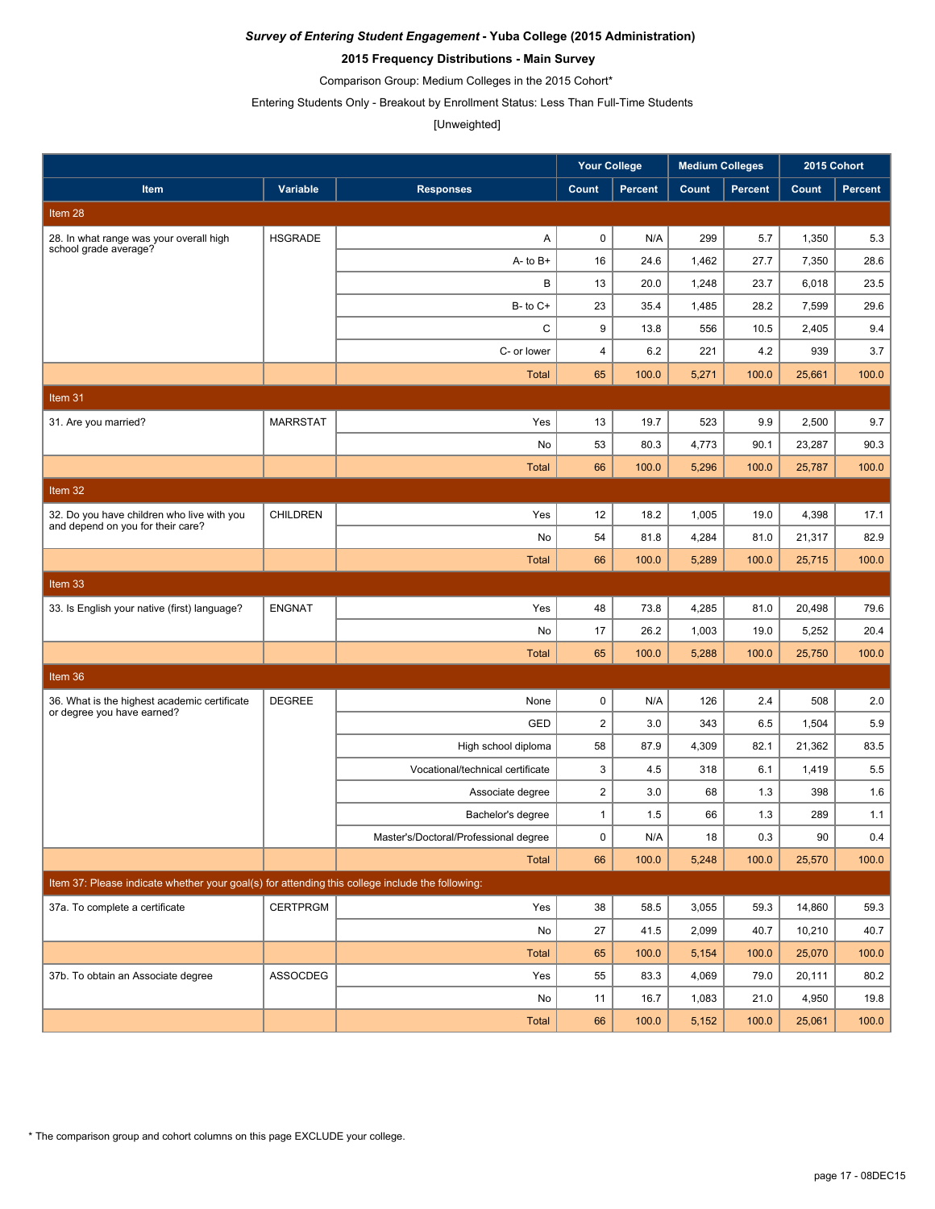### **2015 Frequency Distributions - Main Survey**

Comparison Group: Medium Colleges in the 2015 Cohort\*

Entering Students Only - Breakout by Enrollment Status: Less Than Full-Time Students

#### [Unweighted]

|                                                                                                 |                 |                                       | <b>Your College</b> |                | <b>Medium Colleges</b> |                | 2015 Cohort |                |
|-------------------------------------------------------------------------------------------------|-----------------|---------------------------------------|---------------------|----------------|------------------------|----------------|-------------|----------------|
| Item                                                                                            | Variable        | <b>Responses</b>                      | Count               | <b>Percent</b> | Count                  | <b>Percent</b> | Count       | <b>Percent</b> |
| Item 28                                                                                         |                 |                                       |                     |                |                        |                |             |                |
| 28. In what range was your overall high                                                         | <b>HSGRADE</b>  | A                                     | $\pmb{0}$           | N/A            | 299                    | 5.7            | 1,350       | 5.3            |
| school grade average?                                                                           |                 | $A - to B +$                          | 16                  | 24.6           | 1,462                  | 27.7           | 7,350       | 28.6           |
|                                                                                                 |                 | В                                     | 13                  | 20.0           | 1,248                  | 23.7           | 6,018       | 23.5           |
|                                                                                                 |                 | $B-$ to $C+$                          | 23                  | 35.4           | 1,485                  | 28.2           | 7,599       | 29.6           |
|                                                                                                 |                 | C                                     | 9                   | 13.8           | 556                    | 10.5           | 2,405       | 9.4            |
|                                                                                                 |                 | C- or lower                           | $\overline{4}$      | 6.2            | 221                    | 4.2            | 939         | 3.7            |
|                                                                                                 |                 | <b>Total</b>                          | 65                  | 100.0          | 5,271                  | 100.0          | 25,661      | 100.0          |
| Item 31                                                                                         |                 |                                       |                     |                |                        |                |             |                |
| 31. Are you married?                                                                            | <b>MARRSTAT</b> | Yes                                   | 13                  | 19.7           | 523                    | 9.9            | 2,500       | 9.7            |
|                                                                                                 |                 | No                                    | 53                  | 80.3           | 4,773                  | 90.1           | 23,287      | 90.3           |
|                                                                                                 |                 | <b>Total</b>                          | 66                  | 100.0          | 5,296                  | 100.0          | 25,787      | 100.0          |
| Item $32$                                                                                       |                 |                                       |                     |                |                        |                |             |                |
| 32. Do you have children who live with you<br>and depend on you for their care?                 | <b>CHILDREN</b> | Yes                                   | 12                  | 18.2           | 1,005                  | 19.0           | 4,398       | 17.1           |
|                                                                                                 |                 | No                                    | 54                  | 81.8           | 4,284                  | 81.0           | 21,317      | 82.9           |
|                                                                                                 |                 | <b>Total</b>                          | 66                  | 100.0          | 5,289                  | 100.0          | 25,715      | 100.0          |
| Item 33                                                                                         |                 |                                       |                     |                |                        |                |             |                |
| 33. Is English your native (first) language?                                                    | <b>ENGNAT</b>   | Yes                                   | 48                  | 73.8           | 4,285                  | 81.0           | 20,498      | 79.6           |
|                                                                                                 |                 | No                                    | 17                  | 26.2           | 1,003                  | 19.0           | 5,252       | 20.4           |
|                                                                                                 |                 | <b>Total</b>                          | 65                  | 100.0          | 5,288                  | 100.0          | 25,750      | 100.0          |
| Item 36                                                                                         |                 |                                       |                     |                |                        |                |             |                |
| 36. What is the highest academic certificate                                                    | <b>DEGREE</b>   | None                                  | $\pmb{0}$           | N/A            | 126                    | 2.4            | 508         | 2.0            |
| or degree you have earned?                                                                      |                 | GED                                   | $\overline{2}$      | 3.0            | 343                    | 6.5            | 1,504       | 5.9            |
|                                                                                                 |                 | High school diploma                   | 58                  | 87.9           | 4,309                  | 82.1           | 21,362      | 83.5           |
|                                                                                                 |                 | Vocational/technical certificate      | 3                   | 4.5            | 318                    | 6.1            | 1,419       | 5.5            |
|                                                                                                 |                 | Associate degree                      | $\boldsymbol{2}$    | 3.0            | 68                     | 1.3            | 398         | 1.6            |
|                                                                                                 |                 | Bachelor's degree                     | $\mathbf{1}$        | 1.5            | 66                     | 1.3            | 289         | 1.1            |
|                                                                                                 |                 | Master's/Doctoral/Professional degree | $\pmb{0}$           | N/A            | 18                     | 0.3            | 90          | $0.4\,$        |
|                                                                                                 |                 | Total                                 | 66                  | 100.0          | 5,248                  | 100.0          | 25,570      | 100.0          |
| Item 37: Please indicate whether your goal(s) for attending this college include the following: |                 |                                       |                     |                |                        |                |             |                |
| 37a. To complete a certificate                                                                  | <b>CERTPRGM</b> | Yes                                   | 38                  | 58.5           | 3,055                  | 59.3           | 14,860      | 59.3           |
|                                                                                                 |                 | No                                    | 27                  | 41.5           | 2,099                  | 40.7           | 10,210      | 40.7           |
|                                                                                                 |                 | <b>Total</b>                          | 65                  | 100.0          | 5,154                  | 100.0          | 25,070      | 100.0          |
| 37b. To obtain an Associate degree                                                              | ASSOCDEG        | Yes                                   | 55                  | 83.3           | 4,069                  | 79.0           | 20,111      | 80.2           |
|                                                                                                 |                 | No                                    | 11                  | 16.7           | 1,083                  | 21.0           | 4,950       | 19.8           |
|                                                                                                 |                 | Total                                 | 66                  | 100.0          | 5,152                  | 100.0          | 25,061      | 100.0          |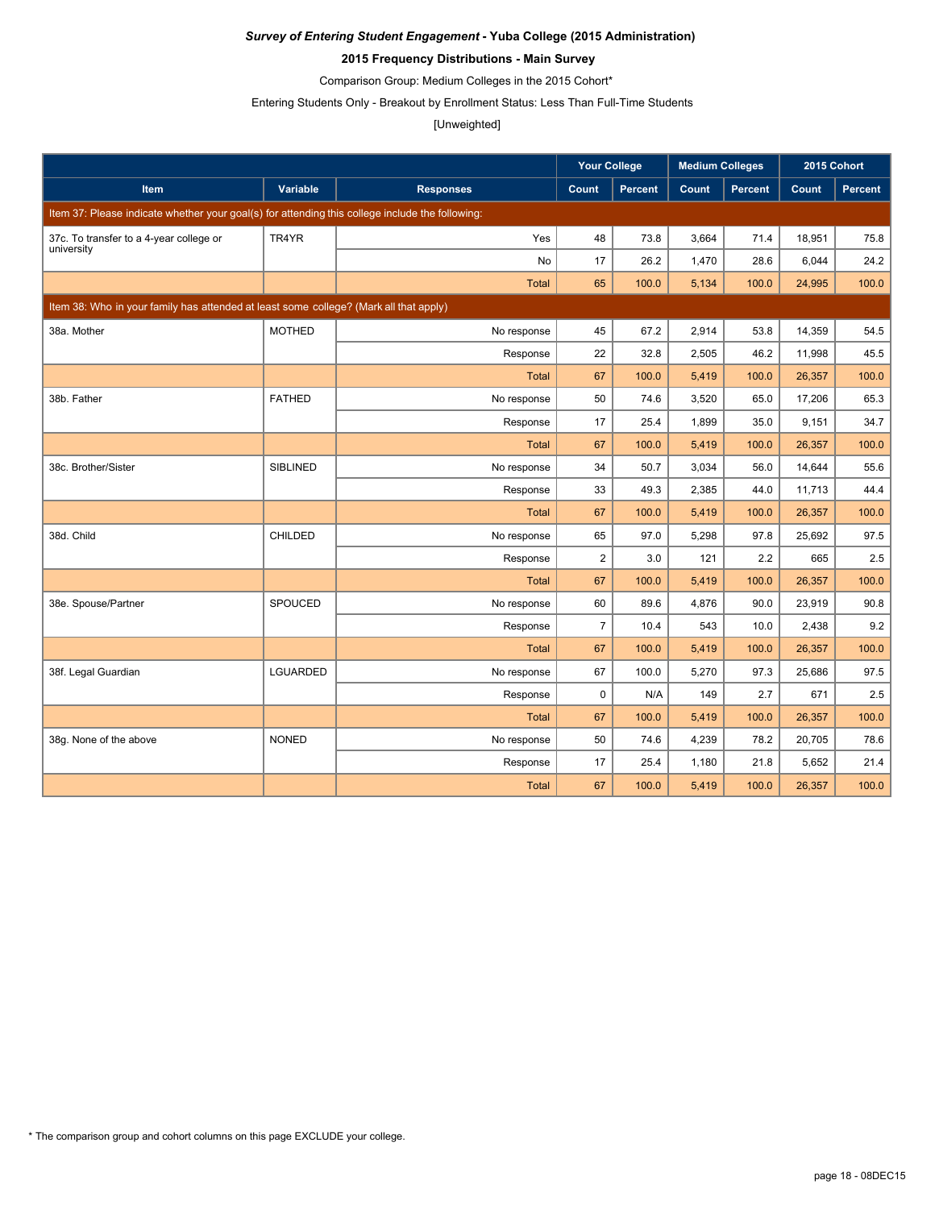### **2015 Frequency Distributions - Main Survey**

Comparison Group: Medium Colleges in the 2015 Cohort\*

Entering Students Only - Breakout by Enrollment Status: Less Than Full-Time Students

#### [Unweighted]

|                                                                                                 |                 |                  | <b>Your College</b> |                | <b>Medium Colleges</b> |                | 2015 Cohort |         |
|-------------------------------------------------------------------------------------------------|-----------------|------------------|---------------------|----------------|------------------------|----------------|-------------|---------|
| Item                                                                                            | Variable        | <b>Responses</b> | Count               | <b>Percent</b> | Count                  | <b>Percent</b> | Count       | Percent |
| Item 37: Please indicate whether your goal(s) for attending this college include the following: |                 |                  |                     |                |                        |                |             |         |
| 37c. To transfer to a 4-year college or                                                         | TR4YR           | Yes              | 48                  | 73.8           | 3,664                  | 71.4           | 18,951      | 75.8    |
| university                                                                                      |                 | No               | 17                  | 26.2           | 1,470                  | 28.6           | 6,044       | 24.2    |
|                                                                                                 |                 | <b>Total</b>     | 65                  | 100.0          | 5,134                  | 100.0          | 24,995      | 100.0   |
| Item 38: Who in your family has attended at least some college? (Mark all that apply)           |                 |                  |                     |                |                        |                |             |         |
| 38a. Mother                                                                                     | <b>MOTHED</b>   | No response      | 45                  | 67.2           | 2,914                  | 53.8           | 14,359      | 54.5    |
|                                                                                                 |                 | Response         | 22                  | 32.8           | 2,505                  | 46.2           | 11,998      | 45.5    |
|                                                                                                 |                 | <b>Total</b>     | 67                  | 100.0          | 5,419                  | 100.0          | 26,357      | 100.0   |
| 38b. Father                                                                                     | <b>FATHED</b>   | No response      | 50                  | 74.6           | 3,520                  | 65.0           | 17,206      | 65.3    |
|                                                                                                 |                 | Response         | 17                  | 25.4           | 1,899                  | 35.0           | 9,151       | 34.7    |
|                                                                                                 |                 | <b>Total</b>     | 67                  | 100.0          | 5,419                  | 100.0          | 26,357      | 100.0   |
| 38c. Brother/Sister                                                                             | <b>SIBLINED</b> | No response      | 34                  | 50.7           | 3.034                  | 56.0           | 14,644      | 55.6    |
|                                                                                                 |                 | Response         | 33                  | 49.3           | 2,385                  | 44.0           | 11,713      | 44.4    |
|                                                                                                 |                 | <b>Total</b>     | 67                  | 100.0          | 5,419                  | 100.0          | 26,357      | 100.0   |
| 38d. Child                                                                                      | <b>CHILDED</b>  | No response      | 65                  | 97.0           | 5,298                  | 97.8           | 25,692      | 97.5    |
|                                                                                                 |                 | Response         | $\overline{2}$      | 3.0            | 121                    | 2.2            | 665         | 2.5     |
|                                                                                                 |                 | <b>Total</b>     | 67                  | 100.0          | 5,419                  | 100.0          | 26,357      | 100.0   |
| 38e. Spouse/Partner                                                                             | <b>SPOUCED</b>  | No response      | 60                  | 89.6           | 4,876                  | 90.0           | 23,919      | 90.8    |
|                                                                                                 |                 | Response         | $\overline{7}$      | 10.4           | 543                    | 10.0           | 2.438       | 9.2     |
|                                                                                                 |                 | <b>Total</b>     | 67                  | 100.0          | 5,419                  | 100.0          | 26,357      | 100.0   |
| 38f. Legal Guardian                                                                             | <b>LGUARDED</b> | No response      | 67                  | 100.0          | 5,270                  | 97.3           | 25,686      | 97.5    |
|                                                                                                 |                 | Response         | $\mathbf 0$         | N/A            | 149                    | 2.7            | 671         | $2.5\,$ |
|                                                                                                 |                 | <b>Total</b>     | 67                  | 100.0          | 5,419                  | 100.0          | 26,357      | 100.0   |
| 38g. None of the above                                                                          | <b>NONED</b>    | No response      | 50                  | 74.6           | 4,239                  | 78.2           | 20,705      | 78.6    |
|                                                                                                 |                 | Response         | 17                  | 25.4           | 1,180                  | 21.8           | 5,652       | 21.4    |
|                                                                                                 |                 | <b>Total</b>     | 67                  | 100.0          | 5,419                  | 100.0          | 26,357      | 100.0   |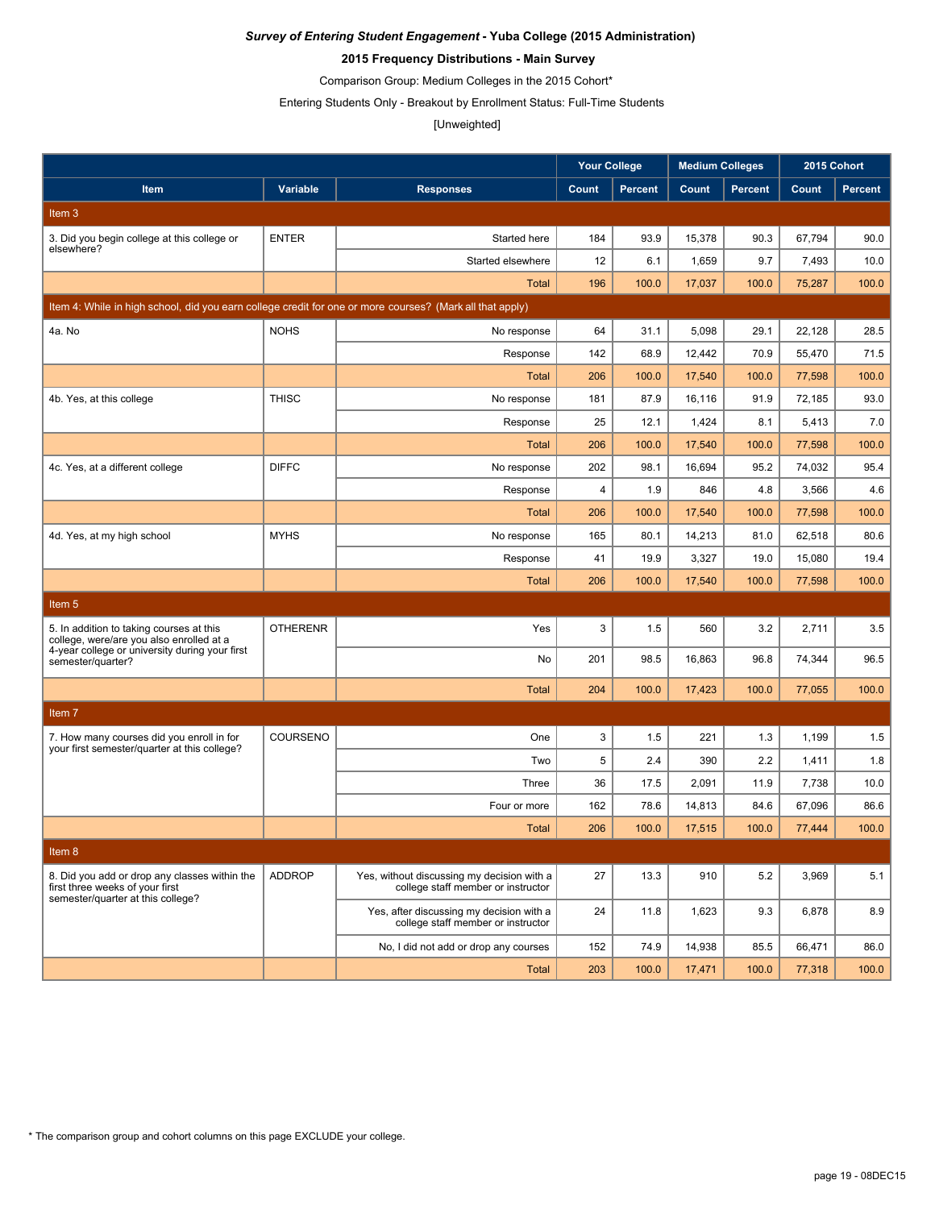### **2015 Frequency Distributions - Main Survey**

Comparison Group: Medium Colleges in the 2015 Cohort\*

Entering Students Only - Breakout by Enrollment Status: Full-Time Students

# [Unweighted]

|                                                                                                          |                 |                                                                                  | <b>Your College</b> |                | <b>Medium Colleges</b> |                | 2015 Cohort |                |
|----------------------------------------------------------------------------------------------------------|-----------------|----------------------------------------------------------------------------------|---------------------|----------------|------------------------|----------------|-------------|----------------|
| <b>Item</b>                                                                                              | Variable        | <b>Responses</b>                                                                 | Count               | <b>Percent</b> | Count                  | <b>Percent</b> | Count       | <b>Percent</b> |
| Item 3                                                                                                   |                 |                                                                                  |                     |                |                        |                |             |                |
| 3. Did you begin college at this college or                                                              | <b>ENTER</b>    | Started here                                                                     | 184                 | 93.9           | 15,378                 | 90.3           | 67,794      | 90.0           |
| elsewhere?                                                                                               |                 | Started elsewhere                                                                | 12                  | 6.1            | 1,659                  | 9.7            | 7,493       | 10.0           |
|                                                                                                          |                 | <b>Total</b>                                                                     | 196                 | 100.0          | 17,037                 | 100.0          | 75,287      | 100.0          |
| Item 4: While in high school, did you earn college credit for one or more courses? (Mark all that apply) |                 |                                                                                  |                     |                |                        |                |             |                |
| 4a. No                                                                                                   | <b>NOHS</b>     | No response                                                                      | 64                  | 31.1           | 5,098                  | 29.1           | 22,128      | 28.5           |
|                                                                                                          |                 | Response                                                                         | 142                 | 68.9           | 12,442                 | 70.9           | 55,470      | 71.5           |
|                                                                                                          |                 | <b>Total</b>                                                                     | 206                 | 100.0          | 17,540                 | 100.0          | 77,598      | 100.0          |
| 4b. Yes, at this college                                                                                 | <b>THISC</b>    | No response                                                                      | 181                 | 87.9           | 16,116                 | 91.9           | 72,185      | 93.0           |
|                                                                                                          |                 | Response                                                                         | 25                  | 12.1           | 1,424                  | 8.1            | 5,413       | 7.0            |
|                                                                                                          |                 | Total                                                                            | 206                 | 100.0          | 17,540                 | 100.0          | 77,598      | 100.0          |
| 4c. Yes, at a different college                                                                          | <b>DIFFC</b>    | No response                                                                      | 202                 | 98.1           | 16,694                 | 95.2           | 74,032      | 95.4           |
|                                                                                                          |                 | Response                                                                         | 4                   | 1.9            | 846                    | 4.8            | 3,566       | 4.6            |
|                                                                                                          |                 | <b>Total</b>                                                                     | 206                 | 100.0          | 17,540                 | 100.0          | 77,598      | 100.0          |
| 4d. Yes, at my high school                                                                               | <b>MYHS</b>     | No response                                                                      | 165                 | 80.1           | 14,213                 | 81.0           | 62,518      | 80.6           |
|                                                                                                          |                 | Response                                                                         | 41                  | 19.9           | 3,327                  | 19.0           | 15,080      | 19.4           |
|                                                                                                          |                 | <b>Total</b>                                                                     | 206                 | 100.0          | 17,540                 | 100.0          | 77,598      | 100.0          |
| Item 5                                                                                                   |                 |                                                                                  |                     |                |                        |                |             |                |
| 5. In addition to taking courses at this<br>college, were/are you also enrolled at a                     | <b>OTHERENR</b> | Yes                                                                              | 3                   | 1.5            | 560                    | 3.2            | 2,711       | 3.5            |
| 4-year college or university during your first<br>semester/quarter?                                      |                 | No                                                                               | 201                 | 98.5           | 16,863                 | 96.8           | 74,344      | 96.5           |
|                                                                                                          |                 | <b>Total</b>                                                                     | 204                 | 100.0          | 17,423                 | 100.0          | 77,055      | 100.0          |
| Item 7                                                                                                   |                 |                                                                                  |                     |                |                        |                |             |                |
| 7. How many courses did you enroll in for                                                                | COURSENO        | One                                                                              | 3                   | 1.5            | 221                    | 1.3            | 1,199       | 1.5            |
| your first semester/quarter at this college?                                                             |                 | Two                                                                              | 5                   | 2.4            | 390                    | 2.2            | 1,411       | 1.8            |
|                                                                                                          |                 | Three                                                                            | 36                  | 17.5           | 2,091                  | 11.9           | 7,738       | 10.0           |
|                                                                                                          |                 | Four or more                                                                     | 162                 | 78.6           | 14,813                 | 84.6           | 67,096      | 86.6           |
|                                                                                                          |                 | Total                                                                            | 206                 | 100.0          | 17,515                 | 100.0          | 77,444      | 100.0          |
| Item 8                                                                                                   |                 |                                                                                  |                     |                |                        |                |             |                |
| 8. Did you add or drop any classes within the<br>first three weeks of your first                         | <b>ADDROP</b>   | Yes, without discussing my decision with a<br>college staff member or instructor | 27                  | 13.3           | 910                    | 5.2            | 3,969       | 5.1            |
| semester/quarter at this college?                                                                        |                 | Yes, after discussing my decision with a<br>college staff member or instructor   | 24                  | 11.8           | 1,623                  | 9.3            | 6,878       | 8.9            |
|                                                                                                          |                 | No, I did not add or drop any courses                                            | 152                 | 74.9           | 14,938                 | 85.5           | 66,471      | 86.0           |
|                                                                                                          |                 | Total                                                                            | 203                 | 100.0          | 17,471                 | 100.0          | 77,318      | 100.0          |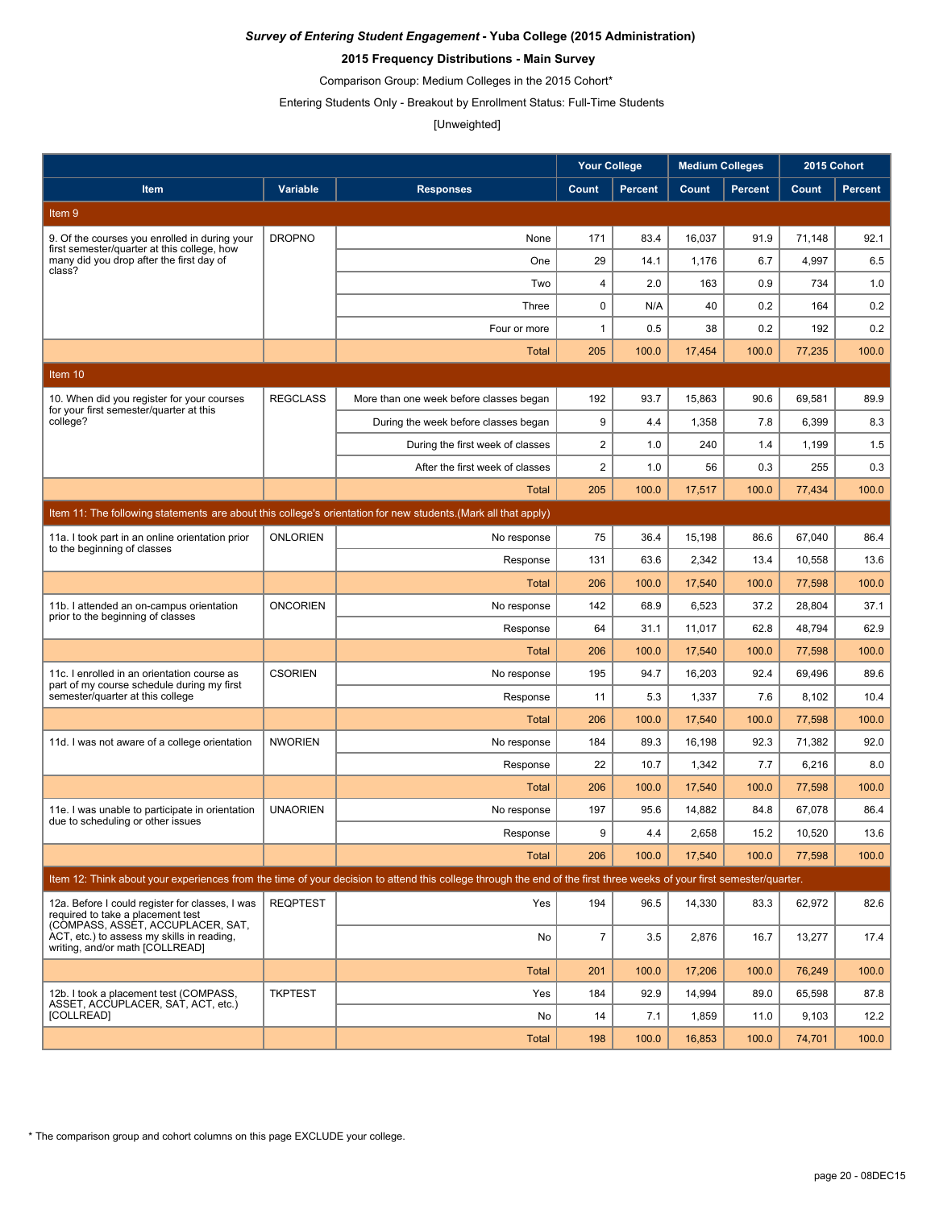### **2015 Frequency Distributions - Main Survey**

Comparison Group: Medium Colleges in the 2015 Cohort\*

Entering Students Only - Breakout by Enrollment Status: Full-Time Students

# [Unweighted]

|                                                                                                                           |                 |                                                                                                                                                                      | <b>Your College</b> |                | <b>Medium Colleges</b> |                | 2015 Cohort |                |
|---------------------------------------------------------------------------------------------------------------------------|-----------------|----------------------------------------------------------------------------------------------------------------------------------------------------------------------|---------------------|----------------|------------------------|----------------|-------------|----------------|
| Item                                                                                                                      | Variable        | <b>Responses</b>                                                                                                                                                     | Count               | <b>Percent</b> | Count                  | <b>Percent</b> | Count       | <b>Percent</b> |
| Item 9                                                                                                                    |                 |                                                                                                                                                                      |                     |                |                        |                |             |                |
| 9. Of the courses you enrolled in during your                                                                             | <b>DROPNO</b>   | None                                                                                                                                                                 | 171                 | 83.4           | 16,037                 | 91.9           | 71,148      | 92.1           |
| first semester/quarter at this college, how<br>many did you drop after the first day of                                   |                 | One                                                                                                                                                                  | 29                  | 14.1           | 1,176                  | 6.7            | 4,997       | 6.5            |
| class?                                                                                                                    |                 | Two                                                                                                                                                                  | 4                   | 2.0            | 163                    | 0.9            | 734         | 1.0            |
|                                                                                                                           |                 | Three                                                                                                                                                                | $\mathbf 0$         | N/A            | 40                     | 0.2            | 164         | 0.2            |
|                                                                                                                           |                 | Four or more                                                                                                                                                         | $\mathbf{1}$        | 0.5            | 38                     | 0.2            | 192         | 0.2            |
|                                                                                                                           |                 | Total                                                                                                                                                                | 205                 | 100.0          | 17,454                 | 100.0          | 77,235      | 100.0          |
| Item 10                                                                                                                   |                 |                                                                                                                                                                      |                     |                |                        |                |             |                |
| 10. When did you register for your courses                                                                                | <b>REGCLASS</b> | More than one week before classes began                                                                                                                              | 192                 | 93.7           | 15,863                 | 90.6           | 69,581      | 89.9           |
| for your first semester/quarter at this<br>college?                                                                       |                 | During the week before classes began                                                                                                                                 | 9                   | 4.4            | 1,358                  | 7.8            | 6,399       | 8.3            |
|                                                                                                                           |                 | During the first week of classes                                                                                                                                     | $\overline{2}$      | 1.0            | 240                    | 1.4            | 1,199       | 1.5            |
|                                                                                                                           |                 | After the first week of classes                                                                                                                                      | $\overline{2}$      | 1.0            | 56                     | 0.3            | 255         | 0.3            |
|                                                                                                                           |                 | Total                                                                                                                                                                | 205                 | 100.0          | 17,517                 | 100.0          | 77,434      | 100.0          |
|                                                                                                                           |                 | Item 11: The following statements are about this college's orientation for new students. (Mark all that apply)                                                       |                     |                |                        |                |             |                |
| 11a. I took part in an online orientation prior<br>to the beginning of classes                                            | <b>ONLORIEN</b> | No response                                                                                                                                                          | 75                  | 36.4           | 15,198                 | 86.6           | 67,040      | 86.4           |
|                                                                                                                           |                 | Response                                                                                                                                                             | 131                 | 63.6           | 2,342                  | 13.4           | 10,558      | 13.6           |
|                                                                                                                           |                 | Total                                                                                                                                                                | 206                 | 100.0          | 17,540                 | 100.0          | 77.598      | 100.0          |
| 11b. I attended an on-campus orientation                                                                                  | <b>ONCORIEN</b> | No response                                                                                                                                                          | 142                 | 68.9           | 6,523                  | 37.2           | 28,804      | 37.1           |
| prior to the beginning of classes                                                                                         |                 | Response                                                                                                                                                             | 64                  | 31.1           | 11,017                 | 62.8           | 48,794      | 62.9           |
|                                                                                                                           |                 | Total                                                                                                                                                                | 206                 | 100.0          | 17,540                 | 100.0          | 77,598      | 100.0          |
| 11c. I enrolled in an orientation course as<br>part of my course schedule during my first                                 | <b>CSORIEN</b>  | No response                                                                                                                                                          | 195                 | 94.7           | 16,203                 | 92.4           | 69,496      | 89.6           |
| semester/quarter at this college                                                                                          |                 | Response                                                                                                                                                             | 11                  | 5.3            | 1,337                  | 7.6            | 8,102       | 10.4           |
|                                                                                                                           |                 | Total                                                                                                                                                                | 206                 | 100.0          | 17,540                 | 100.0          | 77,598      | 100.0          |
| 11d. I was not aware of a college orientation                                                                             | <b>NWORIEN</b>  | No response                                                                                                                                                          | 184                 | 89.3           | 16,198                 | 92.3           | 71,382      | 92.0           |
|                                                                                                                           |                 | Response                                                                                                                                                             | 22                  | 10.7           | 1,342                  | 7.7            | 6,216       | 8.0            |
|                                                                                                                           |                 | Total                                                                                                                                                                | 206                 | 100.0          | 17,540                 | 100.0          | 77,598      | 100.0          |
| 11e. I was unable to participate in orientation<br>due to scheduling or other issues                                      | <b>UNAORIEN</b> | No response                                                                                                                                                          | 197                 | 95.6           | 14,882                 | 84.8           | 67,078      | 86.4           |
|                                                                                                                           |                 | Response                                                                                                                                                             | 9                   | 4.4            | 2,658                  | 15.2           | 10,520      | 13.6           |
|                                                                                                                           |                 | <b>Total</b>                                                                                                                                                         | 206                 | 100.0          | 17,540                 | 100.0          | 77,598      | 100.0          |
|                                                                                                                           |                 | Item 12: Think about your experiences from the time of your decision to attend this college through the end of the first three weeks of your first semester/quarter. |                     |                |                        |                |             |                |
| 12a. Before I could register for classes, I was<br>required to take a placement test<br>(COMPASS, ASSET, ACCUPLACER, SAT. | <b>REQPTEST</b> | Yes                                                                                                                                                                  | 194                 | 96.5           | 14,330                 | 83.3           | 62,972      | 82.6           |
| ACT, etc.) to assess my skills in reading,<br>writing, and/or math [COLLREAD]                                             |                 | No                                                                                                                                                                   | $\overline{7}$      | 3.5            | 2,876                  | 16.7           | 13,277      | 17.4           |
|                                                                                                                           |                 | <b>Total</b>                                                                                                                                                         | 201                 | 100.0          | 17,206                 | 100.0          | 76,249      | 100.0          |
| 12b. I took a placement test (COMPASS.<br>ASSET, ACCUPLACER, SAT, ACT, etc.)                                              | <b>TKPTEST</b>  | Yes                                                                                                                                                                  | 184                 | 92.9           | 14,994                 | 89.0           | 65,598      | 87.8           |
| [COLLREAD]                                                                                                                |                 | No                                                                                                                                                                   | 14                  | 7.1            | 1,859                  | 11.0           | 9,103       | 12.2           |
|                                                                                                                           |                 | Total                                                                                                                                                                | 198                 | 100.0          | 16,853                 | 100.0          | 74,701      | 100.0          |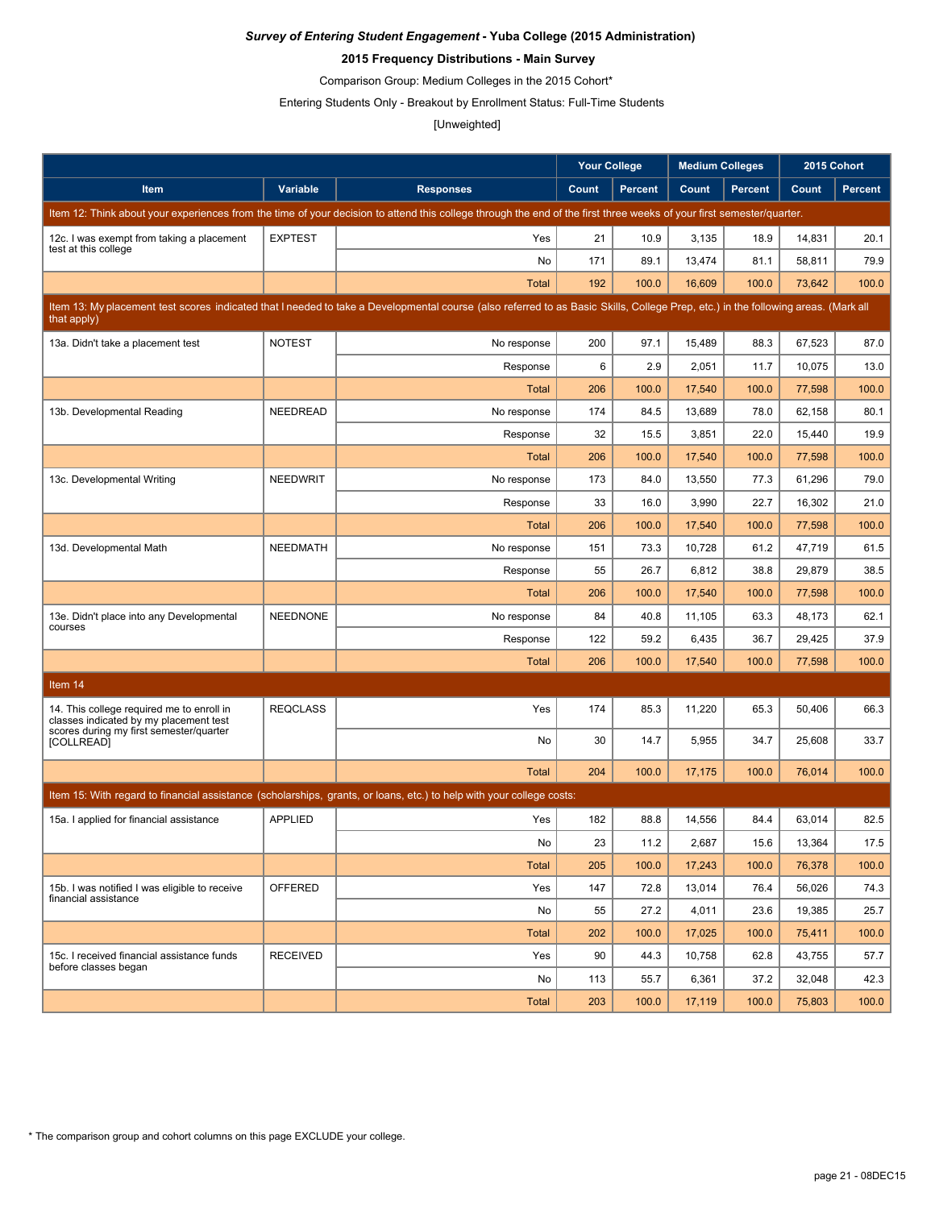### **2015 Frequency Distributions - Main Survey**

Comparison Group: Medium Colleges in the 2015 Cohort\*

Entering Students Only - Breakout by Enrollment Status: Full-Time Students

## [Unweighted]

|                                                                                                                                                                                                  |                 |                                                                                                                                                                      | <b>Your College</b> |                | <b>Medium Colleges</b> |                | 2015 Cohort |                |
|--------------------------------------------------------------------------------------------------------------------------------------------------------------------------------------------------|-----------------|----------------------------------------------------------------------------------------------------------------------------------------------------------------------|---------------------|----------------|------------------------|----------------|-------------|----------------|
| Item                                                                                                                                                                                             | Variable        | <b>Responses</b>                                                                                                                                                     | Count               | <b>Percent</b> | Count                  | <b>Percent</b> | Count       | <b>Percent</b> |
|                                                                                                                                                                                                  |                 | Item 12: Think about your experiences from the time of your decision to attend this college through the end of the first three weeks of your first semester/quarter. |                     |                |                        |                |             |                |
| 12c. I was exempt from taking a placement                                                                                                                                                        | <b>EXPTEST</b>  | Yes                                                                                                                                                                  | 21                  | 10.9           | 3,135                  | 18.9           | 14,831      | 20.1           |
| test at this college                                                                                                                                                                             |                 | No                                                                                                                                                                   | 171                 | 89.1           | 13,474                 | 81.1           | 58,811      | 79.9           |
|                                                                                                                                                                                                  |                 | <b>Total</b>                                                                                                                                                         | 192                 | 100.0          | 16,609                 | 100.0          | 73,642      | 100.0          |
| Item 13: My placement test scores indicated that I needed to take a Developmental course (also referred to as Basic Skills, College Prep, etc.) in the following areas. (Mark all<br>that apply) |                 |                                                                                                                                                                      |                     |                |                        |                |             |                |
| 13a. Didn't take a placement test                                                                                                                                                                | <b>NOTEST</b>   | No response                                                                                                                                                          | 200                 | 97.1           | 15,489                 | 88.3           | 67,523      | 87.0           |
|                                                                                                                                                                                                  |                 | Response                                                                                                                                                             | 6                   | 2.9            | 2,051                  | 11.7           | 10,075      | 13.0           |
|                                                                                                                                                                                                  |                 | <b>Total</b>                                                                                                                                                         | 206                 | 100.0          | 17,540                 | 100.0          | 77,598      | 100.0          |
| 13b. Developmental Reading                                                                                                                                                                       | NEEDREAD        | No response                                                                                                                                                          | 174                 | 84.5           | 13,689                 | 78.0           | 62,158      | 80.1           |
|                                                                                                                                                                                                  |                 | Response                                                                                                                                                             | 32                  | 15.5           | 3,851                  | 22.0           | 15,440      | 19.9           |
|                                                                                                                                                                                                  |                 | <b>Total</b>                                                                                                                                                         | 206                 | 100.0          | 17,540                 | 100.0          | 77,598      | 100.0          |
| 13c. Developmental Writing                                                                                                                                                                       | <b>NEEDWRIT</b> | No response                                                                                                                                                          | 173                 | 84.0           | 13,550                 | 77.3           | 61.296      | 79.0           |
|                                                                                                                                                                                                  |                 | Response                                                                                                                                                             | 33                  | 16.0           | 3,990                  | 22.7           | 16,302      | 21.0           |
|                                                                                                                                                                                                  |                 | Total                                                                                                                                                                | 206                 | 100.0          | 17,540                 | 100.0          | 77,598      | 100.0          |
| 13d. Developmental Math                                                                                                                                                                          | <b>NEEDMATH</b> | No response                                                                                                                                                          | 151                 | 73.3           | 10,728                 | 61.2           | 47,719      | 61.5           |
|                                                                                                                                                                                                  |                 | Response                                                                                                                                                             | 55                  | 26.7           | 6,812                  | 38.8           | 29,879      | 38.5           |
|                                                                                                                                                                                                  |                 | <b>Total</b>                                                                                                                                                         | 206                 | 100.0          | 17,540                 | 100.0          | 77,598      | 100.0          |
| 13e. Didn't place into any Developmental                                                                                                                                                         | <b>NEEDNONE</b> | No response                                                                                                                                                          | 84                  | 40.8           | 11,105                 | 63.3           | 48,173      | 62.1           |
| courses                                                                                                                                                                                          |                 | Response                                                                                                                                                             | 122                 | 59.2           | 6,435                  | 36.7           | 29,425      | 37.9           |
|                                                                                                                                                                                                  |                 | <b>Total</b>                                                                                                                                                         | 206                 | 100.0          | 17,540                 | 100.0          | 77,598      | 100.0          |
| Item 14                                                                                                                                                                                          |                 |                                                                                                                                                                      |                     |                |                        |                |             |                |
| 14. This college required me to enroll in<br>classes indicated by my placement test<br>scores during my first semester/quarter                                                                   | <b>REQCLASS</b> | Yes                                                                                                                                                                  | 174                 | 85.3           | 11,220                 | 65.3           | 50,406      | 66.3           |
| <b>[COLLREAD]</b>                                                                                                                                                                                |                 | No                                                                                                                                                                   | 30                  | 14.7           | 5,955                  | 34.7           | 25,608      | 33.7           |
|                                                                                                                                                                                                  |                 | <b>Total</b>                                                                                                                                                         | 204                 | 100.0          | 17,175                 | 100.0          | 76,014      | 100.0          |
|                                                                                                                                                                                                  |                 | Item 15: With regard to financial assistance (scholarships, grants, or loans, etc.) to help with your college costs:                                                 |                     |                |                        |                |             |                |
| 15a. I applied for financial assistance                                                                                                                                                          | <b>APPLIED</b>  | Yes                                                                                                                                                                  | 182                 | 88.8           | 14,556                 | 84.4           | 63,014      | 82.5           |
|                                                                                                                                                                                                  |                 | No                                                                                                                                                                   | 23                  | 11.2           | 2,687                  | 15.6           | 13,364      | 17.5           |
|                                                                                                                                                                                                  |                 | <b>Total</b>                                                                                                                                                         | 205                 | 100.0          | 17,243                 | 100.0          | 76,378      | 100.0          |
| 15b. I was notified I was eligible to receive                                                                                                                                                    | OFFERED         | Yes                                                                                                                                                                  | 147                 | 72.8           | 13,014                 | 76.4           | 56,026      | 74.3           |
| financial assistance                                                                                                                                                                             |                 | No                                                                                                                                                                   | 55                  | 27.2           | 4,011                  | 23.6           | 19,385      | 25.7           |
|                                                                                                                                                                                                  |                 | <b>Total</b>                                                                                                                                                         | 202                 | 100.0          | 17,025                 | 100.0          | 75,411      | 100.0          |
| 15c. I received financial assistance funds                                                                                                                                                       | <b>RECEIVED</b> | Yes                                                                                                                                                                  | 90                  | 44.3           | 10,758                 | 62.8           | 43,755      | 57.7           |
| before classes began                                                                                                                                                                             |                 | No                                                                                                                                                                   | 113                 | 55.7           | 6,361                  | 37.2           | 32,048      | 42.3           |
|                                                                                                                                                                                                  |                 | <b>Total</b>                                                                                                                                                         | 203                 | 100.0          | 17,119                 | 100.0          | 75,803      | 100.0          |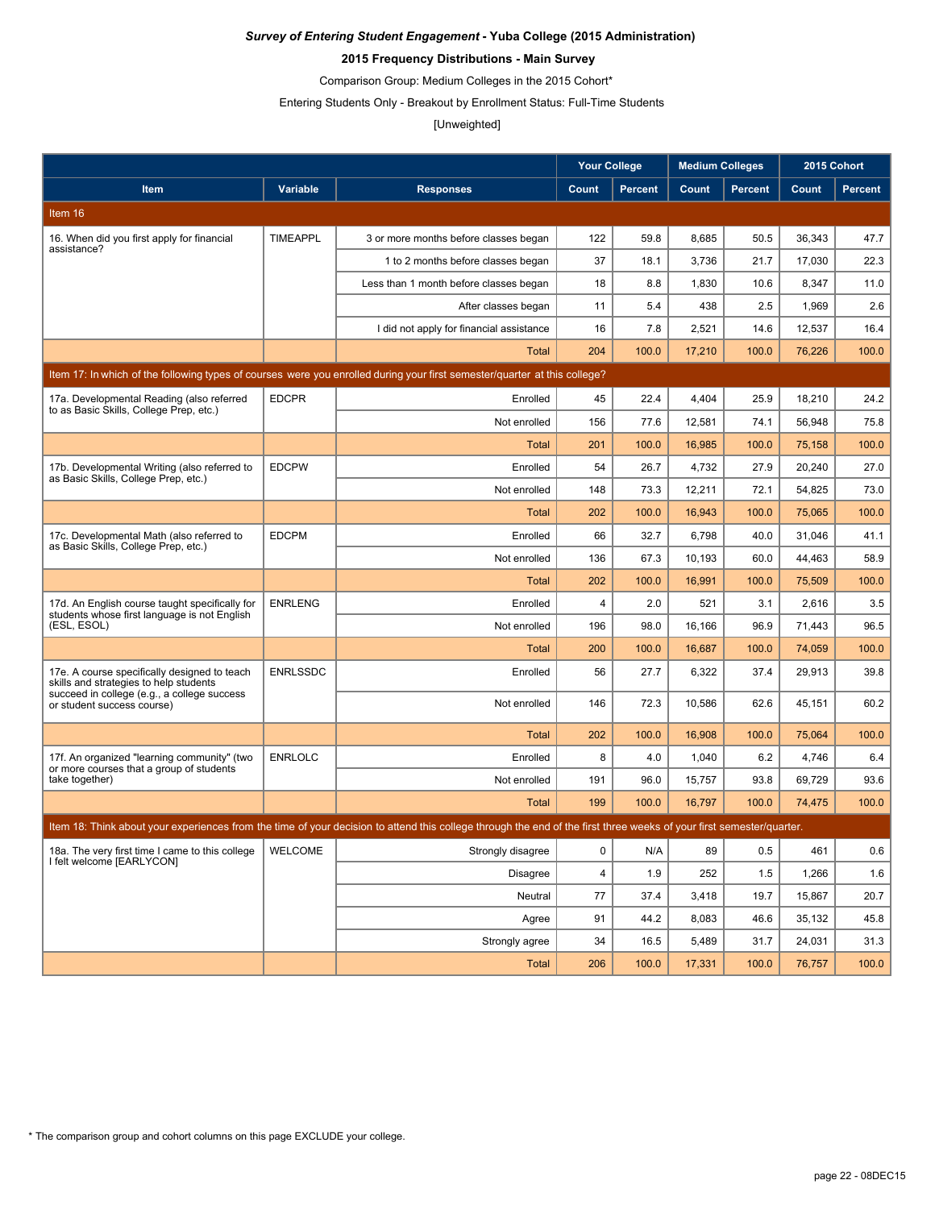### **2015 Frequency Distributions - Main Survey**

Comparison Group: Medium Colleges in the 2015 Cohort\*

Entering Students Only - Breakout by Enrollment Status: Full-Time Students

# [Unweighted]

|                                                                                                |                 |                                                                                                                                                                      | <b>Your College</b> |                | <b>Medium Colleges</b> |         | 2015 Cohort |                |
|------------------------------------------------------------------------------------------------|-----------------|----------------------------------------------------------------------------------------------------------------------------------------------------------------------|---------------------|----------------|------------------------|---------|-------------|----------------|
| Item                                                                                           | Variable        | <b>Responses</b>                                                                                                                                                     | Count               | <b>Percent</b> | Count                  | Percent | Count       | <b>Percent</b> |
| Item 16                                                                                        |                 |                                                                                                                                                                      |                     |                |                        |         |             |                |
| 16. When did you first apply for financial<br>assistance?                                      | <b>TIMEAPPL</b> | 3 or more months before classes began                                                                                                                                | 122                 | 59.8           | 8,685                  | 50.5    | 36,343      | 47.7           |
|                                                                                                |                 | 1 to 2 months before classes began                                                                                                                                   | 37                  | 18.1           | 3,736                  | 21.7    | 17,030      | 22.3           |
|                                                                                                |                 | Less than 1 month before classes began                                                                                                                               | 18                  | 8.8            | 1,830                  | 10.6    | 8,347       | 11.0           |
|                                                                                                |                 | After classes began                                                                                                                                                  | 11                  | 5.4            | 438                    | 2.5     | 1,969       | 2.6            |
|                                                                                                |                 | I did not apply for financial assistance                                                                                                                             | 16                  | 7.8            | 2,521                  | 14.6    | 12,537      | 16.4           |
|                                                                                                |                 | Total                                                                                                                                                                | 204                 | 100.0          | 17,210                 | 100.0   | 76,226      | 100.0          |
|                                                                                                |                 | Item 17: In which of the following types of courses were you enrolled during your first semester/quarter at this college?                                            |                     |                |                        |         |             |                |
| 17a. Developmental Reading (also referred<br>to as Basic Skills, College Prep, etc.)           | <b>EDCPR</b>    | Enrolled                                                                                                                                                             | 45                  | 22.4           | 4,404                  | 25.9    | 18,210      | 24.2           |
|                                                                                                |                 | Not enrolled                                                                                                                                                         | 156                 | 77.6           | 12,581                 | 74.1    | 56,948      | 75.8           |
|                                                                                                |                 | <b>Total</b>                                                                                                                                                         | 201                 | 100.0          | 16,985                 | 100.0   | 75,158      | 100.0          |
| 17b. Developmental Writing (also referred to<br>as Basic Skills, College Prep, etc.)           | <b>EDCPW</b>    | Enrolled                                                                                                                                                             | 54                  | 26.7           | 4,732                  | 27.9    | 20,240      | 27.0           |
|                                                                                                |                 | Not enrolled                                                                                                                                                         | 148                 | 73.3           | 12,211                 | 72.1    | 54,825      | 73.0           |
|                                                                                                |                 | Total                                                                                                                                                                | 202                 | 100.0          | 16,943                 | 100.0   | 75,065      | 100.0          |
| 17c. Developmental Math (also referred to<br>as Basic Skills, College Prep, etc.)              | <b>EDCPM</b>    | Enrolled                                                                                                                                                             | 66                  | 32.7           | 6,798                  | 40.0    | 31,046      | 41.1           |
|                                                                                                |                 | Not enrolled                                                                                                                                                         | 136                 | 67.3           | 10,193                 | 60.0    | 44,463      | 58.9           |
|                                                                                                |                 | <b>Total</b>                                                                                                                                                         | 202                 | 100.0          | 16,991                 | 100.0   | 75,509      | 100.0          |
| 17d. An English course taught specifically for<br>students whose first language is not English | <b>ENRLENG</b>  | Enrolled                                                                                                                                                             | 4                   | 2.0            | 521                    | 3.1     | 2,616       | 3.5            |
| (ESL, ESOL)                                                                                    |                 | Not enrolled                                                                                                                                                         | 196                 | 98.0           | 16,166                 | 96.9    | 71,443      | 96.5           |
|                                                                                                |                 | <b>Total</b>                                                                                                                                                         | 200                 | 100.0          | 16,687                 | 100.0   | 74,059      | 100.0          |
| 17e. A course specifically designed to teach<br>skills and strategies to help students         | <b>ENRLSSDC</b> | Enrolled                                                                                                                                                             | 56                  | 27.7           | 6,322                  | 37.4    | 29,913      | 39.8           |
| succeed in college (e.g., a college success<br>or student success course)                      |                 | Not enrolled                                                                                                                                                         | 146                 | 72.3           | 10,586                 | 62.6    | 45,151      | 60.2           |
|                                                                                                |                 | <b>Total</b>                                                                                                                                                         | 202                 | 100.0          | 16,908                 | 100.0   | 75,064      | 100.0          |
| 17f. An organized "learning community" (two<br>or more courses that a group of students        | <b>ENRLOLC</b>  | Enrolled                                                                                                                                                             | 8                   | 4.0            | 1,040                  | 6.2     | 4,746       | 6.4            |
| take together)                                                                                 |                 | Not enrolled                                                                                                                                                         | 191                 | 96.0           | 15,757                 | 93.8    | 69,729      | 93.6           |
|                                                                                                |                 | Total                                                                                                                                                                | 199                 | 100.0          | 16,797                 | 100.0   | 74,475      | 100.0          |
|                                                                                                |                 | Item 18: Think about your experiences from the time of your decision to attend this college through the end of the first three weeks of your first semester/quarter. |                     |                |                        |         |             |                |
| 18a. The very first time I came to this college<br>I felt welcome [EARLYCON]                   | WELCOME         | Strongly disagree                                                                                                                                                    | 0                   | N/A            | 89                     | 0.5     | 461         | 0.6            |
|                                                                                                |                 | <b>Disagree</b>                                                                                                                                                      | 4                   | 1.9            | 252                    | 1.5     | 1,266       | 1.6            |
|                                                                                                |                 | Neutral                                                                                                                                                              | 77                  | 37.4           | 3,418                  | 19.7    | 15,867      | 20.7           |
|                                                                                                |                 | Agree                                                                                                                                                                | 91                  | 44.2           | 8,083                  | 46.6    | 35,132      | 45.8           |
|                                                                                                |                 | Strongly agree                                                                                                                                                       | 34                  | 16.5           | 5,489                  | 31.7    | 24,031      | 31.3           |
|                                                                                                |                 | Total                                                                                                                                                                | 206                 | 100.0          | 17,331                 | 100.0   | 76,757      | 100.0          |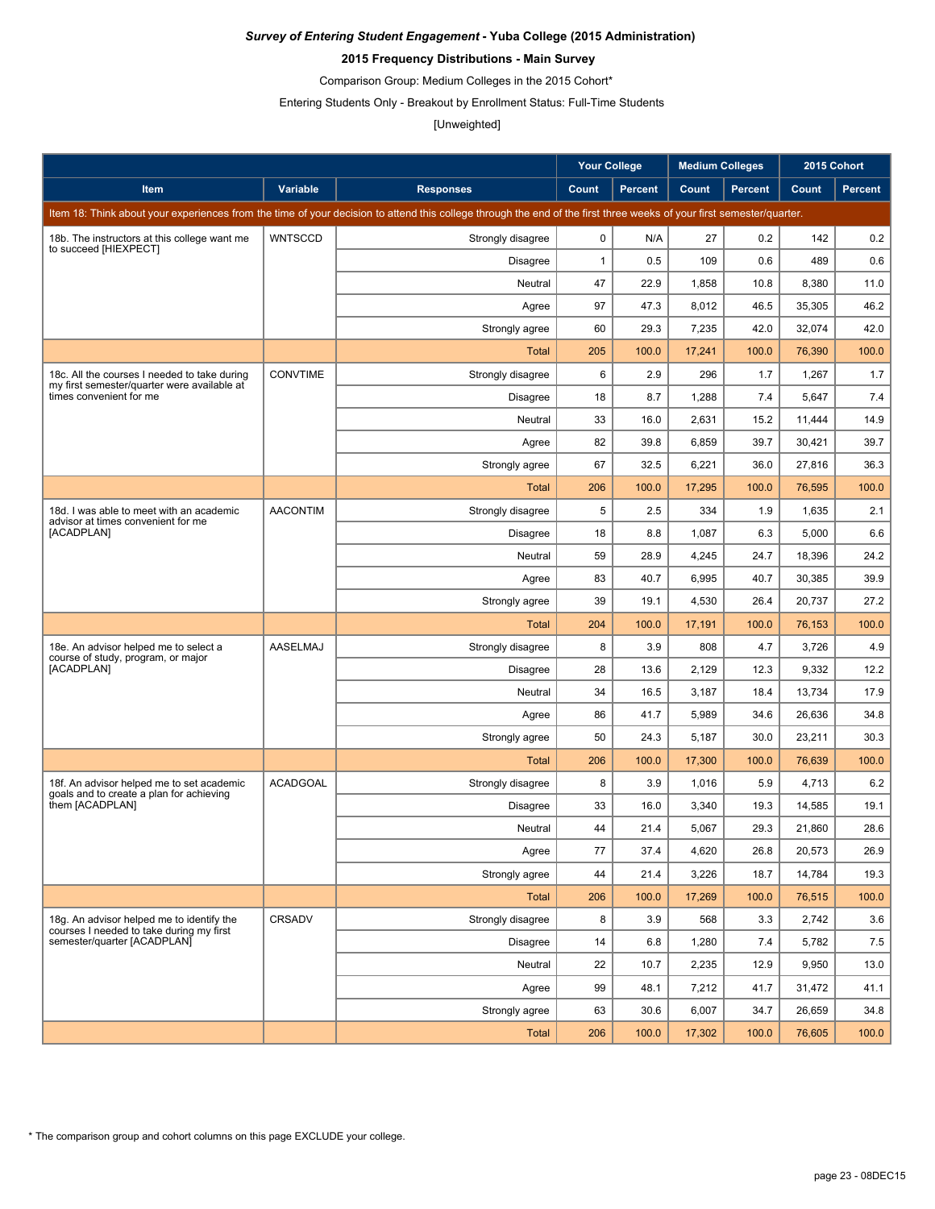### **2015 Frequency Distributions - Main Survey**

Comparison Group: Medium Colleges in the 2015 Cohort\*

Entering Students Only - Breakout by Enrollment Status: Full-Time Students

# [Unweighted]

|                                                                                             |                 |                                                                                                                                                                      | <b>Your College</b> |                | <b>Medium Colleges</b> |                | 2015 Cohort |                |
|---------------------------------------------------------------------------------------------|-----------------|----------------------------------------------------------------------------------------------------------------------------------------------------------------------|---------------------|----------------|------------------------|----------------|-------------|----------------|
| Item                                                                                        | Variable        | <b>Responses</b>                                                                                                                                                     | Count               | <b>Percent</b> | Count                  | <b>Percent</b> | Count       | <b>Percent</b> |
|                                                                                             |                 | Item 18: Think about your experiences from the time of your decision to attend this college through the end of the first three weeks of your first semester/quarter. |                     |                |                        |                |             |                |
| 18b. The instructors at this college want me                                                | <b>WNTSCCD</b>  | Strongly disagree                                                                                                                                                    | $\mathbf 0$         | N/A            | 27                     | 0.2            | 142         | 0.2            |
| to succeed [HIEXPECT]                                                                       |                 | <b>Disagree</b>                                                                                                                                                      | $\mathbf{1}$        | 0.5            | 109                    | 0.6            | 489         | 0.6            |
|                                                                                             |                 | Neutral                                                                                                                                                              | 47                  | 22.9           | 1,858                  | 10.8           | 8,380       | 11.0           |
|                                                                                             |                 | Agree                                                                                                                                                                | 97                  | 47.3           | 8,012                  | 46.5           | 35,305      | 46.2           |
|                                                                                             |                 | Strongly agree                                                                                                                                                       | 60                  | 29.3           | 7,235                  | 42.0           | 32,074      | 42.0           |
|                                                                                             |                 | Total                                                                                                                                                                | 205                 | 100.0          | 17,241                 | 100.0          | 76,390      | 100.0          |
| 18c. All the courses I needed to take during<br>my first semester/quarter were available at | <b>CONVTIME</b> | Strongly disagree                                                                                                                                                    | 6                   | 2.9            | 296                    | 1.7            | 1,267       | 1.7            |
| times convenient for me                                                                     |                 | <b>Disagree</b>                                                                                                                                                      | 18                  | 8.7            | 1,288                  | 7.4            | 5,647       | 7.4            |
|                                                                                             |                 | Neutral                                                                                                                                                              | 33                  | 16.0           | 2,631                  | 15.2           | 11,444      | 14.9           |
|                                                                                             |                 | Agree                                                                                                                                                                | 82                  | 39.8           | 6,859                  | 39.7           | 30,421      | 39.7           |
|                                                                                             |                 | Strongly agree                                                                                                                                                       | 67                  | 32.5           | 6,221                  | 36.0           | 27,816      | 36.3           |
|                                                                                             |                 | <b>Total</b>                                                                                                                                                         | 206                 | 100.0          | 17,295                 | 100.0          | 76,595      | 100.0          |
| 18d. I was able to meet with an academic<br>advisor at times convenient for me              | <b>AACONTIM</b> | Strongly disagree                                                                                                                                                    | 5                   | 2.5            | 334                    | 1.9            | 1,635       | 2.1            |
| [ACADPLAN]                                                                                  |                 | <b>Disagree</b>                                                                                                                                                      | 18                  | 8.8            | 1,087                  | 6.3            | 5,000       | 6.6            |
|                                                                                             |                 | Neutral                                                                                                                                                              | 59                  | 28.9           | 4,245                  | 24.7           | 18,396      | 24.2           |
|                                                                                             |                 | Agree                                                                                                                                                                | 83                  | 40.7           | 6,995                  | 40.7           | 30,385      | 39.9           |
|                                                                                             |                 | Strongly agree                                                                                                                                                       | 39                  | 19.1           | 4,530                  | 26.4           | 20,737      | 27.2           |
|                                                                                             |                 | <b>Total</b>                                                                                                                                                         | 204                 | 100.0          | 17,191                 | 100.0          | 76,153      | 100.0          |
| 18e. An advisor helped me to select a<br>course of study, program, or major                 | AASELMAJ        | Strongly disagree                                                                                                                                                    | 8                   | 3.9            | 808                    | 4.7            | 3,726       | 4.9            |
| [ACADPLAN]                                                                                  |                 | <b>Disagree</b>                                                                                                                                                      | 28                  | 13.6           | 2,129                  | 12.3           | 9,332       | 12.2           |
|                                                                                             |                 | Neutral                                                                                                                                                              | 34                  | 16.5           | 3,187                  | 18.4           | 13,734      | 17.9           |
|                                                                                             |                 | Agree                                                                                                                                                                | 86                  | 41.7           | 5,989                  | 34.6           | 26,636      | 34.8           |
|                                                                                             |                 | Strongly agree                                                                                                                                                       | 50                  | 24.3           | 5,187                  | 30.0           | 23,211      | 30.3           |
|                                                                                             |                 | Total                                                                                                                                                                | 206                 | 100.0          | 17,300                 | 100.0          | 76,639      | 100.0          |
| 18f. An advisor helped me to set academic<br>goals and to create a plan for achieving       | <b>ACADGOAL</b> | Strongly disagree                                                                                                                                                    | 8                   | 3.9            | 1,016                  | 5.9            | 4,713       | 6.2            |
| them [ACADPLAN]                                                                             |                 | <b>Disagree</b>                                                                                                                                                      | 33                  | 16.0           | 3,340                  | 19.3           | 14,585      | 19.1           |
|                                                                                             |                 | Neutral                                                                                                                                                              | 44                  | 21.4           | 5,067                  | 29.3           | 21,860      | 28.6           |
|                                                                                             |                 | Agree                                                                                                                                                                | 77                  | 37.4           | 4,620                  | 26.8           | 20,573      | 26.9           |
|                                                                                             |                 | Strongly agree                                                                                                                                                       | 44                  | 21.4           | 3,226                  | 18.7           | 14,784      | 19.3           |
|                                                                                             |                 | <b>Total</b>                                                                                                                                                         | 206                 | 100.0          | 17,269                 | 100.0          | 76,515      | 100.0          |
| 18g. An advisor helped me to identify the<br>courses I needed to take during my first       | CRSADV          | Strongly disagree                                                                                                                                                    | 8                   | 3.9            | 568                    | 3.3            | 2,742       | 3.6            |
| semester/quarter [ACADPLAN]                                                                 |                 | <b>Disagree</b>                                                                                                                                                      | 14                  | 6.8            | 1,280                  | 7.4            | 5,782       | 7.5            |
|                                                                                             |                 | Neutral                                                                                                                                                              | 22                  | 10.7           | 2,235                  | 12.9           | 9,950       | 13.0           |
|                                                                                             |                 | Agree                                                                                                                                                                | 99                  | 48.1           | 7,212                  | 41.7           | 31,472      | 41.1           |
|                                                                                             |                 | Strongly agree                                                                                                                                                       | 63                  | 30.6           | 6,007                  | 34.7           | 26,659      | 34.8           |
|                                                                                             |                 | <b>Total</b>                                                                                                                                                         | 206                 | 100.0          | 17,302                 | 100.0          | 76,605      | 100.0          |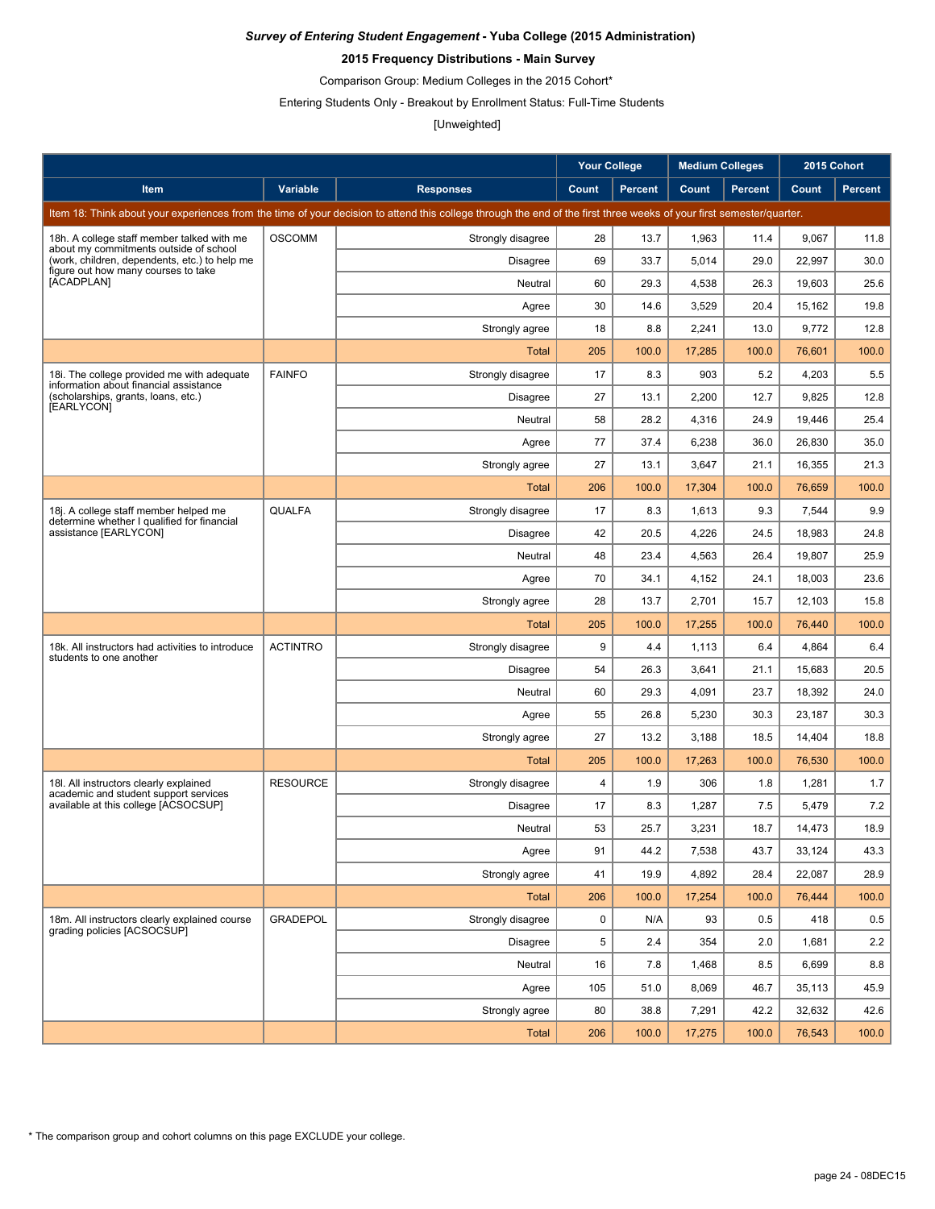### **2015 Frequency Distributions - Main Survey**

Comparison Group: Medium Colleges in the 2015 Cohort\*

Entering Students Only - Breakout by Enrollment Status: Full-Time Students

## [Unweighted]

|                                                                                         |                 |                                                                                                                                                                      | <b>Your College</b> |                | <b>Medium Colleges</b> |                | 2015 Cohort |                |
|-----------------------------------------------------------------------------------------|-----------------|----------------------------------------------------------------------------------------------------------------------------------------------------------------------|---------------------|----------------|------------------------|----------------|-------------|----------------|
| Item                                                                                    | Variable        | <b>Responses</b>                                                                                                                                                     | Count               | <b>Percent</b> | Count                  | <b>Percent</b> | Count       | <b>Percent</b> |
|                                                                                         |                 | Item 18: Think about your experiences from the time of your decision to attend this college through the end of the first three weeks of your first semester/quarter. |                     |                |                        |                |             |                |
| 18h. A college staff member talked with me                                              | <b>OSCOMM</b>   | Strongly disagree                                                                                                                                                    | 28                  | 13.7           | 1,963                  | 11.4           | 9,067       | 11.8           |
| about my commitments outside of school<br>(work, children, dependents, etc.) to help me |                 | <b>Disagree</b>                                                                                                                                                      | 69                  | 33.7           | 5,014                  | 29.0           | 22,997      | 30.0           |
| figure out how many courses to take<br>[ACADPLAN]                                       |                 | Neutral                                                                                                                                                              | 60                  | 29.3           | 4,538                  | 26.3           | 19,603      | 25.6           |
|                                                                                         |                 | Agree                                                                                                                                                                | 30                  | 14.6           | 3,529                  | 20.4           | 15,162      | 19.8           |
|                                                                                         |                 | Strongly agree                                                                                                                                                       | 18                  | 8.8            | 2,241                  | 13.0           | 9,772       | 12.8           |
|                                                                                         |                 | Total                                                                                                                                                                | 205                 | 100.0          | 17,285                 | 100.0          | 76,601      | 100.0          |
| 18. The college provided me with adequate<br>information about financial assistance     | <b>FAINFO</b>   | Strongly disagree                                                                                                                                                    | 17                  | 8.3            | 903                    | 5.2            | 4,203       | 5.5            |
| (scholarships, grants, loans, etc.)<br>[EARLYCON]                                       |                 | <b>Disagree</b>                                                                                                                                                      | 27                  | 13.1           | 2,200                  | 12.7           | 9,825       | 12.8           |
|                                                                                         |                 | Neutral                                                                                                                                                              | 58                  | 28.2           | 4,316                  | 24.9           | 19,446      | 25.4           |
|                                                                                         |                 | Agree                                                                                                                                                                | 77                  | 37.4           | 6,238                  | 36.0           | 26,830      | 35.0           |
|                                                                                         |                 | Strongly agree                                                                                                                                                       | 27                  | 13.1           | 3,647                  | 21.1           | 16,355      | 21.3           |
|                                                                                         |                 | <b>Total</b>                                                                                                                                                         | 206                 | 100.0          | 17,304                 | 100.0          | 76.659      | 100.0          |
| 18j. A college staff member helped me<br>determine whether I qualified for financial    | <b>QUALFA</b>   | Strongly disagree                                                                                                                                                    | 17                  | 8.3            | 1,613                  | 9.3            | 7,544       | 9.9            |
| assistance [EARLYCON]                                                                   |                 | Disagree                                                                                                                                                             | 42                  | 20.5           | 4,226                  | 24.5           | 18.983      | 24.8           |
|                                                                                         |                 | Neutral                                                                                                                                                              | 48                  | 23.4           | 4,563                  | 26.4           | 19,807      | 25.9           |
|                                                                                         |                 | Agree                                                                                                                                                                | 70                  | 34.1           | 4,152                  | 24.1           | 18,003      | 23.6           |
|                                                                                         |                 | Strongly agree                                                                                                                                                       | 28                  | 13.7           | 2,701                  | 15.7           | 12,103      | 15.8           |
|                                                                                         |                 | Total                                                                                                                                                                | 205                 | 100.0          | 17,255                 | 100.0          | 76,440      | 100.0          |
| 18k. All instructors had activities to introduce<br>students to one another             | <b>ACTINTRO</b> | Strongly disagree                                                                                                                                                    | 9                   | 4.4            | 1,113                  | 6.4            | 4,864       | 6.4            |
|                                                                                         |                 | <b>Disagree</b>                                                                                                                                                      | 54                  | 26.3           | 3,641                  | 21.1           | 15,683      | 20.5           |
|                                                                                         |                 | Neutral                                                                                                                                                              | 60                  | 29.3           | 4,091                  | 23.7           | 18,392      | 24.0           |
|                                                                                         |                 | Agree                                                                                                                                                                | 55                  | 26.8           | 5,230                  | 30.3           | 23,187      | 30.3           |
|                                                                                         |                 | Strongly agree                                                                                                                                                       | 27                  | 13.2           | 3,188                  | 18.5           | 14,404      | 18.8           |
|                                                                                         |                 | Total                                                                                                                                                                | 205                 | 100.0          | 17,263                 | 100.0          | 76,530      | 100.0          |
| 18I. All instructors clearly explained<br>academic and student support services         | <b>RESOURCE</b> | Strongly disagree                                                                                                                                                    | $\overline{4}$      | 1.9            | 306                    | 1.8            | 1,281       | 1.7            |
| available at this college [ACSOCSUP]                                                    |                 | <b>Disagree</b>                                                                                                                                                      | 17                  | 8.3            | 1,287                  | 7.5            | 5,479       | 7.2            |
|                                                                                         |                 | Neutral                                                                                                                                                              | 53                  | 25.7           | 3,231                  | 18.7           | 14,473      | 18.9           |
|                                                                                         |                 | Agree                                                                                                                                                                | 91                  | 44.2           | 7,538                  | 43.7           | 33,124      | 43.3           |
|                                                                                         |                 | Strongly agree                                                                                                                                                       | 41                  | 19.9           | 4,892                  | 28.4           | 22,087      | 28.9           |
|                                                                                         |                 | <b>Total</b>                                                                                                                                                         | 206                 | 100.0          | 17,254                 | 100.0          | 76,444      | 100.0          |
| 18m. All instructors clearly explained course<br>grading policies [ACSOCSUP]            | <b>GRADEPOL</b> | Strongly disagree                                                                                                                                                    | 0                   | N/A            | 93                     | 0.5            | 418         | 0.5            |
|                                                                                         |                 | Disagree                                                                                                                                                             | 5                   | 2.4            | 354                    | 2.0            | 1,681       | 2.2            |
|                                                                                         |                 | Neutral                                                                                                                                                              | 16                  | 7.8            | 1,468                  | 8.5            | 6,699       | 8.8            |
|                                                                                         |                 | Agree                                                                                                                                                                | 105                 | 51.0           | 8,069                  | 46.7           | 35,113      | 45.9           |
|                                                                                         |                 | Strongly agree                                                                                                                                                       | 80                  | 38.8           | 7,291                  | 42.2           | 32,632      | 42.6           |
|                                                                                         |                 | <b>Total</b>                                                                                                                                                         | 206                 | 100.0          | 17,275                 | 100.0          | 76,543      | 100.0          |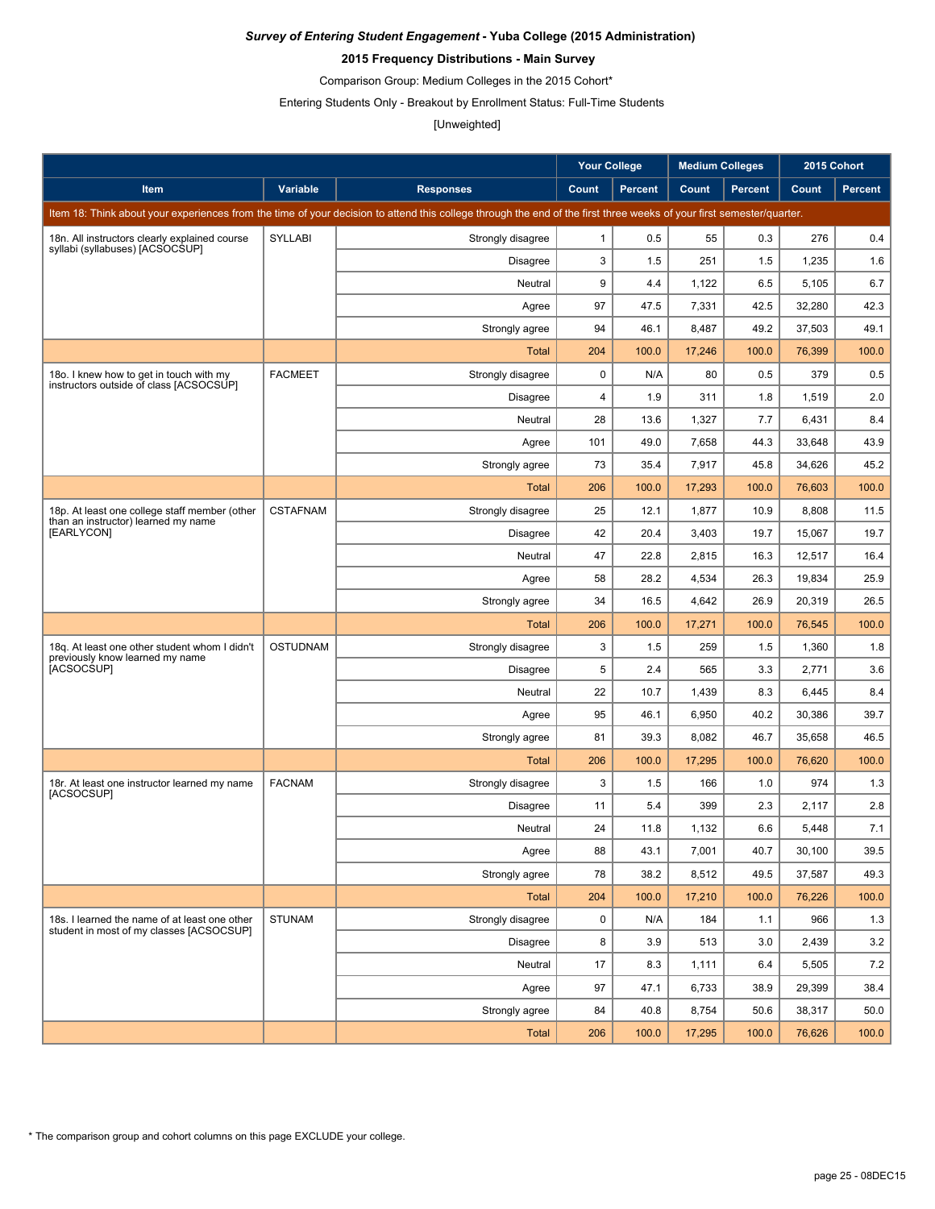### **2015 Frequency Distributions - Main Survey**

Comparison Group: Medium Colleges in the 2015 Cohort\*

Entering Students Only - Breakout by Enrollment Status: Full-Time Students

# [Unweighted]

|                                                                                           |                 |                                                                                                                                                                      | <b>Your College</b> |                | <b>Medium Colleges</b> |                | 2015 Cohort |                |
|-------------------------------------------------------------------------------------------|-----------------|----------------------------------------------------------------------------------------------------------------------------------------------------------------------|---------------------|----------------|------------------------|----------------|-------------|----------------|
| Item                                                                                      | Variable        | <b>Responses</b>                                                                                                                                                     | Count               | <b>Percent</b> | Count                  | <b>Percent</b> | Count       | <b>Percent</b> |
|                                                                                           |                 | Item 18: Think about your experiences from the time of your decision to attend this college through the end of the first three weeks of your first semester/quarter. |                     |                |                        |                |             |                |
| 18n. All instructors clearly explained course                                             | SYLLABI         | Strongly disagree                                                                                                                                                    | $\mathbf{1}$        | 0.5            | 55                     | 0.3            | 276         | 0.4            |
| syllabi (syllabuses) [ACSOCSUP]                                                           |                 | Disagree                                                                                                                                                             | 3                   | 1.5            | 251                    | 1.5            | 1,235       | 1.6            |
|                                                                                           |                 | Neutral                                                                                                                                                              | 9                   | 4.4            | 1,122                  | 6.5            | 5,105       | 6.7            |
|                                                                                           |                 | Agree                                                                                                                                                                | 97                  | 47.5           | 7,331                  | 42.5           | 32,280      | 42.3           |
|                                                                                           |                 | Strongly agree                                                                                                                                                       | 94                  | 46.1           | 8,487                  | 49.2           | 37,503      | 49.1           |
|                                                                                           |                 | Total                                                                                                                                                                | 204                 | 100.0          | 17,246                 | 100.0          | 76,399      | 100.0          |
| 180. I knew how to get in touch with my<br>instructors outside of class [ACSOCSUP]        | <b>FACMEET</b>  | Strongly disagree                                                                                                                                                    | 0                   | N/A            | 80                     | 0.5            | 379         | 0.5            |
|                                                                                           |                 | Disagree                                                                                                                                                             | 4                   | 1.9            | 311                    | 1.8            | 1,519       | 2.0            |
|                                                                                           |                 | Neutral                                                                                                                                                              | 28                  | 13.6           | 1,327                  | 7.7            | 6,431       | 8.4            |
|                                                                                           |                 | Agree                                                                                                                                                                | 101                 | 49.0           | 7,658                  | 44.3           | 33,648      | 43.9           |
|                                                                                           |                 | Strongly agree                                                                                                                                                       | 73                  | 35.4           | 7,917                  | 45.8           | 34,626      | 45.2           |
|                                                                                           |                 | <b>Total</b>                                                                                                                                                         | 206                 | 100.0          | 17,293                 | 100.0          | 76,603      | 100.0          |
| 18p. At least one college staff member (other<br>than an instructor) learned my name      | <b>CSTAFNAM</b> | Strongly disagree                                                                                                                                                    | 25                  | 12.1           | 1,877                  | 10.9           | 8,808       | 11.5           |
| [EARLYCON]                                                                                |                 | <b>Disagree</b>                                                                                                                                                      | 42                  | 20.4           | 3,403                  | 19.7           | 15,067      | 19.7           |
|                                                                                           |                 | Neutral                                                                                                                                                              | 47                  | 22.8           | 2,815                  | 16.3           | 12,517      | 16.4           |
|                                                                                           |                 | Agree                                                                                                                                                                | 58                  | 28.2           | 4,534                  | 26.3           | 19,834      | 25.9           |
|                                                                                           |                 | Strongly agree                                                                                                                                                       | 34                  | 16.5           | 4,642                  | 26.9           | 20,319      | 26.5           |
|                                                                                           |                 | <b>Total</b>                                                                                                                                                         | 206                 | 100.0          | 17,271                 | 100.0          | 76,545      | 100.0          |
| 18q. At least one other student whom I didn't<br>previously know learned my name          | <b>OSTUDNAM</b> | Strongly disagree                                                                                                                                                    | 3                   | 1.5            | 259                    | 1.5            | 1,360       | 1.8            |
| [ACSOCSUP]                                                                                |                 | Disagree                                                                                                                                                             | 5                   | 2.4            | 565                    | 3.3            | 2,771       | 3.6            |
|                                                                                           |                 | Neutral                                                                                                                                                              | 22                  | 10.7           | 1,439                  | 8.3            | 6,445       | 8.4            |
|                                                                                           |                 | Agree                                                                                                                                                                | 95                  | 46.1           | 6,950                  | 40.2           | 30,386      | 39.7           |
|                                                                                           |                 | Strongly agree                                                                                                                                                       | 81                  | 39.3           | 8,082                  | 46.7           | 35,658      | 46.5           |
|                                                                                           |                 | Total                                                                                                                                                                | 206                 | 100.0          | 17,295                 | 100.0          | 76,620      | 100.0          |
| 18r. At least one instructor learned my name<br>[ACSOCSUP]                                | <b>FACNAM</b>   | Strongly disagree                                                                                                                                                    | 3                   | 1.5            | 166                    | 1.0            | 974         | 1.3            |
|                                                                                           |                 | Disagree                                                                                                                                                             | 11                  | 5.4            | 399                    | 2.3            | 2,117       | 2.8            |
|                                                                                           |                 | Neutral                                                                                                                                                              | 24                  | 11.8           | 1,132                  | 6.6            | 5,448       | 7.1            |
|                                                                                           |                 | Agree                                                                                                                                                                | 88                  | 43.1           | 7,001                  | 40.7           | 30,100      | 39.5           |
|                                                                                           |                 | Strongly agree                                                                                                                                                       | 78                  | 38.2           | 8,512                  | 49.5           | 37,587      | 49.3           |
|                                                                                           |                 | Total                                                                                                                                                                | 204                 | 100.0          | 17,210                 | 100.0          | 76,226      | 100.0          |
| 18s. I learned the name of at least one other<br>student in most of my classes [ACSOCSUP] | <b>STUNAM</b>   | Strongly disagree                                                                                                                                                    | 0                   | N/A            | 184                    | 1.1            | 966         | 1.3            |
|                                                                                           |                 | Disagree                                                                                                                                                             | 8                   | 3.9            | 513                    | 3.0            | 2,439       | 3.2            |
|                                                                                           |                 | Neutral                                                                                                                                                              | 17                  | 8.3            | 1,111                  | 6.4            | 5,505       | 7.2            |
|                                                                                           |                 | Agree                                                                                                                                                                | 97                  | 47.1           | 6,733                  | 38.9           | 29,399      | 38.4           |
|                                                                                           |                 | Strongly agree                                                                                                                                                       | 84                  | 40.8           | 8,754                  | 50.6           | 38,317      | 50.0           |
|                                                                                           |                 | <b>Total</b>                                                                                                                                                         | 206                 | 100.0          | 17,295                 | 100.0          | 76,626      | 100.0          |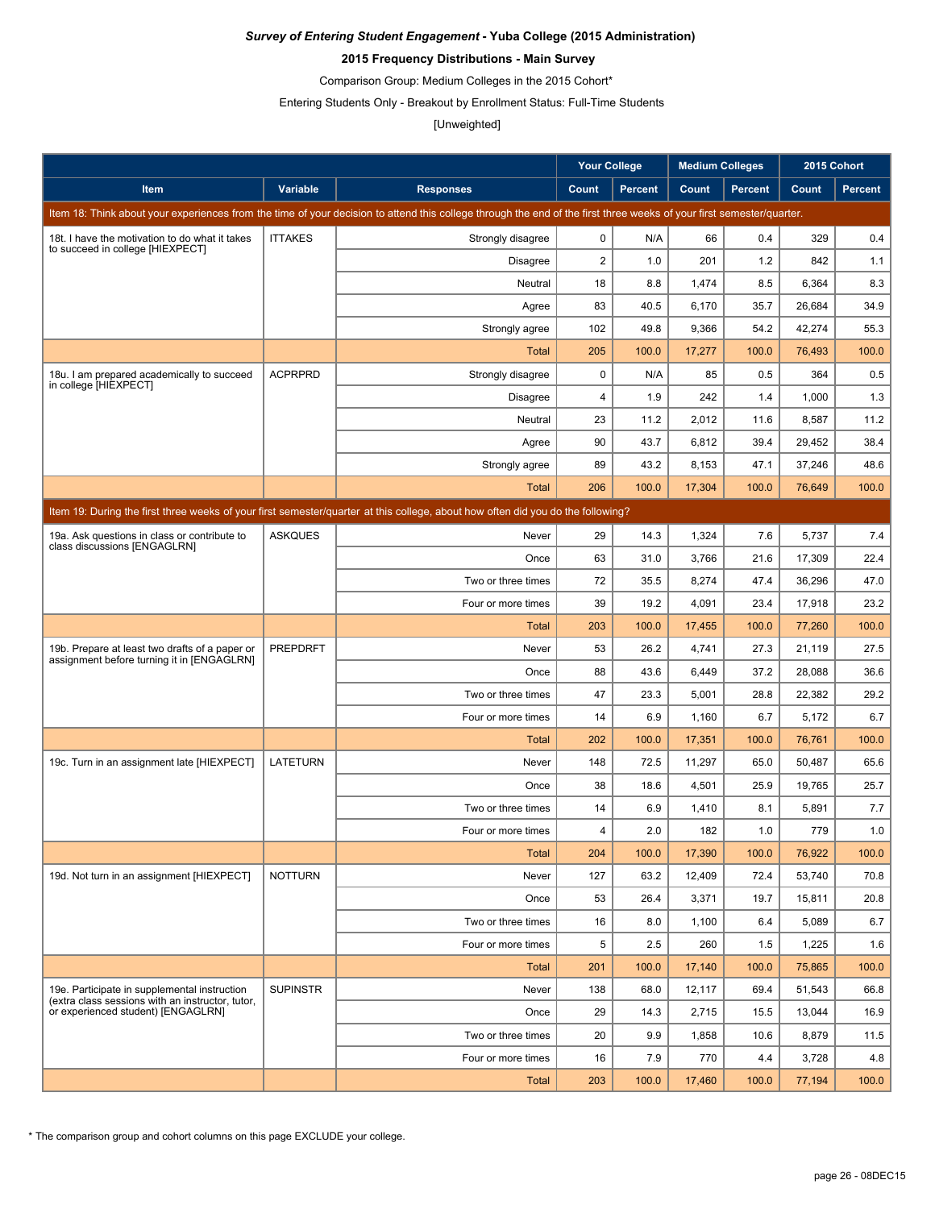### **2015 Frequency Distributions - Main Survey**

Comparison Group: Medium Colleges in the 2015 Cohort\*

Entering Students Only - Breakout by Enrollment Status: Full-Time Students

# [Unweighted]

|                                                                                                                                 |                 |                                                                                                                                                                      | <b>Your College</b> |                | <b>Medium Colleges</b> |                | 2015 Cohort |                |  |  |
|---------------------------------------------------------------------------------------------------------------------------------|-----------------|----------------------------------------------------------------------------------------------------------------------------------------------------------------------|---------------------|----------------|------------------------|----------------|-------------|----------------|--|--|
| <b>Item</b>                                                                                                                     | Variable        | <b>Responses</b>                                                                                                                                                     | Count               | <b>Percent</b> | Count                  | <b>Percent</b> | Count       | <b>Percent</b> |  |  |
|                                                                                                                                 |                 | Item 18: Think about your experiences from the time of your decision to attend this college through the end of the first three weeks of your first semester/quarter. |                     |                |                        |                |             |                |  |  |
| 18t. I have the motivation to do what it takes                                                                                  | <b>ITTAKES</b>  | Strongly disagree                                                                                                                                                    | $\mathbf 0$         | N/A            | 66                     | 0.4            | 329         | 0.4            |  |  |
| to succeed in college [HIEXPECT]                                                                                                |                 | <b>Disagree</b>                                                                                                                                                      | $\overline{2}$      | 1.0            | 201                    | 1.2            | 842         | 1.1            |  |  |
|                                                                                                                                 |                 | Neutral                                                                                                                                                              | 18                  | 8.8            | 1,474                  | 8.5            | 6,364       | 8.3            |  |  |
|                                                                                                                                 |                 | Agree                                                                                                                                                                | 83                  | 40.5           | 6,170                  | 35.7           | 26,684      | 34.9           |  |  |
|                                                                                                                                 |                 | Strongly agree                                                                                                                                                       | 102                 | 49.8           | 9,366                  | 54.2           | 42,274      | 55.3           |  |  |
|                                                                                                                                 |                 | Total                                                                                                                                                                | 205                 | 100.0          | 17,277                 | 100.0          | 76,493      | 100.0          |  |  |
| 18u. I am prepared academically to succeed<br>in college [HIEXPECT]                                                             | <b>ACPRPRD</b>  | Strongly disagree                                                                                                                                                    | 0                   | N/A            | 85                     | 0.5            | 364         | 0.5            |  |  |
|                                                                                                                                 |                 | <b>Disagree</b>                                                                                                                                                      | 4                   | 1.9            | 242                    | 1.4            | 1,000       | 1.3            |  |  |
|                                                                                                                                 |                 | Neutral                                                                                                                                                              | 23                  | 11.2           | 2,012                  | 11.6           | 8,587       | 11.2           |  |  |
|                                                                                                                                 |                 | Agree                                                                                                                                                                | 90                  | 43.7           | 6,812                  | 39.4           | 29,452      | 38.4           |  |  |
|                                                                                                                                 |                 | Strongly agree                                                                                                                                                       | 89                  | 43.2           | 8,153                  | 47.1           | 37,246      | 48.6           |  |  |
|                                                                                                                                 |                 | <b>Total</b>                                                                                                                                                         | 206                 | 100.0          | 17,304                 | 100.0          | 76,649      | 100.0          |  |  |
| Item 19: During the first three weeks of your first semester/quarter at this college, about how often did you do the following? |                 |                                                                                                                                                                      |                     |                |                        |                |             |                |  |  |
| 19a. Ask questions in class or contribute to                                                                                    | <b>ASKQUES</b>  | Never                                                                                                                                                                | 29                  | 14.3           | 1,324                  | 7.6            | 5,737       | 7.4            |  |  |
| class discussions [ENGAGLRN]                                                                                                    |                 | Once                                                                                                                                                                 | 63                  | 31.0           | 3,766                  | 21.6           | 17,309      | 22.4           |  |  |
|                                                                                                                                 |                 | Two or three times                                                                                                                                                   | 72                  | 35.5           | 8,274                  | 47.4           | 36,296      | 47.0           |  |  |
|                                                                                                                                 |                 | Four or more times                                                                                                                                                   | 39                  | 19.2           | 4,091                  | 23.4           | 17,918      | 23.2           |  |  |
|                                                                                                                                 |                 | Total                                                                                                                                                                | 203                 | 100.0          | 17,455                 | 100.0          | 77,260      | 100.0          |  |  |
| 19b. Prepare at least two drafts of a paper or                                                                                  | <b>PREPDRFT</b> | Never                                                                                                                                                                | 53                  | 26.2           | 4,741                  | 27.3           | 21,119      | 27.5           |  |  |
| assignment before turning it in [ENGAGLRN]                                                                                      |                 | Once                                                                                                                                                                 | 88                  | 43.6           | 6,449                  | 37.2           | 28,088      | 36.6           |  |  |
|                                                                                                                                 |                 | Two or three times                                                                                                                                                   | 47                  | 23.3           | 5,001                  | 28.8           | 22,382      | 29.2           |  |  |
|                                                                                                                                 |                 | Four or more times                                                                                                                                                   | 14                  | 6.9            | 1,160                  | 6.7            | 5,172       | 6.7            |  |  |
|                                                                                                                                 |                 | Total                                                                                                                                                                | 202                 | 100.0          | 17,351                 | 100.0          | 76,761      | 100.0          |  |  |
| 19c. Turn in an assignment late [HIEXPECT]                                                                                      | LATETURN        | Never                                                                                                                                                                | 148                 | 72.5           | 11,297                 | 65.0           | 50,487      | 65.6           |  |  |
|                                                                                                                                 |                 | Once                                                                                                                                                                 | 38                  | 18.6           | 4,501                  | 25.9           | 19,765      | 25.7           |  |  |
|                                                                                                                                 |                 | Two or three times                                                                                                                                                   | 14                  | 6.9            | 1,410                  | 8.1            | 5,891       | 7.7            |  |  |
|                                                                                                                                 |                 | Four or more times                                                                                                                                                   | $\overline{4}$      | 2.0            | 182                    | 1.0            | 779         | 1.0            |  |  |
|                                                                                                                                 |                 | <b>Total</b>                                                                                                                                                         | 204                 | 100.0          | 17,390                 | 100.0          | 76,922      | 100.0          |  |  |
| 19d. Not turn in an assignment [HIEXPECT]                                                                                       | <b>NOTTURN</b>  | Never                                                                                                                                                                | 127                 | 63.2           | 12.409                 | 72.4           | 53.740      | 70.8           |  |  |
|                                                                                                                                 |                 | Once                                                                                                                                                                 | 53                  | 26.4           | 3,371                  | 19.7           | 15,811      | 20.8           |  |  |
|                                                                                                                                 |                 | Two or three times                                                                                                                                                   | 16                  | 8.0            | 1,100                  | 6.4            | 5,089       | 6.7            |  |  |
|                                                                                                                                 |                 | Four or more times                                                                                                                                                   | 5                   | 2.5            | 260                    | 1.5            | 1,225       | 1.6            |  |  |
|                                                                                                                                 |                 | Total                                                                                                                                                                | 201                 | 100.0          | 17,140                 | 100.0          | 75,865      | 100.0          |  |  |
| 19e. Participate in supplemental instruction                                                                                    | <b>SUPINSTR</b> | Never                                                                                                                                                                | 138                 | 68.0           | 12,117                 | 69.4           | 51,543      | 66.8           |  |  |
| (extra class sessions with an instructor, tutor,<br>or experienced student) [ENGAGLRN]                                          |                 | Once                                                                                                                                                                 | 29                  | 14.3           | 2,715                  | 15.5           | 13,044      | 16.9           |  |  |
|                                                                                                                                 |                 | Two or three times                                                                                                                                                   | 20                  | 9.9            | 1,858                  | 10.6           | 8,879       | 11.5           |  |  |
|                                                                                                                                 |                 | Four or more times                                                                                                                                                   | 16                  | 7.9            | 770                    | 4.4            | 3,728       | 4.8            |  |  |
|                                                                                                                                 |                 | Total                                                                                                                                                                | 203                 | 100.0          | 17,460                 | 100.0          | 77,194      | 100.0          |  |  |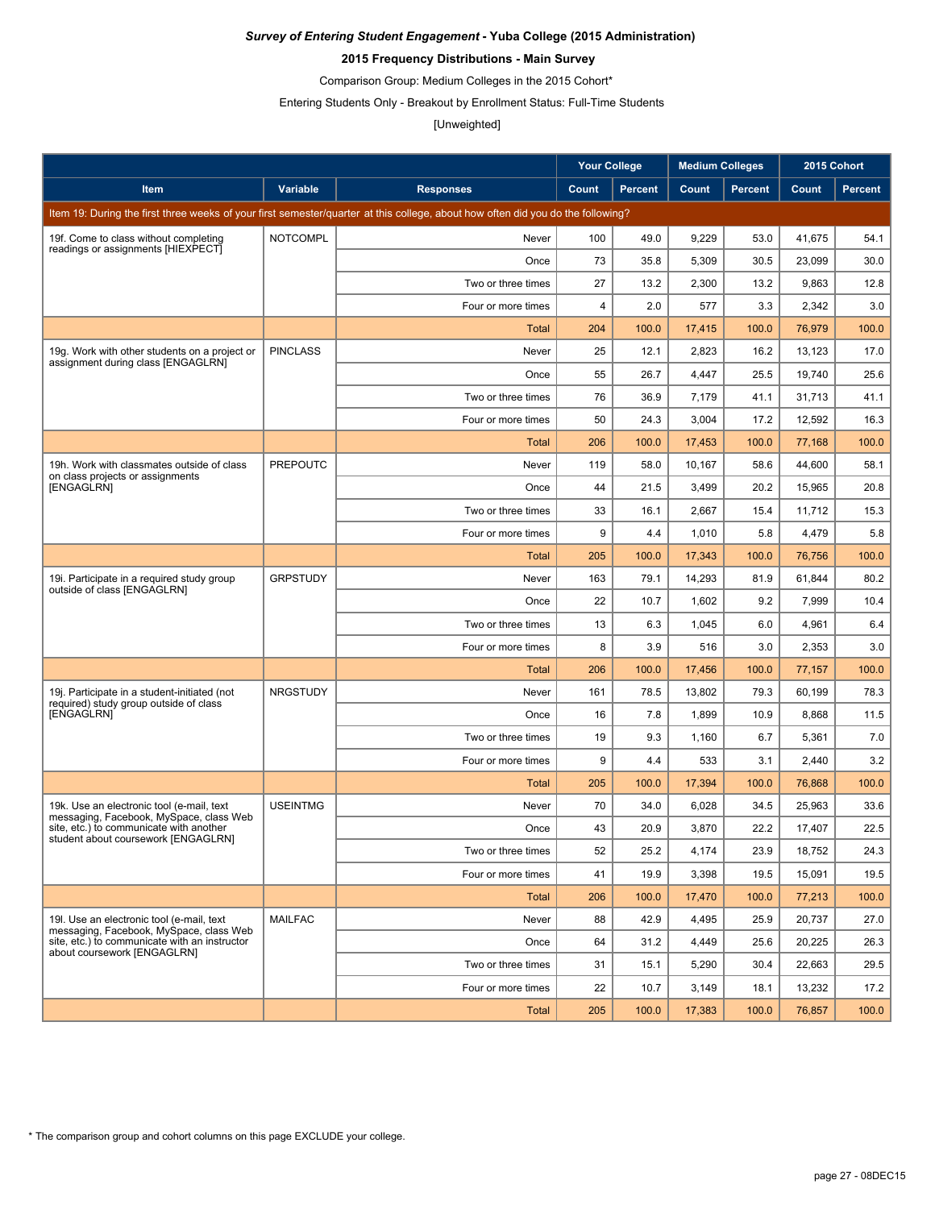### **2015 Frequency Distributions - Main Survey**

Comparison Group: Medium Colleges in the 2015 Cohort\*

Entering Students Only - Breakout by Enrollment Status: Full-Time Students

# [Unweighted]

|                                                                                        |                 |                                                                                                                                 | <b>Your College</b> |                | <b>Medium Colleges</b> |                | 2015 Cohort |                |
|----------------------------------------------------------------------------------------|-----------------|---------------------------------------------------------------------------------------------------------------------------------|---------------------|----------------|------------------------|----------------|-------------|----------------|
| Item                                                                                   | Variable        | <b>Responses</b>                                                                                                                | Count               | <b>Percent</b> | Count                  | <b>Percent</b> | Count       | <b>Percent</b> |
|                                                                                        |                 | Item 19: During the first three weeks of your first semester/quarter at this college, about how often did you do the following? |                     |                |                        |                |             |                |
| 19f. Come to class without completing                                                  | <b>NOTCOMPL</b> | Never                                                                                                                           | 100                 | 49.0           | 9,229                  | 53.0           | 41,675      | 54.1           |
| readings or assignments [HIEXPECT]                                                     |                 | Once                                                                                                                            | 73                  | 35.8           | 5,309                  | 30.5           | 23.099      | 30.0           |
|                                                                                        |                 | Two or three times                                                                                                              | 27                  | 13.2           | 2,300                  | 13.2           | 9,863       | 12.8           |
|                                                                                        |                 | Four or more times                                                                                                              | 4                   | 2.0            | 577                    | 3.3            | 2,342       | 3.0            |
|                                                                                        |                 | <b>Total</b>                                                                                                                    | 204                 | 100.0          | 17,415                 | 100.0          | 76,979      | 100.0          |
| 19g. Work with other students on a project or<br>assignment during class [ENGAGLRN]    | <b>PINCLASS</b> | Never                                                                                                                           | 25                  | 12.1           | 2,823                  | 16.2           | 13,123      | 17.0           |
|                                                                                        |                 | Once                                                                                                                            | 55                  | 26.7           | 4,447                  | 25.5           | 19,740      | 25.6           |
|                                                                                        |                 | Two or three times                                                                                                              | 76                  | 36.9           | 7,179                  | 41.1           | 31,713      | 41.1           |
|                                                                                        |                 | Four or more times                                                                                                              | 50                  | 24.3           | 3,004                  | 17.2           | 12,592      | 16.3           |
|                                                                                        |                 | <b>Total</b>                                                                                                                    | 206                 | 100.0          | 17,453                 | 100.0          | 77,168      | 100.0          |
| 19h. Work with classmates outside of class<br>on class projects or assignments         | <b>PREPOUTC</b> | Never                                                                                                                           | 119                 | 58.0           | 10,167                 | 58.6           | 44,600      | 58.1           |
| [ENGAGLRN]                                                                             |                 | Once                                                                                                                            | 44                  | 21.5           | 3,499                  | 20.2           | 15,965      | 20.8           |
|                                                                                        |                 | Two or three times                                                                                                              | 33                  | 16.1           | 2,667                  | 15.4           | 11,712      | 15.3           |
|                                                                                        |                 | Four or more times                                                                                                              | 9                   | 4.4            | 1,010                  | 5.8            | 4,479       | 5.8            |
|                                                                                        |                 | Total                                                                                                                           | 205                 | 100.0          | 17,343                 | 100.0          | 76,756      | 100.0          |
| 19i. Participate in a required study group<br>outside of class [ENGAGLRN]              | <b>GRPSTUDY</b> | Never                                                                                                                           | 163                 | 79.1           | 14,293                 | 81.9           | 61,844      | 80.2           |
|                                                                                        |                 | Once                                                                                                                            | 22                  | 10.7           | 1,602                  | 9.2            | 7,999       | 10.4           |
|                                                                                        |                 | Two or three times                                                                                                              | 13                  | 6.3            | 1,045                  | 6.0            | 4,961       | 6.4            |
|                                                                                        |                 | Four or more times                                                                                                              | 8                   | 3.9            | 516                    | 3.0            | 2,353       | 3.0            |
|                                                                                        |                 | Total                                                                                                                           | 206                 | 100.0          | 17,456                 | 100.0          | 77,157      | 100.0          |
| 19j. Participate in a student-initiated (not<br>required) study group outside of class | <b>NRGSTUDY</b> | Never                                                                                                                           | 161                 | 78.5           | 13,802                 | 79.3           | 60,199      | 78.3           |
| [ENGAGLRN]                                                                             |                 | Once                                                                                                                            | 16                  | 7.8            | 1,899                  | 10.9           | 8,868       | 11.5           |
|                                                                                        |                 | Two or three times                                                                                                              | 19                  | 9.3            | 1,160                  | 6.7            | 5,361       | 7.0            |
|                                                                                        |                 | Four or more times                                                                                                              | 9                   | 4.4            | 533                    | 3.1            | 2,440       | 3.2            |
|                                                                                        |                 | <b>Total</b>                                                                                                                    | 205                 | 100.0          | 17,394                 | 100.0          | 76,868      | 100.0          |
| 19k. Use an electronic tool (e-mail, text<br>messaging, Facebook, MySpace, class Web   | <b>USEINTMG</b> | Never                                                                                                                           | 70                  | 34.0           | 6,028                  | 34.5           | 25,963      | 33.6           |
| site, etc.) to communicate with another<br>student about coursework [ENGAGLRN]         |                 | Once                                                                                                                            | 43                  | 20.9           | 3,870                  | 22.2           | 17,407      | 22.5           |
|                                                                                        |                 | Two or three times                                                                                                              | 52                  | 25.2           | 4,174                  | 23.9           | 18,752      | 24.3           |
|                                                                                        |                 | Four or more times                                                                                                              | 41                  | 19.9           | 3,398                  | 19.5           | 15,091      | 19.5           |
|                                                                                        |                 | Total                                                                                                                           | 206                 | 100.0          | 17,470                 | 100.0          | 77,213      | 100.0          |
| 19I. Use an electronic tool (e-mail, text<br>messaging, Facebook, MySpace, class Web   | <b>MAILFAC</b>  | Never                                                                                                                           | 88                  | 42.9           | 4,495                  | 25.9           | 20,737      | 27.0           |
| site, etc.) to communicate with an instructor<br>about coursework [ENGAGLRN]           |                 | Once                                                                                                                            | 64                  | 31.2           | 4,449                  | 25.6           | 20,225      | 26.3           |
|                                                                                        |                 | Two or three times                                                                                                              | 31                  | 15.1           | 5,290                  | 30.4           | 22,663      | 29.5           |
|                                                                                        |                 | Four or more times                                                                                                              | 22                  | 10.7           | 3,149                  | 18.1           | 13,232      | 17.2           |
|                                                                                        |                 | <b>Total</b>                                                                                                                    | 205                 | 100.0          | 17,383                 | 100.0          | 76,857      | 100.0          |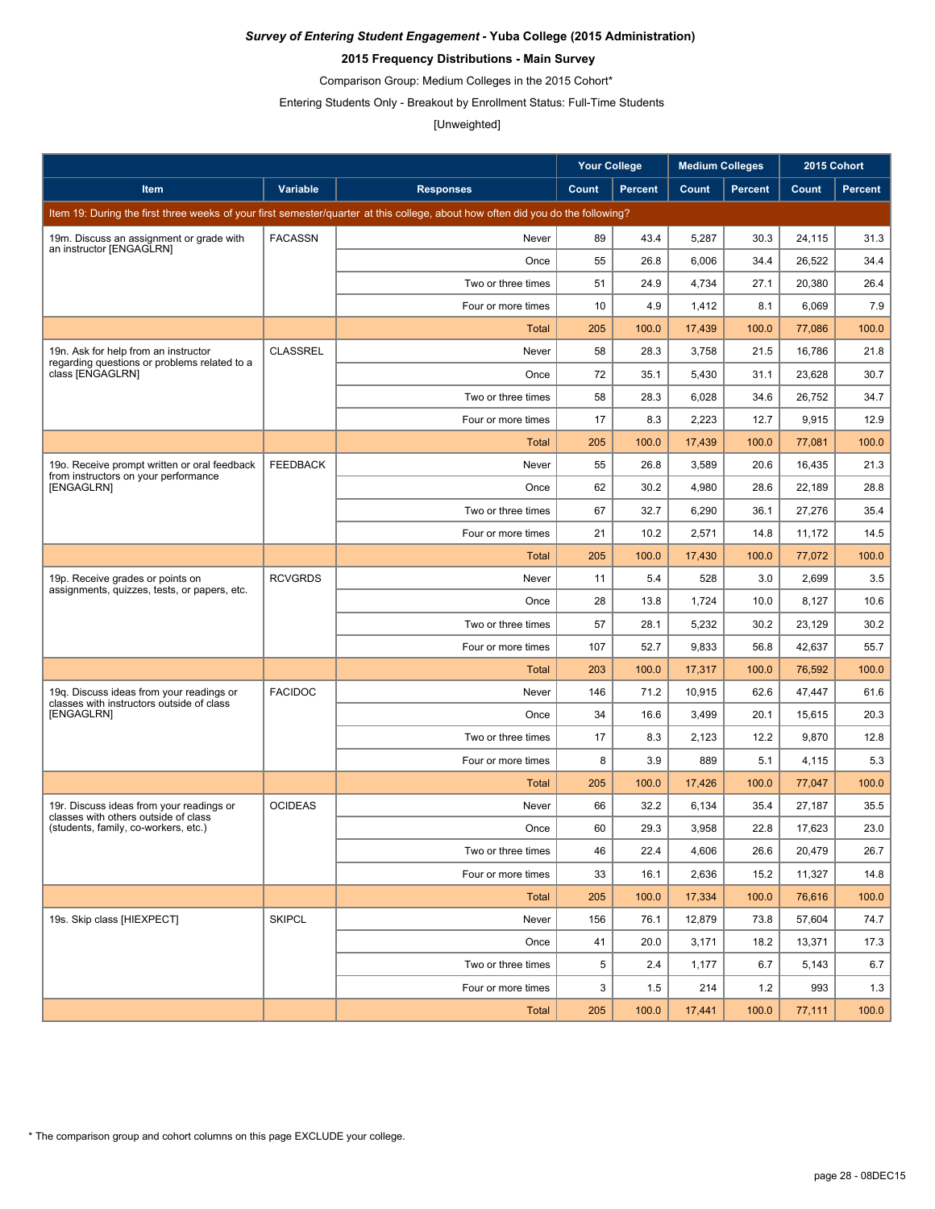### **2015 Frequency Distributions - Main Survey**

Comparison Group: Medium Colleges in the 2015 Cohort\*

Entering Students Only - Breakout by Enrollment Status: Full-Time Students

# [Unweighted]

|                                                                                       |                 |                                                                                                                                 | <b>Your College</b> |                | <b>Medium Colleges</b> |                | 2015 Cohort |                |
|---------------------------------------------------------------------------------------|-----------------|---------------------------------------------------------------------------------------------------------------------------------|---------------------|----------------|------------------------|----------------|-------------|----------------|
| Item                                                                                  | Variable        | <b>Responses</b>                                                                                                                | Count               | <b>Percent</b> | Count                  | <b>Percent</b> | Count       | <b>Percent</b> |
|                                                                                       |                 | Item 19: During the first three weeks of your first semester/quarter at this college, about how often did you do the following? |                     |                |                        |                |             |                |
| 19m. Discuss an assignment or grade with                                              | <b>FACASSN</b>  | Never                                                                                                                           | 89                  | 43.4           | 5,287                  | 30.3           | 24,115      | 31.3           |
| an instructor [ENGAGLRN]                                                              |                 | Once                                                                                                                            | 55                  | 26.8           | 6,006                  | 34.4           | 26,522      | 34.4           |
|                                                                                       |                 | Two or three times                                                                                                              | 51                  | 24.9           | 4,734                  | 27.1           | 20,380      | 26.4           |
|                                                                                       |                 | Four or more times                                                                                                              | 10                  | 4.9            | 1,412                  | 8.1            | 6,069       | 7.9            |
|                                                                                       |                 | Total                                                                                                                           | 205                 | 100.0          | 17,439                 | 100.0          | 77,086      | 100.0          |
| 19n. Ask for help from an instructor                                                  | <b>CLASSREL</b> | Never                                                                                                                           | 58                  | 28.3           | 3,758                  | 21.5           | 16,786      | 21.8           |
| regarding questions or problems related to a<br>class [ENGAGLRN]                      |                 | Once                                                                                                                            | 72                  | 35.1           | 5,430                  | 31.1           | 23,628      | 30.7           |
|                                                                                       |                 | Two or three times                                                                                                              | 58                  | 28.3           | 6,028                  | 34.6           | 26,752      | 34.7           |
|                                                                                       |                 | Four or more times                                                                                                              | 17                  | 8.3            | 2,223                  | 12.7           | 9,915       | 12.9           |
|                                                                                       |                 | Total                                                                                                                           | 205                 | 100.0          | 17,439                 | 100.0          | 77,081      | 100.0          |
| 190. Receive prompt written or oral feedback<br>from instructors on your performance  | <b>FEEDBACK</b> | Never                                                                                                                           | 55                  | 26.8           | 3,589                  | 20.6           | 16,435      | 21.3           |
| [ENGAGLRN]                                                                            |                 | Once                                                                                                                            | 62                  | 30.2           | 4,980                  | 28.6           | 22.189      | 28.8           |
|                                                                                       |                 | Two or three times                                                                                                              | 67                  | 32.7           | 6,290                  | 36.1           | 27,276      | 35.4           |
|                                                                                       |                 | Four or more times                                                                                                              | 21                  | 10.2           | 2,571                  | 14.8           | 11.172      | 14.5           |
|                                                                                       |                 | Total                                                                                                                           | 205                 | 100.0          | 17,430                 | 100.0          | 77,072      | 100.0          |
| 19p. Receive grades or points on<br>assignments, quizzes, tests, or papers, etc.      | <b>RCVGRDS</b>  | Never                                                                                                                           | 11                  | 5.4            | 528                    | 3.0            | 2,699       | 3.5            |
|                                                                                       |                 | Once                                                                                                                            | 28                  | 13.8           | 1,724                  | 10.0           | 8,127       | 10.6           |
|                                                                                       |                 | Two or three times                                                                                                              | 57                  | 28.1           | 5,232                  | 30.2           | 23,129      | 30.2           |
|                                                                                       |                 | Four or more times                                                                                                              | 107                 | 52.7           | 9,833                  | 56.8           | 42,637      | 55.7           |
|                                                                                       |                 | Total                                                                                                                           | 203                 | 100.0          | 17,317                 | 100.0          | 76,592      | 100.0          |
| 19q. Discuss ideas from your readings or<br>classes with instructors outside of class | <b>FACIDOC</b>  | Never                                                                                                                           | 146                 | 71.2           | 10,915                 | 62.6           | 47,447      | 61.6           |
| [ENGAGLRN]                                                                            |                 | Once                                                                                                                            | 34                  | 16.6           | 3,499                  | 20.1           | 15,615      | 20.3           |
|                                                                                       |                 | Two or three times                                                                                                              | 17                  | 8.3            | 2,123                  | 12.2           | 9,870       | 12.8           |
|                                                                                       |                 | Four or more times                                                                                                              | 8                   | 3.9            | 889                    | 5.1            | 4,115       | 5.3            |
|                                                                                       |                 | Total                                                                                                                           | 205                 | 100.0          | 17,426                 | 100.0          | 77,047      | 100.0          |
| 19r. Discuss ideas from your readings or<br>classes with others outside of class      | <b>OCIDEAS</b>  | Never                                                                                                                           | 66                  | 32.2           | 6,134                  | 35.4           | 27,187      | 35.5           |
| (students, family, co-workers, etc.)                                                  |                 | Once                                                                                                                            | 60                  | 29.3           | 3,958                  | 22.8           | 17,623      | 23.0           |
|                                                                                       |                 | Two or three times                                                                                                              | 46                  | 22.4           | 4,606                  | 26.6           | 20,479      | 26.7           |
|                                                                                       |                 | Four or more times                                                                                                              | 33                  | 16.1           | 2,636                  | 15.2           | 11,327      | 14.8           |
|                                                                                       |                 | <b>Total</b>                                                                                                                    | 205                 | 100.0          | 17,334                 | 100.0          | 76,616      | 100.0          |
| 19s. Skip class [HIEXPECT]                                                            | <b>SKIPCL</b>   | Never                                                                                                                           | 156                 | 76.1           | 12,879                 | 73.8           | 57,604      | 74.7           |
|                                                                                       |                 | Once                                                                                                                            | 41                  | 20.0           | 3,171                  | 18.2           | 13,371      | 17.3           |
|                                                                                       |                 | Two or three times                                                                                                              | 5                   | 2.4            | 1,177                  | 6.7            | 5,143       | 6.7            |
|                                                                                       |                 | Four or more times                                                                                                              | 3                   | 1.5            | 214                    | 1.2            | 993         | 1.3            |
|                                                                                       |                 | <b>Total</b>                                                                                                                    | 205                 | 100.0          | 17,441                 | 100.0          | 77,111      | 100.0          |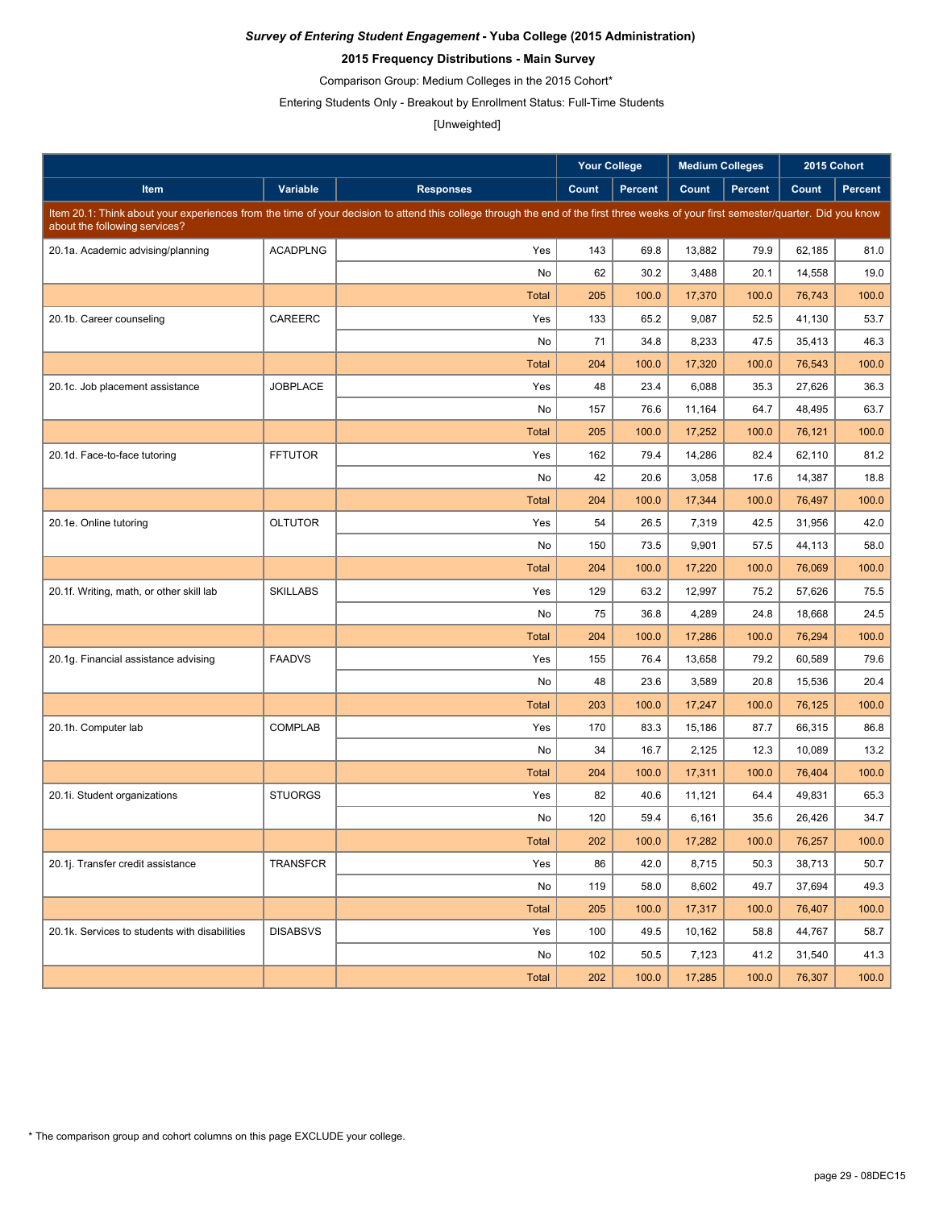### **2015 Frequency Distributions - Main Survey**

Comparison Group: Medium Colleges in the 2015 Cohort\*

Entering Students Only - Breakout by Enrollment Status: Full-Time Students

# [Unweighted]

|                                               |                 |                                                                                                                                                                                     | <b>Your College</b> |                | <b>Medium Colleges</b> |                | 2015 Cohort |                |
|-----------------------------------------------|-----------------|-------------------------------------------------------------------------------------------------------------------------------------------------------------------------------------|---------------------|----------------|------------------------|----------------|-------------|----------------|
| Item                                          | Variable        | <b>Responses</b>                                                                                                                                                                    | Count               | <b>Percent</b> | Count                  | <b>Percent</b> | Count       | <b>Percent</b> |
| about the following services?                 |                 | Item 20.1: Think about your experiences from the time of your decision to attend this college through the end of the first three weeks of your first semester/quarter. Did you know |                     |                |                        |                |             |                |
| 20.1a. Academic advising/planning             | <b>ACADPLNG</b> | Yes                                                                                                                                                                                 | 143                 | 69.8           | 13,882                 | 79.9           | 62,185      | 81.0           |
|                                               |                 | No                                                                                                                                                                                  | 62                  | 30.2           | 3,488                  | 20.1           | 14,558      | 19.0           |
|                                               |                 | <b>Total</b>                                                                                                                                                                        | 205                 | 100.0          | 17,370                 | 100.0          | 76,743      | 100.0          |
| 20.1b. Career counseling                      | CAREERC         | Yes                                                                                                                                                                                 | 133                 | 65.2           | 9,087                  | 52.5           | 41,130      | 53.7           |
|                                               |                 | No                                                                                                                                                                                  | 71                  | 34.8           | 8,233                  | 47.5           | 35,413      | 46.3           |
|                                               |                 | <b>Total</b>                                                                                                                                                                        | 204                 | 100.0          | 17,320                 | 100.0          | 76,543      | 100.0          |
| 20.1c. Job placement assistance               | <b>JOBPLACE</b> | Yes                                                                                                                                                                                 | 48                  | 23.4           | 6,088                  | 35.3           | 27,626      | 36.3           |
|                                               |                 | No                                                                                                                                                                                  | 157                 | 76.6           | 11,164                 | 64.7           | 48,495      | 63.7           |
|                                               |                 | <b>Total</b>                                                                                                                                                                        | 205                 | 100.0          | 17,252                 | 100.0          | 76,121      | 100.0          |
| 20.1d. Face-to-face tutoring                  | <b>FFTUTOR</b>  | Yes                                                                                                                                                                                 | 162                 | 79.4           | 14,286                 | 82.4           | 62,110      | 81.2           |
|                                               |                 | No                                                                                                                                                                                  | 42                  | 20.6           | 3,058                  | 17.6           | 14,387      | 18.8           |
|                                               |                 | <b>Total</b>                                                                                                                                                                        | 204                 | 100.0          | 17,344                 | 100.0          | 76,497      | 100.0          |
| 20.1e. Online tutoring                        | <b>OLTUTOR</b>  | Yes                                                                                                                                                                                 | 54                  | 26.5           | 7,319                  | 42.5           | 31,956      | 42.0           |
|                                               |                 | No                                                                                                                                                                                  | 150                 | 73.5           | 9,901                  | 57.5           | 44,113      | 58.0           |
|                                               |                 | <b>Total</b>                                                                                                                                                                        | 204                 | 100.0          | 17,220                 | 100.0          | 76,069      | 100.0          |
| 20.1f. Writing, math, or other skill lab      | <b>SKILLABS</b> | Yes                                                                                                                                                                                 | 129                 | 63.2           | 12.997                 | 75.2           | 57,626      | 75.5           |
|                                               |                 | No                                                                                                                                                                                  | 75                  | 36.8           | 4,289                  | 24.8           | 18,668      | 24.5           |
|                                               |                 | <b>Total</b>                                                                                                                                                                        | 204                 | 100.0          | 17,286                 | 100.0          | 76,294      | 100.0          |
| 20.1g. Financial assistance advising          | <b>FAADVS</b>   | Yes                                                                                                                                                                                 | 155                 | 76.4           | 13,658                 | 79.2           | 60,589      | 79.6           |
|                                               |                 | No                                                                                                                                                                                  | 48                  | 23.6           | 3,589                  | 20.8           | 15,536      | 20.4           |
|                                               |                 | <b>Total</b>                                                                                                                                                                        | 203                 | 100.0          | 17,247                 | 100.0          | 76,125      | 100.0          |
| 20.1h. Computer lab                           | <b>COMPLAB</b>  | Yes                                                                                                                                                                                 | 170                 | 83.3           | 15,186                 | 87.7           | 66,315      | 86.8           |
|                                               |                 | No                                                                                                                                                                                  | 34                  | 16.7           | 2,125                  | 12.3           | 10,089      | 13.2           |
|                                               |                 | <b>Total</b>                                                                                                                                                                        | 204                 | 100.0          | 17,311                 | 100.0          | 76,404      | 100.0          |
| 20.1i. Student organizations                  | <b>STUORGS</b>  | Yes                                                                                                                                                                                 | 82                  | 40.6           | 11,121                 | 64.4           | 49.831      | 65.3           |
|                                               |                 | No                                                                                                                                                                                  | 120                 | 59.4           | 6,161                  | 35.6           | 26,426      | 34.7           |
|                                               |                 | <b>Total</b>                                                                                                                                                                        | 202                 | 100.0          | 17,282                 | 100.0          | 76,257      | 100.0          |
| 20.1j. Transfer credit assistance             | TRANSFCR        | Yes                                                                                                                                                                                 | 86                  | 42.0           | 8,715                  | 50.3           | 38,713      | 50.7           |
|                                               |                 | No                                                                                                                                                                                  | 119                 | 58.0           | 8,602                  | 49.7           | 37,694      | 49.3           |
|                                               |                 | <b>Total</b>                                                                                                                                                                        | 205                 | 100.0          | 17,317                 | 100.0          | 76,407      | 100.0          |
| 20.1k. Services to students with disabilities | <b>DISABSVS</b> | Yes                                                                                                                                                                                 | 100                 | 49.5           | 10,162                 | 58.8           | 44,767      | 58.7           |
|                                               |                 | No                                                                                                                                                                                  | 102                 | 50.5           | 7,123                  | 41.2           | 31,540      | 41.3           |
|                                               |                 | <b>Total</b>                                                                                                                                                                        | 202                 | 100.0          | 17,285                 | 100.0          | 76,307      | 100.0          |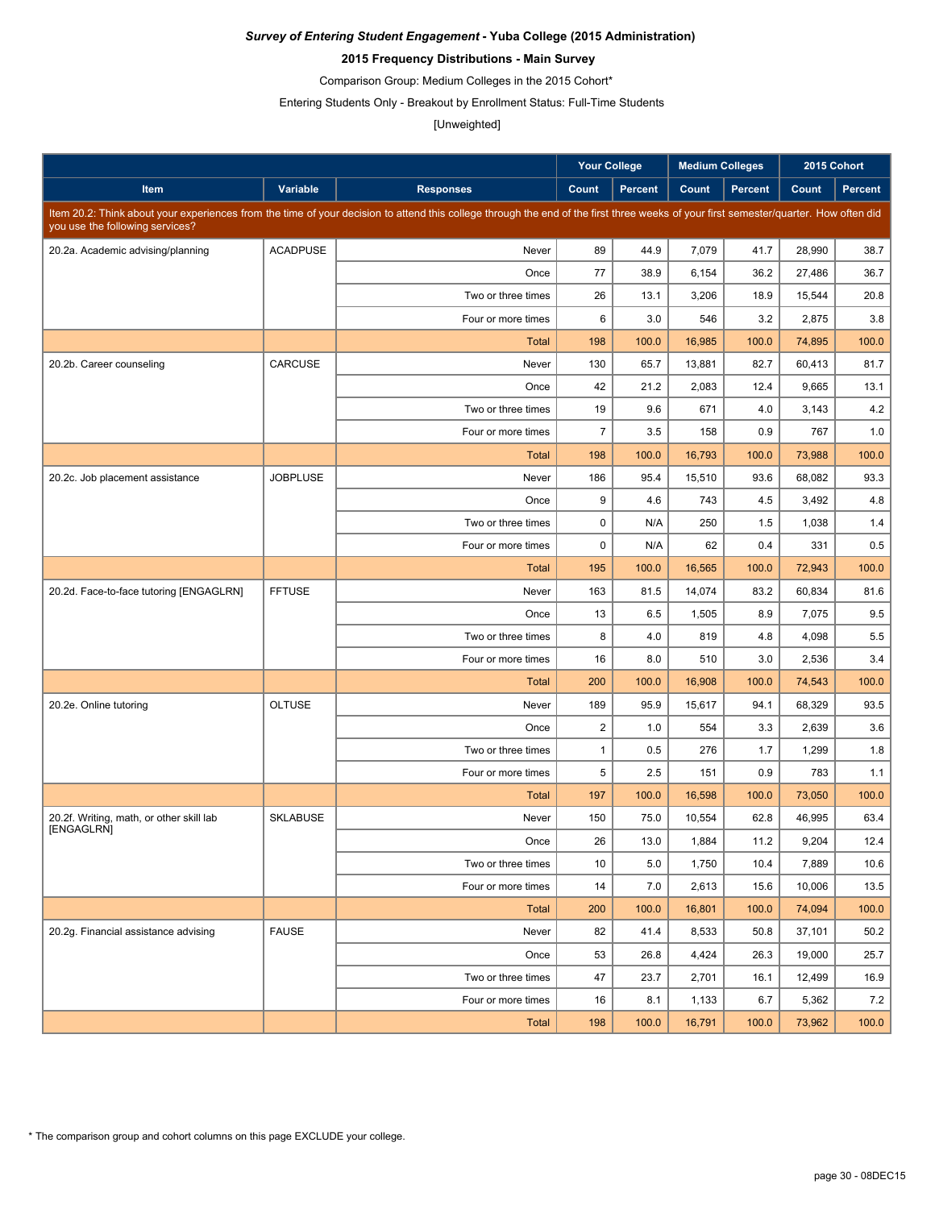### **2015 Frequency Distributions - Main Survey**

Comparison Group: Medium Colleges in the 2015 Cohort\*

Entering Students Only - Breakout by Enrollment Status: Full-Time Students

## [Unweighted]

|                                                        |                 |                                                                                                                                                                                      | <b>Your College</b> |         | <b>Medium Colleges</b> |                | 2015 Cohort |                |
|--------------------------------------------------------|-----------------|--------------------------------------------------------------------------------------------------------------------------------------------------------------------------------------|---------------------|---------|------------------------|----------------|-------------|----------------|
| Item                                                   | Variable        | <b>Responses</b>                                                                                                                                                                     | Count               | Percent | Count                  | <b>Percent</b> | Count       | <b>Percent</b> |
| you use the following services?                        |                 | Item 20.2: Think about your experiences from the time of your decision to attend this college through the end of the first three weeks of your first semester/quarter. How often did |                     |         |                        |                |             |                |
| 20.2a. Academic advising/planning                      | <b>ACADPUSE</b> | Never                                                                                                                                                                                | 89                  | 44.9    | 7,079                  | 41.7           | 28,990      | 38.7           |
|                                                        |                 | Once                                                                                                                                                                                 | 77                  | 38.9    | 6,154                  | 36.2           | 27,486      | 36.7           |
|                                                        |                 | Two or three times                                                                                                                                                                   | 26                  | 13.1    | 3,206                  | 18.9           | 15,544      | 20.8           |
|                                                        |                 | Four or more times                                                                                                                                                                   | 6                   | 3.0     | 546                    | 3.2            | 2,875       | 3.8            |
|                                                        |                 | <b>Total</b>                                                                                                                                                                         | 198                 | 100.0   | 16,985                 | 100.0          | 74,895      | 100.0          |
| 20.2b. Career counseling                               | CARCUSE         | Never                                                                                                                                                                                | 130                 | 65.7    | 13,881                 | 82.7           | 60,413      | 81.7           |
|                                                        |                 | Once                                                                                                                                                                                 | 42                  | 21.2    | 2,083                  | 12.4           | 9,665       | 13.1           |
|                                                        |                 | Two or three times                                                                                                                                                                   | 19                  | 9.6     | 671                    | 4.0            | 3,143       | 4.2            |
|                                                        |                 | Four or more times                                                                                                                                                                   | $\overline{7}$      | 3.5     | 158                    | 0.9            | 767         | 1.0            |
|                                                        |                 | <b>Total</b>                                                                                                                                                                         | 198                 | 100.0   | 16,793                 | 100.0          | 73,988      | 100.0          |
| 20.2c. Job placement assistance                        | <b>JOBPLUSE</b> | Never                                                                                                                                                                                | 186                 | 95.4    | 15,510                 | 93.6           | 68,082      | 93.3           |
|                                                        |                 | Once                                                                                                                                                                                 | 9                   | 4.6     | 743                    | 4.5            | 3,492       | 4.8            |
|                                                        |                 | Two or three times                                                                                                                                                                   | $\mathbf 0$         | N/A     | 250                    | 1.5            | 1,038       | 1.4            |
|                                                        |                 | Four or more times                                                                                                                                                                   | $\mathbf 0$         | N/A     | 62                     | 0.4            | 331         | 0.5            |
|                                                        |                 | <b>Total</b>                                                                                                                                                                         | 195                 | 100.0   | 16,565                 | 100.0          | 72,943      | 100.0          |
| 20.2d. Face-to-face tutoring [ENGAGLRN]                | <b>FFTUSE</b>   | Never                                                                                                                                                                                | 163                 | 81.5    | 14,074                 | 83.2           | 60,834      | 81.6           |
|                                                        |                 | Once                                                                                                                                                                                 | 13                  | 6.5     | 1,505                  | 8.9            | 7,075       | 9.5            |
|                                                        |                 | Two or three times                                                                                                                                                                   | 8                   | 4.0     | 819                    | 4.8            | 4,098       | 5.5            |
|                                                        |                 | Four or more times                                                                                                                                                                   | 16                  | 8.0     | 510                    | 3.0            | 2,536       | 3.4            |
|                                                        |                 | <b>Total</b>                                                                                                                                                                         | 200                 | 100.0   | 16,908                 | 100.0          | 74,543      | 100.0          |
| 20.2e. Online tutoring                                 | <b>OLTUSE</b>   | Never                                                                                                                                                                                | 189                 | 95.9    | 15,617                 | 94.1           | 68,329      | 93.5           |
|                                                        |                 | Once                                                                                                                                                                                 | $\overline{2}$      | 1.0     | 554                    | 3.3            | 2,639       | 3.6            |
|                                                        |                 | Two or three times                                                                                                                                                                   | $\mathbf{1}$        | 0.5     | 276                    | 1.7            | 1,299       | 1.8            |
|                                                        |                 | Four or more times                                                                                                                                                                   | 5                   | 2.5     | 151                    | 0.9            | 783         | 1.1            |
|                                                        |                 | Total                                                                                                                                                                                | 197                 | 100.0   | 16,598                 | 100.0          | 73,050      | 100.0          |
| 20.2f. Writing, math, or other skill lab<br>[ENGAGLRN] | <b>SKLABUSE</b> | Never                                                                                                                                                                                | 150                 | 75.0    | 10,554                 | 62.8           | 46,995      | 63.4           |
|                                                        |                 | Once                                                                                                                                                                                 | 26                  | 13.0    | 1,884                  | 11.2           | 9,204       | 12.4           |
|                                                        |                 | Two or three times                                                                                                                                                                   | 10                  | 5.0     | 1,750                  | 10.4           | 7,889       | 10.6           |
|                                                        |                 | Four or more times                                                                                                                                                                   | 14                  | 7.0     | 2,613                  | 15.6           | 10,006      | 13.5           |
|                                                        |                 | <b>Total</b>                                                                                                                                                                         | 200                 | 100.0   | 16,801                 | 100.0          | 74,094      | 100.0          |
| 20.2g. Financial assistance advising                   | <b>FAUSE</b>    | Never                                                                                                                                                                                | 82                  | 41.4    | 8,533                  | 50.8           | 37,101      | 50.2           |
|                                                        |                 | Once                                                                                                                                                                                 | 53                  | 26.8    | 4,424                  | 26.3           | 19,000      | 25.7           |
|                                                        |                 | Two or three times                                                                                                                                                                   | 47                  | 23.7    | 2,701                  | 16.1           | 12,499      | 16.9           |
|                                                        |                 | Four or more times                                                                                                                                                                   | 16                  | 8.1     | 1,133                  | 6.7            | 5,362       | 7.2            |
|                                                        |                 | Total                                                                                                                                                                                | 198                 | 100.0   | 16,791                 | 100.0          | 73,962      | 100.0          |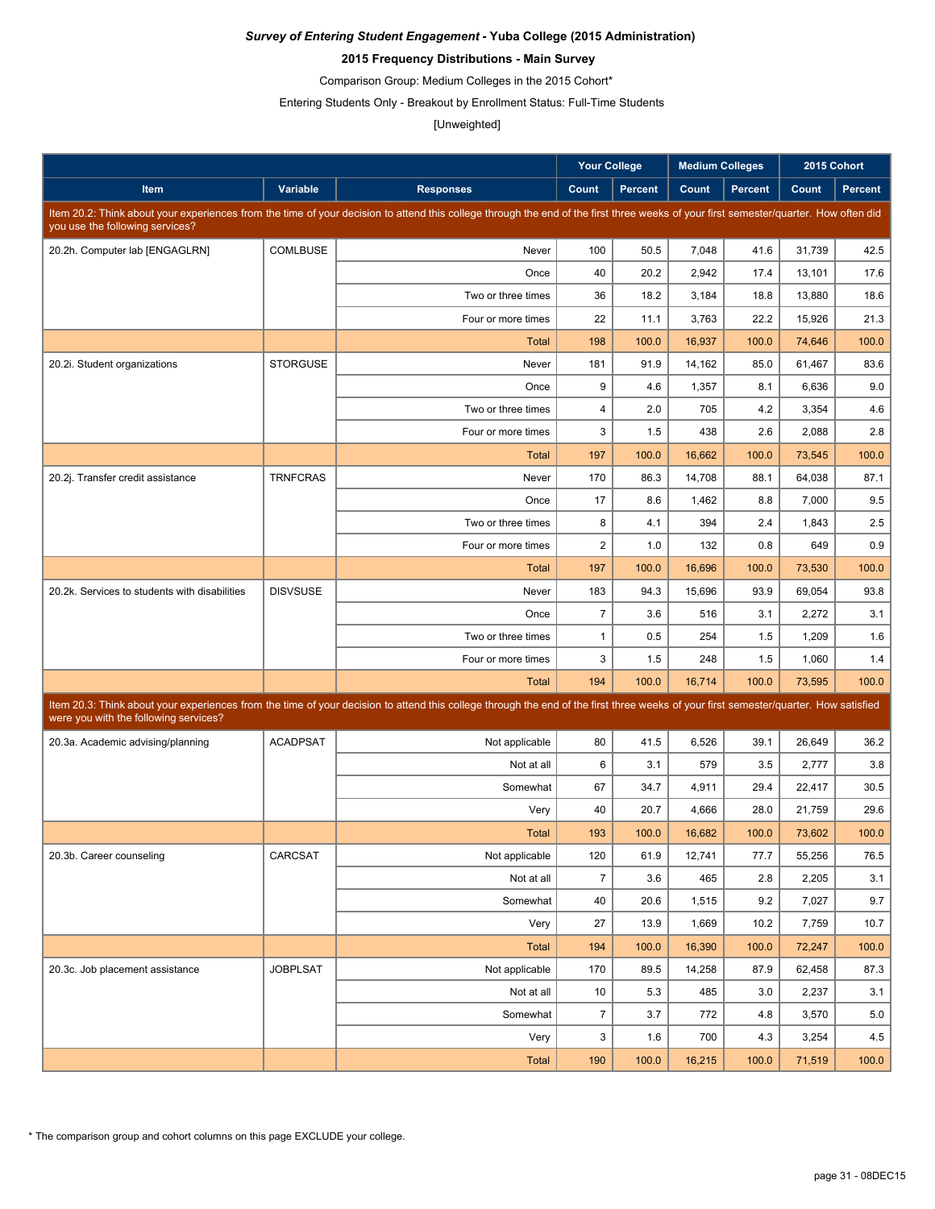### **2015 Frequency Distributions - Main Survey**

Comparison Group: Medium Colleges in the 2015 Cohort\*

Entering Students Only - Breakout by Enrollment Status: Full-Time Students

## [Unweighted]

|                                               |                 |                                                                                                                                                                                      | <b>Your College</b> |                | <b>Medium Colleges</b> |                |        | 2015 Cohort    |
|-----------------------------------------------|-----------------|--------------------------------------------------------------------------------------------------------------------------------------------------------------------------------------|---------------------|----------------|------------------------|----------------|--------|----------------|
| Item                                          | Variable        | <b>Responses</b>                                                                                                                                                                     | Count               | <b>Percent</b> | Count                  | <b>Percent</b> | Count  | <b>Percent</b> |
|                                               |                 | Item 20.2: Think about your experiences from the time of your decision to attend this college through the end of the first three weeks of your first semester/quarter. How often did |                     |                |                        |                |        |                |
| you use the following services?               |                 |                                                                                                                                                                                      |                     |                |                        |                |        |                |
| 20.2h. Computer lab [ENGAGLRN]                | <b>COMLBUSE</b> | Never                                                                                                                                                                                | 100                 | 50.5           | 7,048                  | 41.6           | 31,739 | 42.5           |
|                                               |                 | Once                                                                                                                                                                                 | 40                  | 20.2           | 2,942                  | 17.4           | 13,101 | 17.6           |
|                                               |                 | Two or three times                                                                                                                                                                   | 36                  | 18.2           | 3,184                  | 18.8           | 13,880 | 18.6           |
|                                               |                 | Four or more times                                                                                                                                                                   | 22                  | 11.1           | 3,763                  | 22.2           | 15,926 | 21.3           |
|                                               |                 | <b>Total</b>                                                                                                                                                                         | 198                 | 100.0          | 16,937                 | 100.0          | 74,646 | 100.0          |
| 20.2i. Student organizations                  | <b>STORGUSE</b> | Never                                                                                                                                                                                | 181                 | 91.9           | 14,162                 | 85.0           | 61.467 | 83.6           |
|                                               |                 | Once                                                                                                                                                                                 | 9                   | 4.6            | 1,357                  | 8.1            | 6,636  | 9.0            |
|                                               |                 | Two or three times                                                                                                                                                                   | 4                   | 2.0            | 705                    | 4.2            | 3,354  | 4.6            |
|                                               |                 | Four or more times                                                                                                                                                                   | 3                   | 1.5            | 438                    | 2.6            | 2,088  | 2.8            |
|                                               |                 | Total                                                                                                                                                                                | 197                 | 100.0          | 16,662                 | 100.0          | 73,545 | 100.0          |
| 20.2j. Transfer credit assistance             | <b>TRNFCRAS</b> | Never                                                                                                                                                                                | 170                 | 86.3           | 14,708                 | 88.1           | 64,038 | 87.1           |
|                                               |                 | Once                                                                                                                                                                                 | 17                  | 8.6            | 1,462                  | 8.8            | 7,000  | 9.5            |
|                                               |                 | Two or three times                                                                                                                                                                   | 8                   | 4.1            | 394                    | 2.4            | 1,843  | 2.5            |
|                                               |                 | Four or more times                                                                                                                                                                   | 2                   | 1.0            | 132                    | 0.8            | 649    | 0.9            |
|                                               |                 | <b>Total</b>                                                                                                                                                                         | 197                 | 100.0          | 16,696                 | 100.0          | 73,530 | 100.0          |
| 20.2k. Services to students with disabilities | <b>DISVSUSE</b> | Never                                                                                                                                                                                | 183                 | 94.3           | 15,696                 | 93.9           | 69,054 | 93.8           |
|                                               |                 | Once                                                                                                                                                                                 | $\overline{7}$      | 3.6            | 516                    | 3.1            | 2,272  | 3.1            |
|                                               |                 | Two or three times                                                                                                                                                                   | $\mathbf{1}$        | 0.5            | 254                    | 1.5            | 1,209  | 1.6            |
|                                               |                 | Four or more times                                                                                                                                                                   | 3                   | 1.5            | 248                    | 1.5            | 1,060  | 1.4            |
|                                               |                 | <b>Total</b>                                                                                                                                                                         | 194                 | 100.0          | 16,714                 | 100.0          | 73,595 | 100.0          |
|                                               |                 | Item 20.3: Think about your experiences from the time of your decision to attend this college through the end of the first three weeks of your first semester/quarter. How satisfied |                     |                |                        |                |        |                |
| were you with the following services?         |                 |                                                                                                                                                                                      |                     |                |                        |                |        |                |
| 20.3a. Academic advising/planning             | <b>ACADPSAT</b> | Not applicable                                                                                                                                                                       | 80                  | 41.5           | 6,526                  | 39.1           | 26,649 | 36.2           |
|                                               |                 | Not at all                                                                                                                                                                           | 6                   | 3.1            | 579                    | 3.5            | 2,777  | 3.8            |
|                                               |                 | Somewhat                                                                                                                                                                             | 67                  | 34.7           | 4,911                  | 29.4           | 22,417 | 30.5           |
|                                               |                 | Very                                                                                                                                                                                 | 40                  | 20.7           | 4,666                  | 28.0           | 21,759 | 29.6           |
|                                               |                 | Total                                                                                                                                                                                | 193                 | 100.0          | 16,682                 | 100.0          | 73,602 | 100.0          |
| 20.3b. Career counseling                      | CARCSAT         | Not applicable                                                                                                                                                                       | 120                 | 61.9           | 12,741                 | 77.7           | 55,256 | 76.5           |
|                                               |                 | Not at all                                                                                                                                                                           | $\boldsymbol{7}$    | 3.6            | 465                    | 2.8            | 2,205  | 3.1            |
|                                               |                 | Somewhat                                                                                                                                                                             | 40                  | 20.6           | 1,515                  | 9.2            | 7,027  | 9.7            |
|                                               |                 | Very                                                                                                                                                                                 | 27                  | 13.9           | 1,669                  | 10.2           | 7,759  | 10.7           |
|                                               |                 | <b>Total</b>                                                                                                                                                                         | 194                 | 100.0          | 16,390                 | 100.0          | 72,247 | 100.0          |
| 20.3c. Job placement assistance               | <b>JOBPLSAT</b> | Not applicable                                                                                                                                                                       | 170                 | 89.5           | 14,258                 | 87.9           | 62,458 | 87.3           |
|                                               |                 | Not at all                                                                                                                                                                           | 10                  | 5.3            | 485                    | 3.0            | 2,237  | 3.1            |
|                                               |                 | Somewhat                                                                                                                                                                             | $\overline{7}$      | 3.7            | 772                    | 4.8            | 3,570  | 5.0            |
|                                               |                 | Very                                                                                                                                                                                 | 3                   | 1.6            | 700                    | 4.3            | 3,254  | 4.5            |
|                                               |                 | <b>Total</b>                                                                                                                                                                         | 190                 | 100.0          | 16,215                 | 100.0          | 71,519 | 100.0          |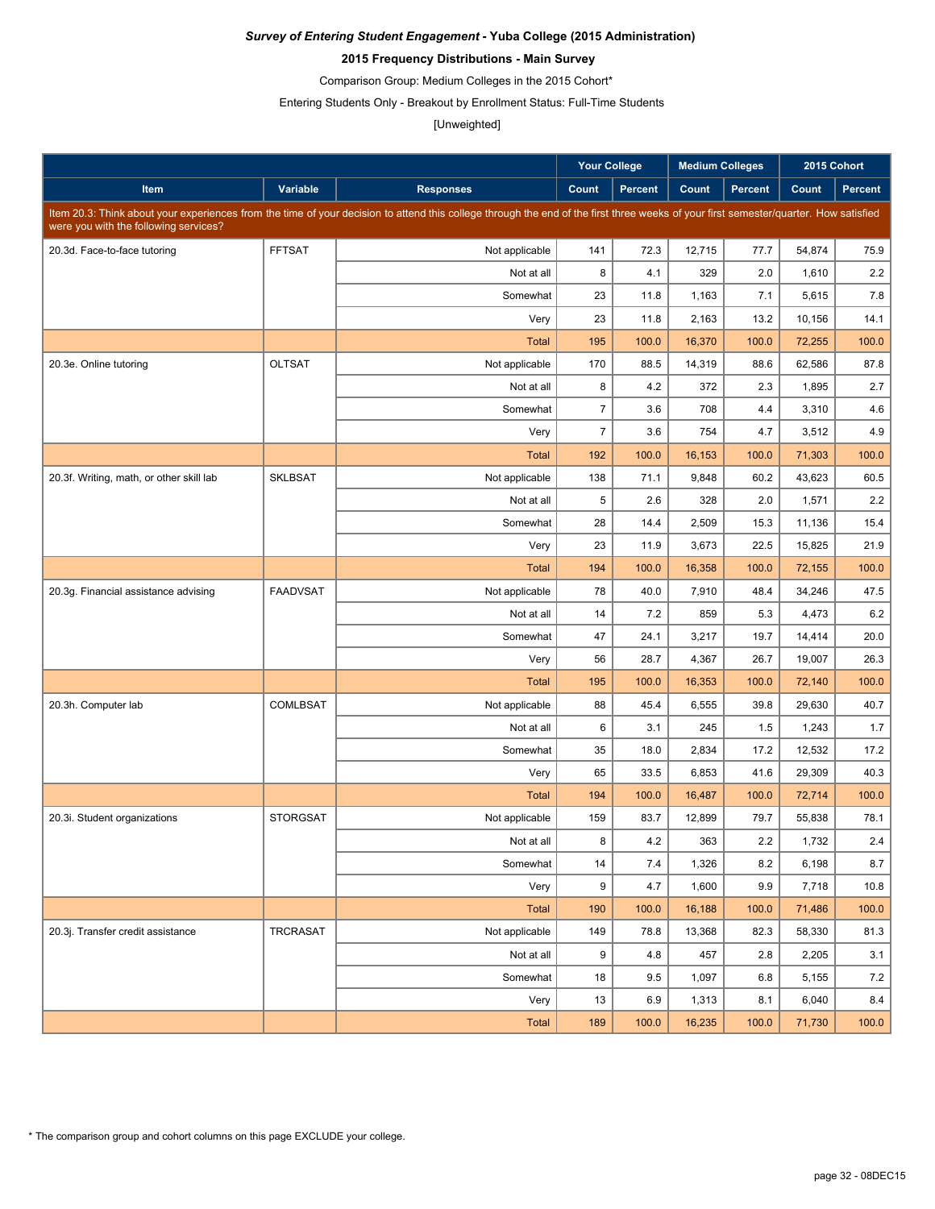### **2015 Frequency Distributions - Main Survey**

Comparison Group: Medium Colleges in the 2015 Cohort\*

Entering Students Only - Breakout by Enrollment Status: Full-Time Students

### [Unweighted]

|                                          |                 |                                                                                                                                                                                      | <b>Your College</b> |                | <b>Medium Colleges</b> |                | 2015 Cohort |                |
|------------------------------------------|-----------------|--------------------------------------------------------------------------------------------------------------------------------------------------------------------------------------|---------------------|----------------|------------------------|----------------|-------------|----------------|
| Item                                     | Variable        | <b>Responses</b>                                                                                                                                                                     | Count               | <b>Percent</b> | Count                  | <b>Percent</b> | Count       | <b>Percent</b> |
|                                          |                 | Item 20.3: Think about your experiences from the time of your decision to attend this college through the end of the first three weeks of your first semester/quarter. How satisfied |                     |                |                        |                |             |                |
| were you with the following services?    |                 |                                                                                                                                                                                      |                     |                |                        |                |             |                |
| 20.3d. Face-to-face tutoring             | <b>FFTSAT</b>   | Not applicable                                                                                                                                                                       | 141                 | 72.3           | 12,715                 | 77.7           | 54,874      | 75.9           |
|                                          |                 | Not at all                                                                                                                                                                           | 8                   | 4.1            | 329                    | 2.0            | 1,610       | 2.2            |
|                                          |                 | Somewhat                                                                                                                                                                             | 23                  | 11.8           | 1,163                  | 7.1            | 5,615       | 7.8            |
|                                          |                 | Very                                                                                                                                                                                 | 23                  | 11.8           | 2,163                  | 13.2           | 10,156      | 14.1           |
|                                          |                 | <b>Total</b>                                                                                                                                                                         | 195                 | 100.0          | 16,370                 | 100.0          | 72,255      | 100.0          |
| 20.3e. Online tutoring                   | <b>OLTSAT</b>   | Not applicable                                                                                                                                                                       | 170                 | 88.5           | 14,319                 | 88.6           | 62,586      | 87.8           |
|                                          |                 | Not at all                                                                                                                                                                           | 8                   | 4.2            | 372                    | 2.3            | 1,895       | 2.7            |
|                                          |                 | Somewhat                                                                                                                                                                             | $\overline{7}$      | 3.6            | 708                    | 4.4            | 3,310       | 4.6            |
|                                          |                 | Very                                                                                                                                                                                 | $\overline{7}$      | 3.6            | 754                    | 4.7            | 3,512       | 4.9            |
|                                          |                 | <b>Total</b>                                                                                                                                                                         | 192                 | 100.0          | 16,153                 | 100.0          | 71,303      | 100.0          |
| 20.3f. Writing, math, or other skill lab | <b>SKLBSAT</b>  | Not applicable                                                                                                                                                                       | 138                 | 71.1           | 9,848                  | 60.2           | 43,623      | 60.5           |
|                                          |                 | Not at all                                                                                                                                                                           | 5                   | 2.6            | 328                    | 2.0            | 1,571       | 2.2            |
|                                          |                 | Somewhat                                                                                                                                                                             | 28                  | 14.4           | 2,509                  | 15.3           | 11,136      | 15.4           |
|                                          |                 | Very                                                                                                                                                                                 | 23                  | 11.9           | 3,673                  | 22.5           | 15,825      | 21.9           |
|                                          |                 | <b>Total</b>                                                                                                                                                                         | 194                 | 100.0          | 16,358                 | 100.0          | 72,155      | 100.0          |
| 20.3g. Financial assistance advising     | <b>FAADVSAT</b> | Not applicable                                                                                                                                                                       | 78                  | 40.0           | 7,910                  | 48.4           | 34,246      | 47.5           |
|                                          |                 | Not at all                                                                                                                                                                           | 14                  | 7.2            | 859                    | 5.3            | 4,473       | 6.2            |
|                                          |                 | Somewhat                                                                                                                                                                             | 47                  | 24.1           | 3,217                  | 19.7           | 14,414      | 20.0           |
|                                          |                 | Very                                                                                                                                                                                 | 56                  | 28.7           | 4,367                  | 26.7           | 19,007      | 26.3           |
|                                          |                 | <b>Total</b>                                                                                                                                                                         | 195                 | 100.0          | 16,353                 | 100.0          | 72,140      | 100.0          |
| 20.3h. Computer lab                      | COMLBSAT        | Not applicable                                                                                                                                                                       | 88                  | 45.4           | 6,555                  | 39.8           | 29,630      | 40.7           |
|                                          |                 | Not at all                                                                                                                                                                           | 6                   | 3.1            | 245                    | 1.5            | 1,243       | 1.7            |
|                                          |                 | Somewhat                                                                                                                                                                             | 35                  | 18.0           | 2,834                  | 17.2           | 12,532      | 17.2           |
|                                          |                 | Very                                                                                                                                                                                 | 65                  | 33.5           | 6,853                  | 41.6           | 29,309      | 40.3           |
|                                          |                 | <b>Total</b>                                                                                                                                                                         | 194                 | 100.0          | 16,487                 | 100.0          | 72,714      | 100.0          |
| 20.3i. Student organizations             | <b>STORGSAT</b> | Not applicable                                                                                                                                                                       | 159                 | 83.7           | 12.899                 | 79.7           | 55,838      | 78.1           |
|                                          |                 | Not at all                                                                                                                                                                           | 8                   | 4.2            | 363                    | $2.2\,$        | 1,732       | 2.4            |
|                                          |                 | Somewhat                                                                                                                                                                             | 14                  | 7.4            | 1,326                  | 8.2            | 6,198       | 8.7            |
|                                          |                 | Very                                                                                                                                                                                 | 9                   | 4.7            | 1,600                  | 9.9            | 7,718       | 10.8           |
|                                          |                 | <b>Total</b>                                                                                                                                                                         | 190                 | 100.0          | 16,188                 | 100.0          | 71,486      | 100.0          |
| 20.3j. Transfer credit assistance        | <b>TRCRASAT</b> | Not applicable                                                                                                                                                                       | 149                 | 78.8           | 13,368                 | 82.3           | 58,330      | 81.3           |
|                                          |                 | Not at all                                                                                                                                                                           | 9                   | 4.8            | 457                    | 2.8            | 2,205       | 3.1            |
|                                          |                 | Somewhat                                                                                                                                                                             | 18                  | 9.5            | 1,097                  | 6.8            | 5,155       | 7.2            |
|                                          |                 | Very                                                                                                                                                                                 | 13                  | 6.9            | 1,313                  | 8.1            | 6,040       | 8.4            |
|                                          |                 | <b>Total</b>                                                                                                                                                                         | 189                 | 100.0          | 16,235                 | 100.0          | 71,730      | 100.0          |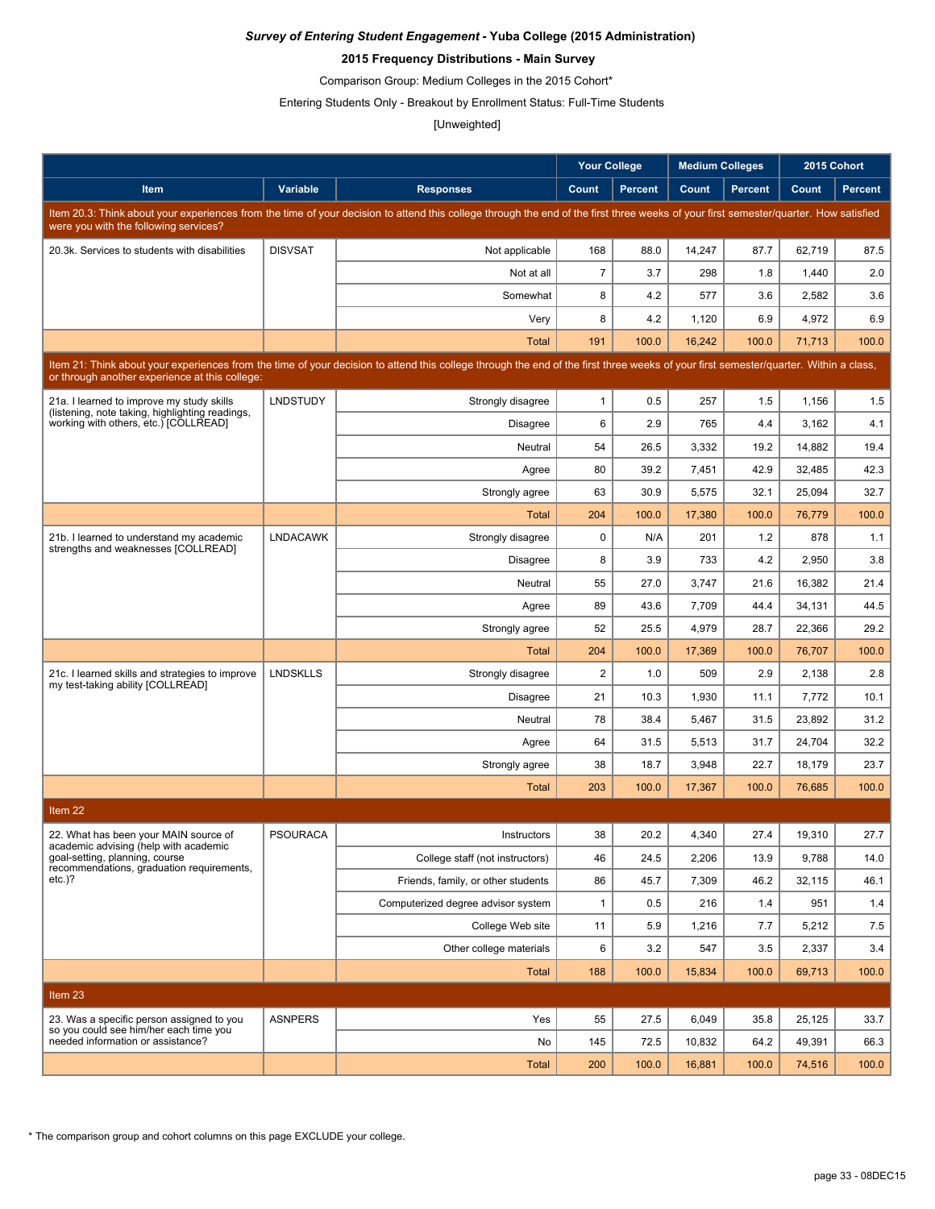### **2015 Frequency Distributions - Main Survey**

Comparison Group: Medium Colleges in the 2015 Cohort\*

Entering Students Only - Breakout by Enrollment Status: Full-Time Students

### [Unweighted]

|                                                                                                                                                                                                                                        |                 |                                                                                                                                                                                      | <b>Your College</b>     |                | <b>Medium Colleges</b> |                |                | 2015 Cohort |
|----------------------------------------------------------------------------------------------------------------------------------------------------------------------------------------------------------------------------------------|-----------------|--------------------------------------------------------------------------------------------------------------------------------------------------------------------------------------|-------------------------|----------------|------------------------|----------------|----------------|-------------|
| Item                                                                                                                                                                                                                                   | Variable        | <b>Responses</b>                                                                                                                                                                     | Count                   | <b>Percent</b> | Count                  | <b>Percent</b> | Count          | Percent     |
|                                                                                                                                                                                                                                        |                 | Item 20.3: Think about your experiences from the time of your decision to attend this college through the end of the first three weeks of your first semester/quarter. How satisfied |                         |                |                        |                |                |             |
| were you with the following services?                                                                                                                                                                                                  |                 |                                                                                                                                                                                      |                         |                |                        |                |                |             |
| 20.3k. Services to students with disabilities                                                                                                                                                                                          | <b>DISVSAT</b>  | Not applicable                                                                                                                                                                       | 168                     | 88.0           | 14,247                 | 87.7           | 62,719         | 87.5        |
|                                                                                                                                                                                                                                        |                 | Not at all                                                                                                                                                                           | $\overline{7}$          | 3.7            | 298                    | 1.8            | 1,440          | 2.0         |
|                                                                                                                                                                                                                                        |                 | Somewhat<br>Very                                                                                                                                                                     | 8<br>8                  | 4.2<br>4.2     | 577<br>1,120           | 3.6<br>6.9     | 2,582<br>4,972 | 3.6<br>6.9  |
|                                                                                                                                                                                                                                        |                 | <b>Total</b>                                                                                                                                                                         | 191                     | 100.0          | 16,242                 | 100.0          | 71,713         | 100.0       |
|                                                                                                                                                                                                                                        |                 |                                                                                                                                                                                      |                         |                |                        |                |                |             |
| Item 21: Think about your experiences from the time of your decision to attend this college through the end of the first three weeks of your first semester/quarter. Within a class,<br>or through another experience at this college: |                 |                                                                                                                                                                                      |                         |                |                        |                |                |             |
| 21a. I learned to improve my study skills<br>(listening, note taking, highlighting readings,                                                                                                                                           | <b>LNDSTUDY</b> | Strongly disagree                                                                                                                                                                    | $\mathbf{1}$            | 0.5            | 257                    | 1.5            | 1,156          | 1.5         |
| working with others, etc.) [COLLREAD]                                                                                                                                                                                                  |                 | <b>Disagree</b>                                                                                                                                                                      | 6                       | 2.9            | 765                    | 4.4            | 3,162          | 4.1         |
|                                                                                                                                                                                                                                        |                 | Neutral                                                                                                                                                                              | 54                      | 26.5           | 3,332                  | 19.2           | 14,882         | 19.4        |
|                                                                                                                                                                                                                                        |                 | Agree                                                                                                                                                                                | 80                      | 39.2           | 7,451                  | 42.9           | 32,485         | 42.3        |
|                                                                                                                                                                                                                                        |                 | Strongly agree                                                                                                                                                                       | 63                      | 30.9           | 5,575                  | 32.1           | 25,094         | 32.7        |
|                                                                                                                                                                                                                                        |                 | Total                                                                                                                                                                                | 204                     | 100.0          | 17,380                 | 100.0          | 76,779         | 100.0       |
| 21b. I learned to understand my academic<br>strengths and weaknesses [COLLREAD]                                                                                                                                                        | <b>LNDACAWK</b> | Strongly disagree                                                                                                                                                                    | $\mathbf 0$             | N/A            | 201                    | 1.2            | 878            | 1.1         |
|                                                                                                                                                                                                                                        |                 | Disagree                                                                                                                                                                             | 8                       | 3.9            | 733                    | 4.2            | 2,950          | 3.8         |
|                                                                                                                                                                                                                                        |                 | Neutral                                                                                                                                                                              | 55                      | 27.0           | 3,747                  | 21.6           | 16,382         | 21.4        |
|                                                                                                                                                                                                                                        |                 | Agree                                                                                                                                                                                | 89                      | 43.6           | 7,709                  | 44.4           | 34,131         | 44.5        |
|                                                                                                                                                                                                                                        |                 | Strongly agree                                                                                                                                                                       | 52                      | 25.5           | 4,979                  | 28.7           | 22,366         | 29.2        |
|                                                                                                                                                                                                                                        |                 | Total                                                                                                                                                                                | 204                     | 100.0          | 17,369                 | 100.0          | 76,707         | 100.0       |
| 21c. I learned skills and strategies to improve<br>my test-taking ability [COLLREAD]                                                                                                                                                   | <b>LNDSKLLS</b> | Strongly disagree                                                                                                                                                                    | $\overline{\mathbf{c}}$ | 1.0            | 509                    | 2.9            | 2,138          | 2.8         |
|                                                                                                                                                                                                                                        |                 | <b>Disagree</b>                                                                                                                                                                      | 21                      | 10.3           | 1,930                  | 11.1           | 7,772          | 10.1        |
|                                                                                                                                                                                                                                        |                 | Neutral                                                                                                                                                                              | 78                      | 38.4           | 5,467                  | 31.5           | 23,892         | 31.2        |
|                                                                                                                                                                                                                                        |                 | Agree                                                                                                                                                                                | 64                      | 31.5           | 5,513                  | 31.7           | 24,704         | 32.2        |
|                                                                                                                                                                                                                                        |                 | Strongly agree                                                                                                                                                                       | 38                      | 18.7           | 3,948                  | 22.7           | 18,179         | 23.7        |
|                                                                                                                                                                                                                                        |                 | <b>Total</b>                                                                                                                                                                         | 203                     | 100.0          | 17,367                 | 100.0          | 76,685         | 100.0       |
| Item 22                                                                                                                                                                                                                                |                 |                                                                                                                                                                                      |                         |                |                        |                |                |             |
| 22. What has been your MAIN source of<br>academic advising (help with academic                                                                                                                                                         | PSOURACA        | Instructors                                                                                                                                                                          | 38                      | 20.2           | 4,340                  | 27.4           | 19,310         | 27.7        |
| goal-setting, planning, course<br>recommendations, graduation requirements,                                                                                                                                                            |                 | College staff (not instructors)                                                                                                                                                      | 46                      | 24.5           | 2,206                  | 13.9           | 9,788          | 14.0        |
| $etc.$ )?                                                                                                                                                                                                                              |                 | Friends, family, or other students                                                                                                                                                   | 86                      | 45.7           | 7,309                  | 46.2           | 32,115         | 46.1        |
|                                                                                                                                                                                                                                        |                 | Computerized degree advisor system                                                                                                                                                   | $\mathbf{1}$            | 0.5            | 216                    | 1.4            | 951            | 1.4         |
|                                                                                                                                                                                                                                        |                 | College Web site                                                                                                                                                                     | 11                      | 5.9            | 1,216                  | 7.7            | 5,212          | 7.5         |
|                                                                                                                                                                                                                                        |                 | Other college materials                                                                                                                                                              | 6                       | 3.2            | 547                    | 3.5            | 2,337          | 3.4         |
|                                                                                                                                                                                                                                        |                 | Total                                                                                                                                                                                | 188                     | 100.0          | 15,834                 | 100.0          | 69,713         | 100.0       |
| Item 23                                                                                                                                                                                                                                |                 |                                                                                                                                                                                      |                         |                |                        |                |                |             |
| 23. Was a specific person assigned to you<br>so you could see him/her each time you                                                                                                                                                    | <b>ASNPERS</b>  | Yes                                                                                                                                                                                  | 55                      | 27.5           | 6,049                  | 35.8           | 25,125         | 33.7        |
| needed information or assistance?                                                                                                                                                                                                      |                 | No                                                                                                                                                                                   | 145                     | 72.5           | 10,832                 | 64.2           | 49,391         | 66.3        |
|                                                                                                                                                                                                                                        |                 | <b>Total</b>                                                                                                                                                                         | 200                     | 100.0          | 16,881                 | 100.0          | 74,516         | 100.0       |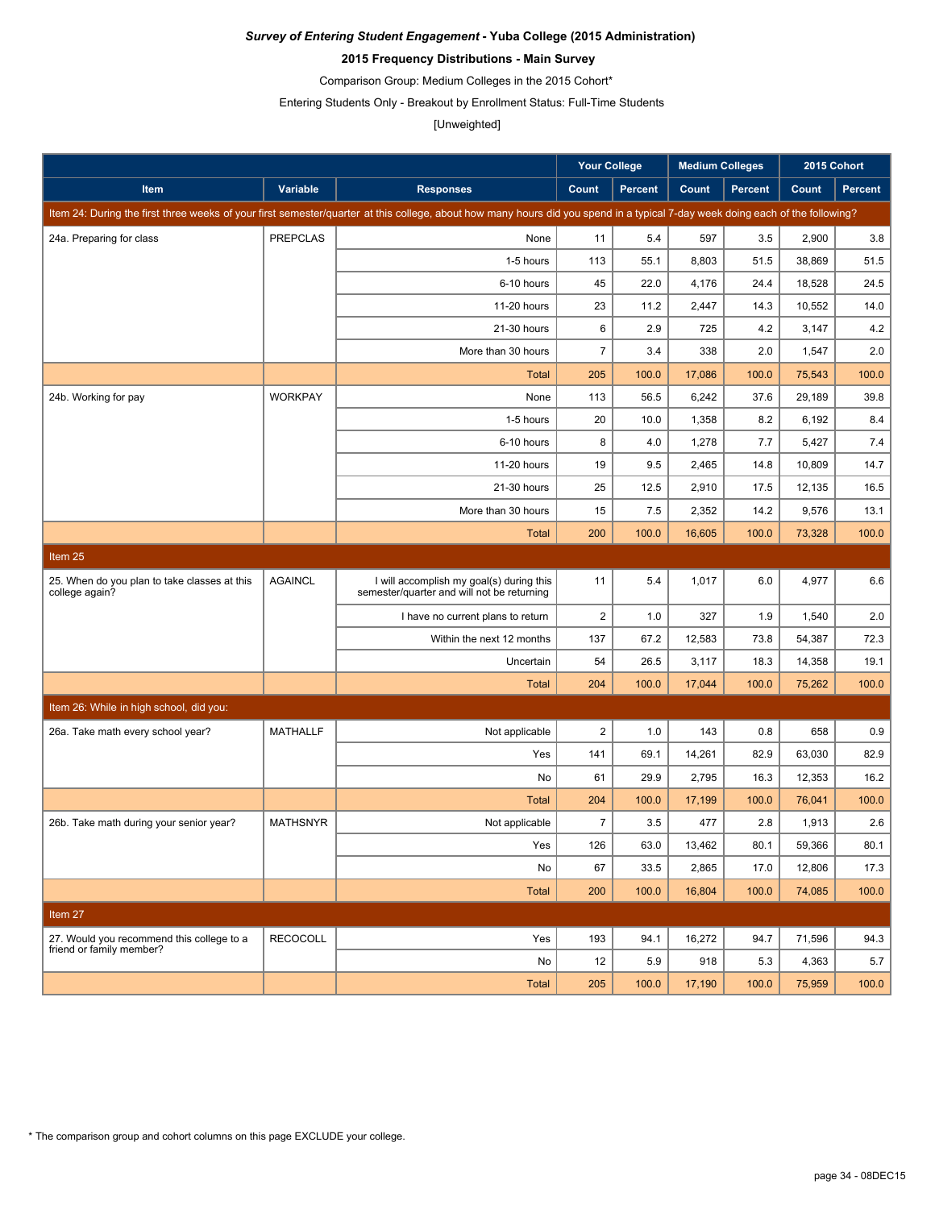### **2015 Frequency Distributions - Main Survey**

Comparison Group: Medium Colleges in the 2015 Cohort\*

Entering Students Only - Breakout by Enrollment Status: Full-Time Students

# [Unweighted]

|                                                                       |                 |                                                                                                                                                                               | Your College     |         | <b>Medium Colleges</b> |                | 2015 Cohort |         |
|-----------------------------------------------------------------------|-----------------|-------------------------------------------------------------------------------------------------------------------------------------------------------------------------------|------------------|---------|------------------------|----------------|-------------|---------|
| Item                                                                  | Variable        | <b>Responses</b>                                                                                                                                                              | Count            | Percent | Count                  | <b>Percent</b> | Count       | Percent |
|                                                                       |                 | Item 24: During the first three weeks of your first semester/quarter at this college, about how many hours did you spend in a typical 7-day week doing each of the following? |                  |         |                        |                |             |         |
| 24a. Preparing for class                                              | <b>PREPCLAS</b> | None                                                                                                                                                                          | 11               | 5.4     | 597                    | 3.5            | 2,900       | 3.8     |
|                                                                       |                 | 1-5 hours                                                                                                                                                                     | 113              | 55.1    | 8,803                  | 51.5           | 38,869      | 51.5    |
|                                                                       |                 | 6-10 hours                                                                                                                                                                    | 45               | 22.0    | 4,176                  | 24.4           | 18,528      | 24.5    |
|                                                                       |                 | 11-20 hours                                                                                                                                                                   | 23               | 11.2    | 2,447                  | 14.3           | 10,552      | 14.0    |
|                                                                       |                 | 21-30 hours                                                                                                                                                                   | 6                | 2.9     | 725                    | 4.2            | 3,147       | 4.2     |
|                                                                       |                 | More than 30 hours                                                                                                                                                            | $\boldsymbol{7}$ | 3.4     | 338                    | 2.0            | 1,547       | 2.0     |
|                                                                       |                 | <b>Total</b>                                                                                                                                                                  | 205              | 100.0   | 17,086                 | 100.0          | 75,543      | 100.0   |
| 24b. Working for pay                                                  | <b>WORKPAY</b>  | None                                                                                                                                                                          | 113              | 56.5    | 6,242                  | 37.6           | 29,189      | 39.8    |
|                                                                       |                 | 1-5 hours                                                                                                                                                                     | 20               | 10.0    | 1,358                  | 8.2            | 6,192       | 8.4     |
|                                                                       |                 | 6-10 hours                                                                                                                                                                    | 8                | 4.0     | 1,278                  | 7.7            | 5,427       | 7.4     |
|                                                                       |                 | 11-20 hours                                                                                                                                                                   | 19               | 9.5     | 2,465                  | 14.8           | 10,809      | 14.7    |
|                                                                       |                 | 21-30 hours                                                                                                                                                                   | 25               | 12.5    | 2,910                  | 17.5           | 12,135      | 16.5    |
|                                                                       |                 | More than 30 hours                                                                                                                                                            | 15               | 7.5     | 2,352                  | 14.2           | 9,576       | 13.1    |
|                                                                       |                 | <b>Total</b>                                                                                                                                                                  | 200              | 100.0   | 16,605                 | 100.0          | 73,328      | 100.0   |
| Item 25                                                               |                 |                                                                                                                                                                               |                  |         |                        |                |             |         |
| 25. When do you plan to take classes at this<br>college again?        | <b>AGAINCL</b>  | I will accomplish my goal(s) during this<br>semester/quarter and will not be returning                                                                                        | 11               | 5.4     | 1,017                  | 6.0            | 4,977       | 6.6     |
|                                                                       |                 | I have no current plans to return                                                                                                                                             | $\overline{2}$   | 1.0     | 327                    | 1.9            | 1,540       | 2.0     |
|                                                                       |                 | Within the next 12 months                                                                                                                                                     | 137              | 67.2    | 12,583                 | 73.8           | 54,387      | 72.3    |
|                                                                       |                 | Uncertain                                                                                                                                                                     | 54               | 26.5    | 3,117                  | 18.3           | 14,358      | 19.1    |
|                                                                       |                 | <b>Total</b>                                                                                                                                                                  | 204              | 100.0   | 17,044                 | 100.0          | 75,262      | 100.0   |
| Item 26: While in high school, did you:                               |                 |                                                                                                                                                                               |                  |         |                        |                |             |         |
| 26a. Take math every school year?                                     | <b>MATHALLF</b> | Not applicable                                                                                                                                                                | $\boldsymbol{2}$ | 1.0     | 143                    | 0.8            | 658         | 0.9     |
|                                                                       |                 | Yes                                                                                                                                                                           | 141              | 69.1    | 14,261                 | 82.9           | 63,030      | 82.9    |
|                                                                       |                 | No                                                                                                                                                                            | 61               | 29.9    | 2,795                  | 16.3           | 12,353      | 16.2    |
|                                                                       |                 | <b>Total</b>                                                                                                                                                                  | 204              | 100.0   | 17,199                 | 100.0          | 76,041      | 100.0   |
| 26b. Take math during your senior year?                               | <b>MATHSNYR</b> | Not applicable                                                                                                                                                                | $\overline{7}$   | 3.5     | 477                    | 2.8            | 1,913       | 2.6     |
|                                                                       |                 | Yes                                                                                                                                                                           | 126              | 63.0    | 13,462                 | 80.1           | 59,366      | 80.1    |
|                                                                       |                 | No                                                                                                                                                                            | 67               | 33.5    | 2,865                  | 17.0           | 12,806      | 17.3    |
|                                                                       |                 | Total                                                                                                                                                                         | 200              | 100.0   | 16,804                 | 100.0          | 74,085      | 100.0   |
| Item 27                                                               |                 |                                                                                                                                                                               |                  |         |                        |                |             |         |
| 27. Would you recommend this college to a<br>friend or family member? | <b>RECOCOLL</b> | Yes                                                                                                                                                                           | 193              | 94.1    | 16,272                 | 94.7           | 71,596      | 94.3    |
|                                                                       |                 | No                                                                                                                                                                            | 12               | 5.9     | 918                    | 5.3            | 4,363       | 5.7     |
|                                                                       |                 | <b>Total</b>                                                                                                                                                                  | 205              | 100.0   | 17,190                 | 100.0          | 75,959      | 100.0   |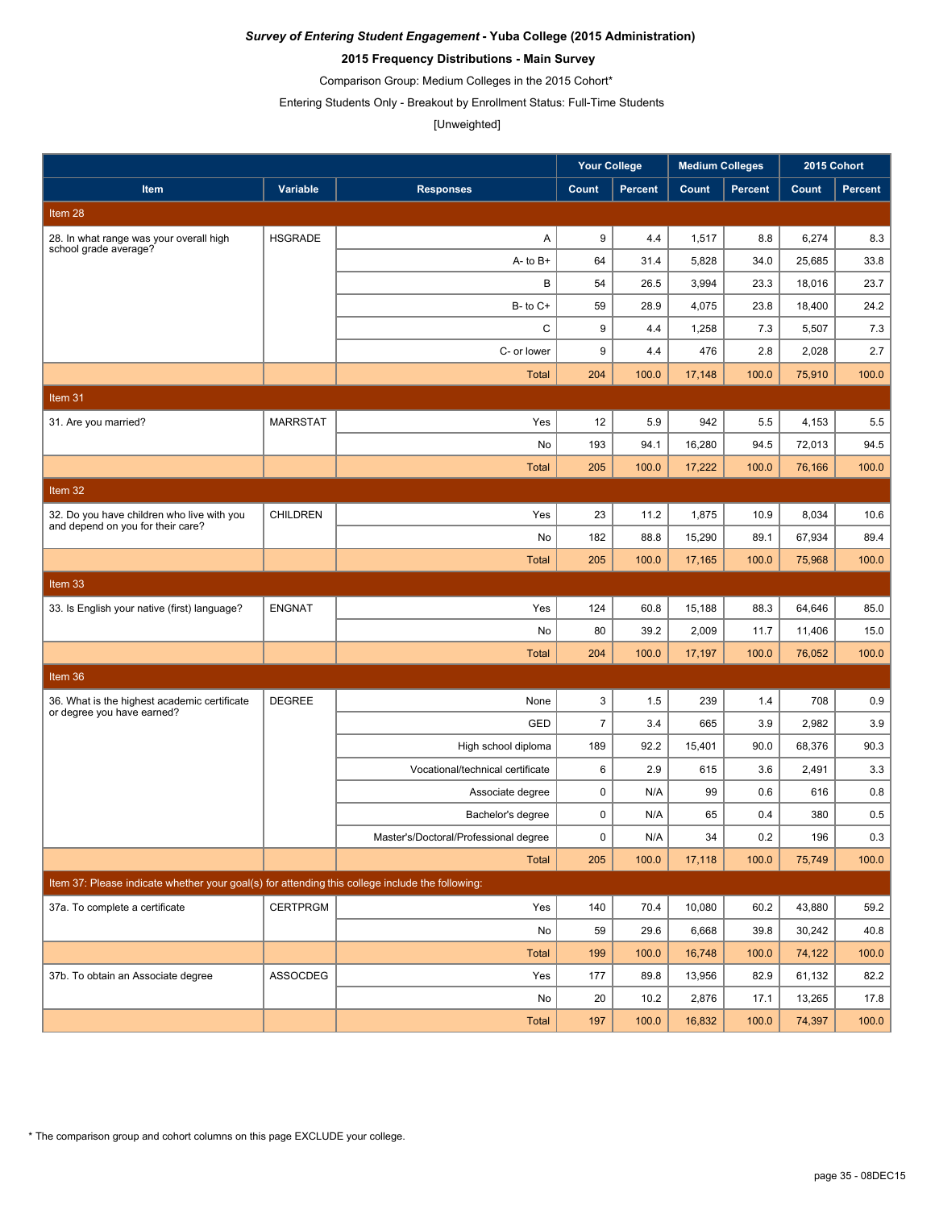### **2015 Frequency Distributions - Main Survey**

Comparison Group: Medium Colleges in the 2015 Cohort\*

Entering Students Only - Breakout by Enrollment Status: Full-Time Students

# [Unweighted]

|                                                                                                 |                 |                                       | <b>Your College</b> |                | <b>Medium Colleges</b> |                |        | 2015 Cohort    |
|-------------------------------------------------------------------------------------------------|-----------------|---------------------------------------|---------------------|----------------|------------------------|----------------|--------|----------------|
| Item                                                                                            | Variable        | <b>Responses</b>                      | Count               | <b>Percent</b> | Count                  | <b>Percent</b> | Count  | <b>Percent</b> |
| Item 28                                                                                         |                 |                                       |                     |                |                        |                |        |                |
| 28. In what range was your overall high                                                         | <b>HSGRADE</b>  | A                                     | 9                   | 4.4            | 1,517                  | 8.8            | 6,274  | 8.3            |
| school grade average?                                                                           |                 | $A - to B +$                          | 64                  | 31.4           | 5,828                  | 34.0           | 25.685 | 33.8           |
|                                                                                                 |                 | B                                     | 54                  | 26.5           | 3,994                  | 23.3           | 18,016 | 23.7           |
|                                                                                                 |                 | $B-$ to $C+$                          | 59                  | 28.9           | 4,075                  | 23.8           | 18,400 | 24.2           |
|                                                                                                 |                 | C                                     | 9                   | 4.4            | 1,258                  | 7.3            | 5,507  | 7.3            |
|                                                                                                 |                 | C- or lower                           | 9                   | 4.4            | 476                    | 2.8            | 2,028  | 2.7            |
|                                                                                                 |                 | <b>Total</b>                          | 204                 | 100.0          | 17,148                 | 100.0          | 75,910 | 100.0          |
| Item 31                                                                                         |                 |                                       |                     |                |                        |                |        |                |
| 31. Are you married?                                                                            | <b>MARRSTAT</b> | Yes                                   | 12                  | 5.9            | 942                    | 5.5            | 4,153  | 5.5            |
|                                                                                                 |                 | No                                    | 193                 | 94.1           | 16,280                 | 94.5           | 72,013 | 94.5           |
|                                                                                                 |                 | <b>Total</b>                          | 205                 | 100.0          | 17,222                 | 100.0          | 76,166 | 100.0          |
| Item 32                                                                                         |                 |                                       |                     |                |                        |                |        |                |
| 32. Do you have children who live with you                                                      | <b>CHILDREN</b> | Yes                                   | 23                  | 11.2           | 1,875                  | 10.9           | 8,034  | 10.6           |
| and depend on you for their care?                                                               |                 | No                                    | 182                 | 88.8           | 15,290                 | 89.1           | 67,934 | 89.4           |
|                                                                                                 |                 | <b>Total</b>                          | 205                 | 100.0          | 17,165                 | 100.0          | 75,968 | 100.0          |
| Item 33                                                                                         |                 |                                       |                     |                |                        |                |        |                |
| 33. Is English your native (first) language?                                                    | <b>ENGNAT</b>   | Yes                                   | 124                 | 60.8           | 15,188                 | 88.3           | 64,646 | 85.0           |
|                                                                                                 |                 | No                                    | 80                  | 39.2           | 2,009                  | 11.7           | 11,406 | 15.0           |
|                                                                                                 |                 | <b>Total</b>                          | 204                 | 100.0          | 17,197                 | 100.0          | 76,052 | 100.0          |
| Item 36                                                                                         |                 |                                       |                     |                |                        |                |        |                |
| 36. What is the highest academic certificate                                                    | <b>DEGREE</b>   | None                                  | 3                   | 1.5            | 239                    | 1.4            | 708    | 0.9            |
| or degree you have earned?                                                                      |                 | GED                                   | $\boldsymbol{7}$    | 3.4            | 665                    | 3.9            | 2,982  | 3.9            |
|                                                                                                 |                 | High school diploma                   | 189                 | 92.2           | 15,401                 | 90.0           | 68,376 | 90.3           |
|                                                                                                 |                 | Vocational/technical certificate      | 6                   | 2.9            | 615                    | 3.6            | 2,491  | 3.3            |
|                                                                                                 |                 | Associate degree                      | $\mathbf 0$         | N/A            | 99                     | 0.6            | 616    | 0.8            |
|                                                                                                 |                 | Bachelor's degree                     | $\pmb{0}$           | N/A            | 65                     | 0.4            | 380    | 0.5            |
|                                                                                                 |                 | Master's/Doctoral/Professional degree | $\pmb{0}$           | N/A            | 34                     | $0.2\,$        | 196    | 0.3            |
|                                                                                                 |                 | Total                                 | 205                 | 100.0          | 17,118                 | 100.0          | 75,749 | 100.0          |
| Item 37: Please indicate whether your goal(s) for attending this college include the following: |                 |                                       |                     |                |                        |                |        |                |
| 37a. To complete a certificate                                                                  | <b>CERTPRGM</b> | Yes                                   | 140                 | 70.4           | 10,080                 | 60.2           | 43,880 | 59.2           |
|                                                                                                 |                 | No                                    | 59                  | 29.6           | 6,668                  | 39.8           | 30,242 | 40.8           |
|                                                                                                 |                 | <b>Total</b>                          | 199                 | 100.0          | 16,748                 | 100.0          | 74,122 | 100.0          |
| 37b. To obtain an Associate degree                                                              | ASSOCDEG        | Yes                                   | 177                 | 89.8           | 13,956                 | 82.9           | 61,132 | 82.2           |
|                                                                                                 |                 | No                                    | 20                  | 10.2           | 2,876                  | 17.1           | 13,265 | 17.8           |
|                                                                                                 |                 | <b>Total</b>                          | 197                 | 100.0          | 16,832                 | 100.0          | 74,397 | 100.0          |